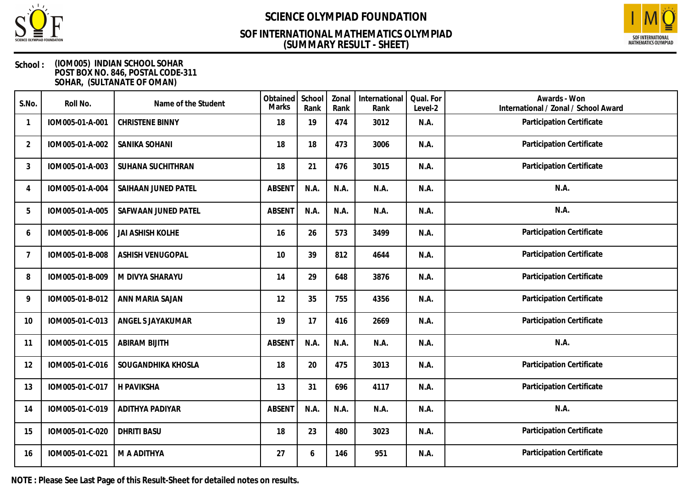

## **(SUMMARY RESULT - SHEET) SOF INTERNATIONAL MATHEMATICS OLYMPIAD**



### **School : (IOM005) INDIAN SCHOOL SOHAR POST BOX NO. 846, POSTAL CODE-311 SOHAR, (SULTANATE OF OMAN)**

| S.No.          | Roll No.        | Name of the Student     | Obtained<br>Marks | School<br>Rank | Zonal<br>Rank | International<br>Rank | Qual. For<br>Level-2 | Awards - Won<br>International / Zonal / School Award |
|----------------|-----------------|-------------------------|-------------------|----------------|---------------|-----------------------|----------------------|------------------------------------------------------|
|                | IOM005-01-A-001 | <b>CHRISTENE BINNY</b>  | 18                | 19             | 474           | 3012                  | N.A.                 | Participation Certificate                            |
| $\overline{2}$ | IOM005-01-A-002 | SANIKA SOHANI           | 18                | 18             | 473           | 3006                  | N.A.                 | Participation Certificate                            |
| 3              | IOM005-01-A-003 | SUHANA SUCHITHRAN       | 18                | 21             | 476           | 3015                  | N.A.                 | Participation Certificate                            |
| 4              | IOM005-01-A-004 | SAIHAAN JUNED PATEL     | <b>ABSENT</b>     | N.A.           | N.A.          | N.A.                  | N.A.                 | N.A.                                                 |
| 5              | IOM005-01-A-005 | SAFWAAN JUNED PATEL     | <b>ABSENT</b>     | N.A.           | N.A.          | N.A.                  | N.A.                 | N.A.                                                 |
| 6              | IOM005-01-B-006 | <b>JAI ASHISH KOLHE</b> | 16                | 26             | 573           | 3499                  | N.A.                 | Participation Certificate                            |
| 7              | IOM005-01-B-008 | <b>ASHISH VENUGOPAL</b> | 10                | 39             | 812           | 4644                  | N.A.                 | Participation Certificate                            |
| 8              | IOM005-01-B-009 | M DIVYA SHARAYU         | 14                | 29             | 648           | 3876                  | N.A.                 | Participation Certificate                            |
| 9              | IOM005-01-B-012 | ANN MARIA SAJAN         | 12                | 35             | 755           | 4356                  | N.A.                 | Participation Certificate                            |
| 10             | IOM005-01-C-013 | ANGEL S JAYAKUMAR       | 19                | 17             | 416           | 2669                  | N.A.                 | Participation Certificate                            |
| 11             | IOM005-01-C-015 | <b>ABIRAM BIJITH</b>    | <b>ABSENT</b>     | N.A.           | N.A.          | N.A.                  | N.A.                 | N.A.                                                 |
| 12             | IOM005-01-C-016 | SOUGANDHIKA KHOSLA      | 18                | 20             | 475           | 3013                  | N.A.                 | Participation Certificate                            |
| 13             | IOM005-01-C-017 | H PAVIKSHA              | 13                | 31             | 696           | 4117                  | N.A.                 | Participation Certificate                            |
| 14             | IOM005-01-C-019 | ADITHYA PADIYAR         | <b>ABSENT</b>     | N.A.           | N.A.          | N.A.                  | N.A.                 | N.A.                                                 |
| 15             | IOM005-01-C-020 | <b>DHRITI BASU</b>      | 18                | 23             | 480           | 3023                  | N.A.                 | Participation Certificate                            |
| 16             | IOM005-01-C-021 | M A ADITHYA             | 27                | 6              | 146           | 951                   | N.A.                 | Participation Certificate                            |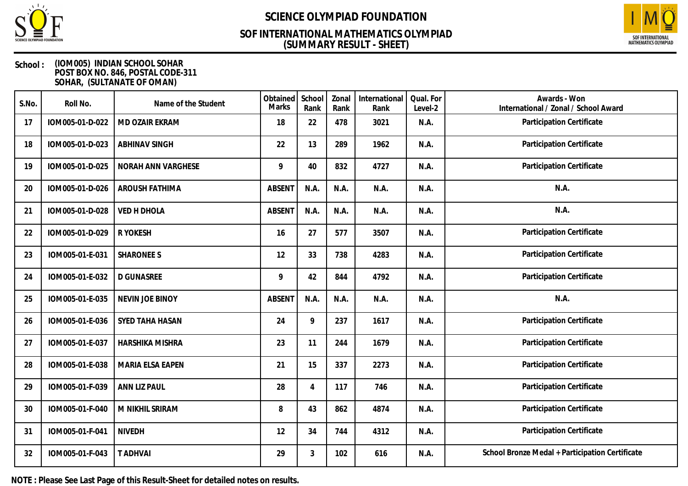

## **(SUMMARY RESULT - SHEET) SOF INTERNATIONAL MATHEMATICS OLYMPIAD**



### **School : (IOM005) INDIAN SCHOOL SOHAR POST BOX NO. 846, POSTAL CODE-311 SOHAR, (SULTANATE OF OMAN)**

| S.No. | Roll No.        | Name of the Student  | Obtained<br>Marks | School<br>Rank | Zonal<br>Rank | International<br>Rank | Qual. For<br>Level-2 | Awards - Won<br>International / Zonal / School Award |
|-------|-----------------|----------------------|-------------------|----------------|---------------|-----------------------|----------------------|------------------------------------------------------|
| 17    | IOM005-01-D-022 | MD OZAIR EKRAM       | 18                | 22             | 478           | 3021                  | N.A.                 | Participation Certificate                            |
| 18    | IOM005-01-D-023 | <b>ABHINAV SINGH</b> | 22                | 13             | 289           | 1962                  | N.A.                 | Participation Certificate                            |
| 19    | IOM005-01-D-025 | NORAH ANN VARGHESE   | 9                 | 40             | 832           | 4727                  | N.A.                 | Participation Certificate                            |
| 20    | IOM005-01-D-026 | AROUSH FATHIMA       | <b>ABSENT</b>     | N.A.           | N.A.          | N.A.                  | N.A.                 | N.A.                                                 |
| 21    | IOM005-01-D-028 | <b>VED H DHOLA</b>   | <b>ABSENT</b>     | N.A.           | N.A.          | N.A.                  | N.A.                 | N.A.                                                 |
| 22    | IOM005-01-D-029 | R YOKESH             | 16                | 27             | 577           | 3507                  | N.A.                 | Participation Certificate                            |
| 23    | IOM005-01-E-031 | <b>SHARONEE S</b>    | 12                | 33             | 738           | 4283                  | N.A.                 | Participation Certificate                            |
| 24    | IOM005-01-E-032 | <b>D GUNASREE</b>    | 9                 | 42             | 844           | 4792                  | N.A.                 | Participation Certificate                            |
| 25    | IOM005-01-E-035 | NEVIN JOE BINOY      | <b>ABSENT</b>     | N.A.           | N.A.          | N.A.                  | N.A.                 | N.A.                                                 |
| 26    | IOM005-01-E-036 | SYED TAHA HASAN      | 24                | 9              | 237           | 1617                  | N.A.                 | Participation Certificate                            |
| 27    | IOM005-01-E-037 | HARSHIKA MISHRA      | 23                | 11             | 244           | 1679                  | N.A.                 | Participation Certificate                            |
| 28    | IOM005-01-E-038 | MARIA ELSA EAPEN     | 21                | 15             | 337           | 2273                  | N.A.                 | Participation Certificate                            |
| 29    | IOM005-01-F-039 | ANN LIZ PAUL         | 28                | 4              | 117           | 746                   | N.A.                 | Participation Certificate                            |
| 30    | IOM005-01-F-040 | M NIKHIL SRIRAM      | 8                 | 43             | 862           | 4874                  | N.A.                 | Participation Certificate                            |
| 31    | IOM005-01-F-041 | <b>NIVEDH</b>        | 12                | 34             | 744           | 4312                  | N.A.                 | Participation Certificate                            |
| 32    | IOM005-01-F-043 | <b>T ADHVAI</b>      | 29                | 3              | 102           | 616                   | N.A.                 | School Bronze Medal + Participation Certificate      |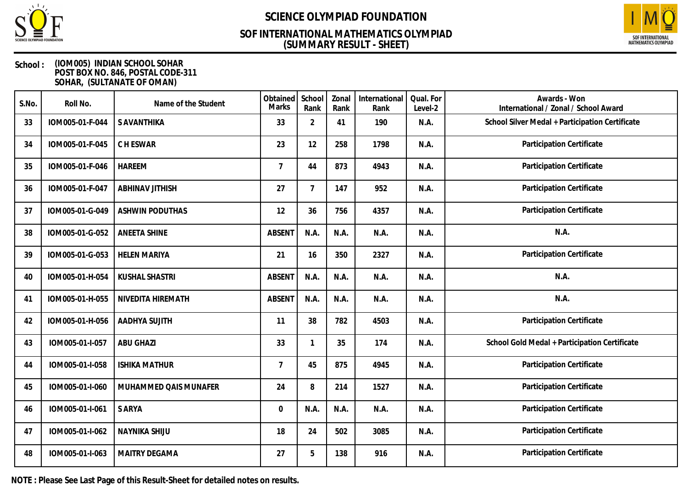

## **(SUMMARY RESULT - SHEET) SOF INTERNATIONAL MATHEMATICS OLYMPIAD**



### **School : (IOM005) INDIAN SCHOOL SOHAR POST BOX NO. 846, POSTAL CODE-311 SOHAR, (SULTANATE OF OMAN)**

| S.No. | Roll No.        | Name of the Student    | Obtained<br><b>Marks</b> | School<br>Rank | Zonal<br>Rank | International<br>Rank | Qual. For<br>Level-2 | Awards - Won<br>International / Zonal / School Award |
|-------|-----------------|------------------------|--------------------------|----------------|---------------|-----------------------|----------------------|------------------------------------------------------|
| 33    | IOM005-01-F-044 | S AVANTHIKA            | 33                       | $\overline{2}$ | 41            | 190                   | N.A.                 | School Silver Medal + Participation Certificate      |
| 34    | IOM005-01-F-045 | C H ESWAR              | 23                       | 12             | 258           | 1798                  | N.A.                 | Participation Certificate                            |
| 35    | IOM005-01-F-046 | <b>HAREEM</b>          | $\overline{7}$           | 44             | 873           | 4943                  | N.A.                 | Participation Certificate                            |
| 36    | IOM005-01-F-047 | <b>ABHINAV JITHISH</b> | 27                       | $\overline{7}$ | 147           | 952                   | N.A.                 | Participation Certificate                            |
| 37    | IOM005-01-G-049 | <b>ASHWIN PODUTHAS</b> | 12                       | 36             | 756           | 4357                  | N.A.                 | Participation Certificate                            |
| 38    | IOM005-01-G-052 | <b>ANEETA SHINE</b>    | <b>ABSEN1</b>            | N.A.           | N.A.          | N.A.                  | N.A.                 | N.A.                                                 |
| 39    | IOM005-01-G-053 | <b>HELEN MARIYA</b>    | 21                       | 16             | 350           | 2327                  | N.A.                 | Participation Certificate                            |
| 40    | IOM005-01-H-054 | <b>KUSHAL SHASTRI</b>  | <b>ABSENT</b>            | N.A.           | N.A.          | N.A.                  | N.A.                 | N.A.                                                 |
| 41    | IOM005-01-H-055 | NIVEDITA HIREMATH      | <b>ABSENT</b>            | N.A.           | N.A.          | N.A.                  | N.A.                 | N.A.                                                 |
| 42    | IOM005-01-H-056 | AADHYA SUJITH          | 11                       | 38             | 782           | 4503                  | N.A.                 | Participation Certificate                            |
| 43    | IOM005-01-I-057 | <b>ABU GHAZI</b>       | 33                       | $\mathbf{1}$   | 35            | 174                   | N.A.                 | School Gold Medal + Participation Certificate        |
| 44    | IOM005-01-I-058 | <b>ISHIKA MATHUR</b>   | $\overline{7}$           | 45             | 875           | 4945                  | N.A.                 | Participation Certificate                            |
| 45    | IOM005-01-I-060 | MUHAMMED QAIS MUNAFER  | 24                       | 8              | 214           | 1527                  | N.A.                 | Participation Certificate                            |
| 46    | IOM005-01-I-061 | S ARYA                 | $\Omega$                 | N.A.           | N.A.          | N.A.                  | N.A.                 | Participation Certificate                            |
| 47    | IOM005-01-I-062 | <b>NAYNIKA SHIJU</b>   | 18                       | 24             | 502           | 3085                  | N.A.                 | Participation Certificate                            |
| 48    | IOM005-01-I-063 | <b>MAITRY DEGAMA</b>   | 27                       | 5              | 138           | 916                   | N.A.                 | Participation Certificate                            |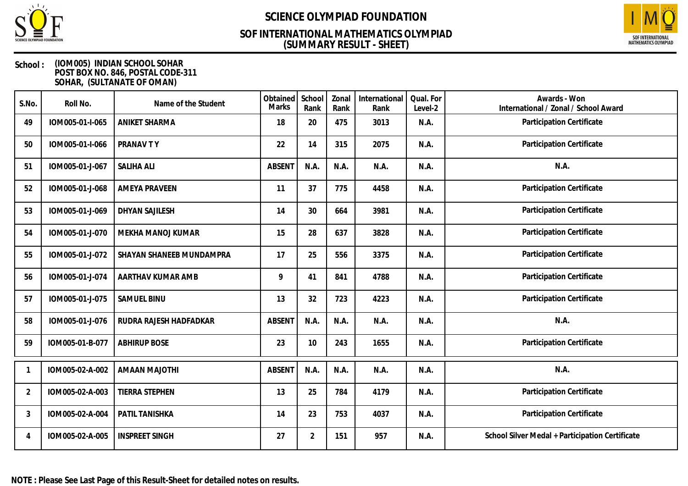

## **(SUMMARY RESULT - SHEET) SOF INTERNATIONAL MATHEMATICS OLYMPIAD**



| S.No.          | Roll No.        | Name of the Student      | Obtained<br>Marks | School<br>Rank | Zonal<br>Rank | International<br>Rank | Qual. For<br>Level-2 | Awards - Won<br>International / Zonal / School Award |
|----------------|-----------------|--------------------------|-------------------|----------------|---------------|-----------------------|----------------------|------------------------------------------------------|
| 49             | IOM005-01-I-065 | <b>ANIKET SHARMA</b>     | 18                | 20             | 475           | 3013                  | N.A.                 | Participation Certificate                            |
| 50             | IOM005-01-I-066 | PRANAV TY                | 22                | 14             | 315           | 2075                  | N.A.                 | Participation Certificate                            |
| 51             | IOM005-01-J-067 | <b>SALIHA ALI</b>        | <b>ABSENT</b>     | N.A.           | N.A.          | N.A.                  | N.A.                 | N.A.                                                 |
| 52             | IOM005-01-J-068 | <b>AMEYA PRAVEEN</b>     | 11                | 37             | 775           | 4458                  | N.A.                 | Participation Certificate                            |
| 53             | IOM005-01-J-069 | DHYAN SAJILESH           | 14                | 30             | 664           | 3981                  | N.A.                 | Participation Certificate                            |
| 54             | IOM005-01-J-070 | MEKHA MANOJ KUMAR        | 15                | 28             | 637           | 3828                  | N.A.                 | Participation Certificate                            |
| 55             | IOM005-01-J-072 | SHAYAN SHANEEB MUNDAMPRA | 17                | 25             | 556           | 3375                  | N.A.                 | Participation Certificate                            |
| 56             | IOM005-01-J-074 | AARTHAV KUMAR AMB        | 9                 | 41             | 841           | 4788                  | N.A.                 | Participation Certificate                            |
| 57             | IOM005-01-J-075 | SAMUEL BINU              | 13                | 32             | 723           | 4223                  | N.A.                 | Participation Certificate                            |
| 58             | IOM005-01-J-076 | RUDRA RAJESH HADFADKAR   | <b>ABSENT</b>     | N.A.           | N.A.          | N.A.                  | N.A.                 | N.A.                                                 |
| 59             | IOM005-01-B-077 | <b>ABHIRUP BOSE</b>      | 23                | 10             | 243           | 1655                  | N.A.                 | Participation Certificate                            |
|                | IOM005-02-A-002 | <b>AMAAN MAJOTHI</b>     | ABSENT            | N.A.           | N.A.          | N.A.                  | N.A.                 | N.A.                                                 |
| $\overline{2}$ | IOM005-02-A-003 | TIERRA STEPHEN           | 13                | 25             | 784           | 4179                  | N.A.                 | Participation Certificate                            |
| 3              | IOM005-02-A-004 | PATIL TANISHKA           | 14                | 23             | 753           | 4037                  | N.A.                 | Participation Certificate                            |
| 4              | IOM005-02-A-005 | <b>INSPREET SINGH</b>    | 27                | $\overline{2}$ | 151           | 957                   | N.A.                 | School Silver Medal + Participation Certificate      |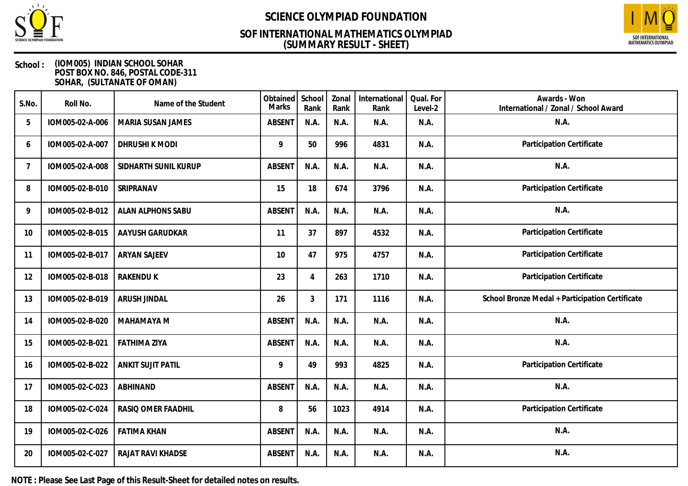

## **(SUMMARY RESULT - SHEET) SOF INTERNATIONAL MATHEMATICS OLYMPIAD**



### **School : (IOM005) INDIAN SCHOOL SOHAR POST BOX NO. 846, POSTAL CODE-311 SOHAR, (SULTANATE OF OMAN)**

| S.No. | Roll No.        | Name of the Student      | Obtained<br>Marks | School<br>Rank | Zonal<br>Rank | International<br>Rank | Qual. For<br>Level-2 | Awards - Won<br>International / Zonal / School Award |
|-------|-----------------|--------------------------|-------------------|----------------|---------------|-----------------------|----------------------|------------------------------------------------------|
| 5     | IOM005-02-A-006 | MARIA SUSAN JAMES        | <b>ABSENT</b>     | N.A.           | N.A.          | N.A.                  | N.A.                 | N.A.                                                 |
| 6     | IOM005-02-A-007 | DHRUSHI K MODI           | 9                 | 50             | 996           | 4831                  | N.A.                 | Participation Certificate                            |
| 7     | IOM005-02-A-008 | SIDHARTH SUNIL KURUP     | <b>ABSENT</b>     | N.A.           | N.A.          | N.A.                  | N.A.                 | N.A.                                                 |
| 8     | IOM005-02-B-010 | SRIPRANAV                | 15                | 18             | 674           | 3796                  | N.A.                 | Participation Certificate                            |
| 9     | IOM005-02-B-012 | <b>ALAN ALPHONS SABU</b> | <b>ABSENT</b>     | N.A.           | N.A.          | N.A.                  | N.A.                 | N.A.                                                 |
| 10    | IOM005-02-B-015 | AAYUSH GARUDKAR          | 11                | 37             | 897           | 4532                  | N.A.                 | Participation Certificate                            |
| 11    | IOM005-02-B-017 | <b>ARYAN SAJEEV</b>      | 10                | 47             | 975           | 4757                  | N.A.                 | Participation Certificate                            |
| 12    | IOM005-02-B-018 | <b>RAKENDUK</b>          | 23                | 4              | 263           | 1710                  | N.A.                 | Participation Certificate                            |
| 13    | IOM005-02-B-019 | <b>ARUSH JINDAL</b>      | 26                | $\mathfrak{Z}$ | 171           | 1116                  | N.A.                 | School Bronze Medal + Participation Certificate      |
| 14    | IOM005-02-B-020 | MAHAMAYA M               | <b>ABSENT</b>     | N.A.           | N.A.          | N.A.                  | N.A.                 | N.A.                                                 |
| 15    | IOM005-02-B-021 | <b>FATHIMA ZIYA</b>      | <b>ABSENT</b>     | N.A.           | N.A.          | N.A.                  | N.A.                 | N.A.                                                 |
| 16    | IOM005-02-B-022 | <b>ANKIT SUJIT PATIL</b> | 9                 | 49             | 993           | 4825                  | N.A.                 | Participation Certificate                            |
| 17    | IOM005-02-C-023 | <b>ABHINAND</b>          | <b>ABSENT</b>     | N.A.           | N.A.          | N.A.                  | N.A.                 | N.A.                                                 |
| 18    | IOM005-02-C-024 | RASIQ OMER FAADHIL       | 8                 | 56             | 1023          | 4914                  | N.A.                 | Participation Certificate                            |
| 19    | IOM005-02-C-026 | <b>FATIMA KHAN</b>       | <b>ABSENT</b>     | N.A.           | N.A.          | N.A.                  | N.A.                 | N.A.                                                 |
| 20    | IOM005-02-C-027 | RAJAT RAVI KHADSE        | <b>ABSENT</b>     | N.A.           | N.A.          | N.A.                  | N.A.                 | N.A.                                                 |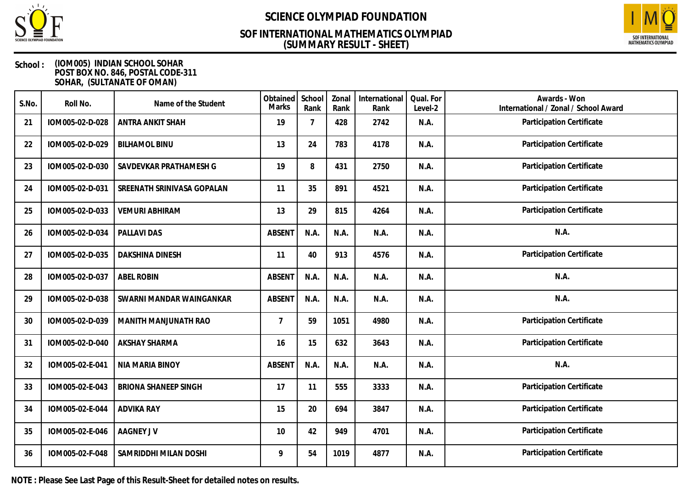

## **(SUMMARY RESULT - SHEET) SOF INTERNATIONAL MATHEMATICS OLYMPIAD**



### **School : (IOM005) INDIAN SCHOOL SOHAR POST BOX NO. 846, POSTAL CODE-311 SOHAR, (SULTANATE OF OMAN)**

| S.No. | Roll No.        | Name of the Student         | Obtained<br><b>Marks</b> | School<br>Rank | Zonal<br>Rank | International<br>Rank | Qual. For<br>Level-2 | Awards - Won<br>International / Zonal / School Award |
|-------|-----------------|-----------------------------|--------------------------|----------------|---------------|-----------------------|----------------------|------------------------------------------------------|
| 21    | IOM005-02-D-028 | <b>ANTRA ANKIT SHAH</b>     | 19                       | $\overline{7}$ | 428           | 2742                  | N.A.                 | Participation Certificate                            |
| 22    | IOM005-02-D-029 | <b>BILHAMOL BINU</b>        | 13                       | 24             | 783           | 4178                  | N.A.                 | Participation Certificate                            |
| 23    | IOM005-02-D-030 | SAVDEVKAR PRATHAMESH G      | 19                       | 8              | 431           | 2750                  | N.A.                 | Participation Certificate                            |
| 24    | IOM005-02-D-031 | SREENATH SRINIVASA GOPALAN  | 11                       | 35             | 891           | 4521                  | N.A.                 | Participation Certificate                            |
| 25    | IOM005-02-D-033 | <b>VEMURI ABHIRAM</b>       | 13                       | 29             | 815           | 4264                  | N.A.                 | Participation Certificate                            |
| 26    | IOM005-02-D-034 | PALLAVI DAS                 | <b>ABSENT</b>            | N.A.           | N.A.          | N.A.                  | N.A.                 | N.A.                                                 |
| 27    | IOM005-02-D-035 | <b>DAKSHINA DINESH</b>      | 11                       | 40             | 913           | 4576                  | N.A.                 | Participation Certificate                            |
| 28    | IOM005-02-D-037 | <b>ABEL ROBIN</b>           | ABSENT                   | N.A.           | N.A.          | N.A.                  | N.A.                 | N.A.                                                 |
| 29    | IOM005-02-D-038 | SWARNI MANDAR WAINGANKAR    | <b>ABSENT</b>            | N.A.           | N.A.          | N.A.                  | N.A.                 | N.A.                                                 |
| 30    | IOM005-02-D-039 | MANITH MANJUNATH RAO        | $\overline{7}$           | 59             | 1051          | 4980                  | N.A.                 | Participation Certificate                            |
| 31    | IOM005-02-D-040 | <b>AKSHAY SHARMA</b>        | 16                       | 15             | 632           | 3643                  | N.A.                 | Participation Certificate                            |
| 32    | IOM005-02-E-041 | NIA MARIA BINOY             | <b>ABSENT</b>            | N.A.           | N.A.          | N.A.                  | N.A.                 | N.A.                                                 |
| 33    | IOM005-02-E-043 | <b>BRIONA SHANEEP SINGH</b> | 17                       | 11             | 555           | 3333                  | N.A.                 | Participation Certificate                            |
| 34    | IOM005-02-E-044 | <b>ADVIKA RAY</b>           | 15                       | 20             | 694           | 3847                  | N.A.                 | Participation Certificate                            |
| 35    | IOM005-02-E-046 | <b>AAGNEY JV</b>            | 10                       | 42             | 949           | 4701                  | N.A.                 | Participation Certificate                            |
| 36    | IOM005-02-F-048 | SAMRIDDHI MILAN DOSHI       | 9                        | 54             | 1019          | 4877                  | N.A.                 | Participation Certificate                            |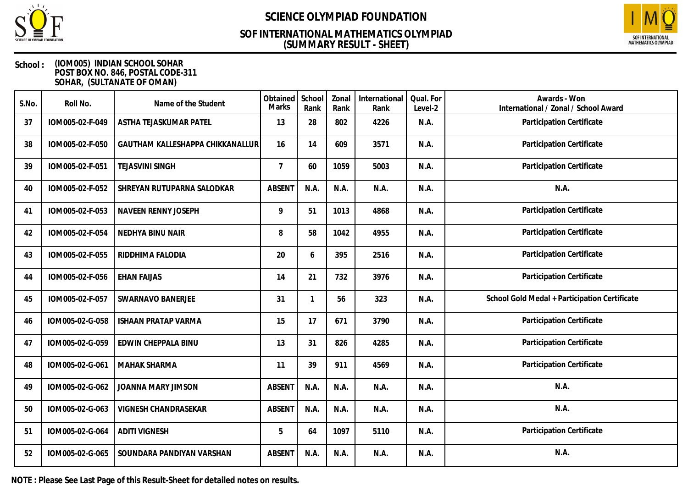

## **(SUMMARY RESULT - SHEET) SOF INTERNATIONAL MATHEMATICS OLYMPIAD**



### **School : (IOM005) INDIAN SCHOOL SOHAR POST BOX NO. 846, POSTAL CODE-311 SOHAR, (SULTANATE OF OMAN)**

| S.No. | Roll No.        | Name of the Student              | Obtained<br><b>Marks</b> | School<br>Rank | Zonal<br>Rank | International<br>Rank | Qual. For<br>Level-2 | Awards - Won<br>International / Zonal / School Award |
|-------|-----------------|----------------------------------|--------------------------|----------------|---------------|-----------------------|----------------------|------------------------------------------------------|
| 37    | IOM005-02-F-049 | ASTHA TEJASKUMAR PATEL           | 13                       | 28             | 802           | 4226                  | N.A.                 | Participation Certificate                            |
| 38    | IOM005-02-F-050 | GAUTHAM KALLESHAPPA CHIKKANALLUR | 16                       | 14             | 609           | 3571                  | N.A.                 | Participation Certificate                            |
| 39    | IOM005-02-F-051 | <b>TEJASVINI SINGH</b>           | $\overline{7}$           | 60             | 1059          | 5003                  | N.A.                 | Participation Certificate                            |
| 40    | IOM005-02-F-052 | SHREYAN RUTUPARNA SALODKAR       | <b>ABSENT</b>            | N.A.           | N.A.          | N.A.                  | N.A.                 | N.A.                                                 |
| 41    | IOM005-02-F-053 | NAVEEN RENNY JOSEPH              | 9                        | 51             | 1013          | 4868                  | N.A.                 | Participation Certificate                            |
| 42    | IOM005-02-F-054 | NEDHYA BINU NAIR                 | 8                        | 58             | 1042          | 4955                  | N.A.                 | Participation Certificate                            |
| 43    | IOM005-02-F-055 | RIDDHIMA FALODIA                 | 20                       | 6              | 395           | 2516                  | N.A.                 | Participation Certificate                            |
| 44    | IOM005-02-F-056 | <b>EHAN FAIJAS</b>               | 14                       | 21             | 732           | 3976                  | N.A.                 | Participation Certificate                            |
| 45    | IOM005-02-F-057 | SWARNAVO BANERJEE                | 31                       | 1              | 56            | 323                   | N.A.                 | School Gold Medal + Participation Certificate        |
| 46    | IOM005-02-G-058 | <b>ISHAAN PRATAP VARMA</b>       | 15                       | 17             | 671           | 3790                  | N.A.                 | Participation Certificate                            |
| 47    | IOM005-02-G-059 | EDWIN CHEPPALA BINU              | 13                       | 31             | 826           | 4285                  | N.A.                 | Participation Certificate                            |
| 48    | IOM005-02-G-061 | <b>MAHAK SHARMA</b>              | 11                       | 39             | 911           | 4569                  | N.A.                 | Participation Certificate                            |
| 49    | IOM005-02-G-062 | JOANNA MARY JIMSON               | <b>ABSENT</b>            | N.A.           | N.A.          | N.A.                  | N.A.                 | N.A.                                                 |
| 50    | IOM005-02-G-063 | <b>VIGNESH CHANDRASEKAR</b>      | <b>ABSENT</b>            | N.A.           | N.A.          | N.A.                  | N.A.                 | N.A.                                                 |
| 51    | IOM005-02-G-064 | <b>ADITI VIGNESH</b>             | 5                        | 64             | 1097          | 5110                  | N.A.                 | Participation Certificate                            |
| 52    | IOM005-02-G-065 | SOUNDARA PANDIYAN VARSHAN        | <b>ABSENT</b>            | N.A.           | N.A.          | N.A.                  | N.A.                 | N.A.                                                 |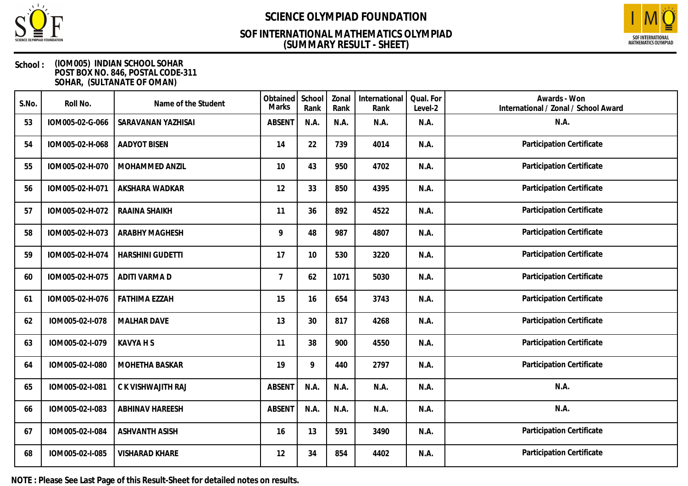

## **(SUMMARY RESULT - SHEET) SOF INTERNATIONAL MATHEMATICS OLYMPIAD**



### **School : (IOM005) INDIAN SCHOOL SOHAR POST BOX NO. 846, POSTAL CODE-311 SOHAR, (SULTANATE OF OMAN)**

| S.No. | Roll No.        | Name of the Student     | Obtained<br><b>Marks</b> | School<br>Rank | Zonal<br>Rank | International<br>Rank | Qual. For<br>Level-2 | Awards - Won<br>International / Zonal / School Award |
|-------|-----------------|-------------------------|--------------------------|----------------|---------------|-----------------------|----------------------|------------------------------------------------------|
| 53    | IOM005-02-G-066 | SARAVANAN YAZHISAI      | <b>ABSENT</b>            | N.A.           | N.A.          | N.A.                  | N.A.                 | N.A.                                                 |
| 54    | IOM005-02-H-068 | <b>AADYOT BISEN</b>     | 14                       | 22             | 739           | 4014                  | N.A.                 | Participation Certificate                            |
| 55    | IOM005-02-H-070 | MOHAMMED ANZIL          | 10                       | 43             | 950           | 4702                  | N.A.                 | Participation Certificate                            |
| 56    | IOM005-02-H-071 | AKSHARA WADKAR          | 12                       | 33             | 850           | 4395                  | N.A.                 | Participation Certificate                            |
| 57    | IOM005-02-H-072 | RAAINA SHAIKH           | 11                       | 36             | 892           | 4522                  | N.A.                 | Participation Certificate                            |
| 58    | IOM005-02-H-073 | <b>ARABHY MAGHESH</b>   | 9                        | 48             | 987           | 4807                  | N.A.                 | Participation Certificate                            |
| 59    | IOM005-02-H-074 | <b>HARSHINI GUDETTI</b> | 17                       | 10             | 530           | 3220                  | N.A.                 | Participation Certificate                            |
| 60    | IOM005-02-H-075 | ADITI VARMA D           | $\overline{7}$           | 62             | 1071          | 5030                  | N.A.                 | Participation Certificate                            |
| 61    | IOM005-02-H-076 | <b>FATHIMA EZZAH</b>    | 15                       | 16             | 654           | 3743                  | N.A.                 | Participation Certificate                            |
| 62    | IOM005-02-I-078 | <b>MALHAR DAVE</b>      | 13                       | 30             | 817           | 4268                  | N.A.                 | Participation Certificate                            |
| 63    | IOM005-02-I-079 | <b>KAVYA H S</b>        | 11                       | 38             | 900           | 4550                  | N.A.                 | Participation Certificate                            |
| 64    | IOM005-02-I-080 | MOHETHA BASKAR          | 19                       | 9              | 440           | 2797                  | N.A.                 | Participation Certificate                            |
| 65    | IOM005-02-I-081 | C K VISHWAJITH RAJ      | <b>ABSENT</b>            | N.A.           | N.A.          | N.A.                  | N.A.                 | N.A.                                                 |
| 66    | IOM005-02-I-083 | <b>ABHINAV HAREESH</b>  | <b>ABSENT</b>            | N.A.           | N.A.          | N.A.                  | N.A.                 | N.A.                                                 |
| 67    | IOM005-02-I-084 | <b>ASHVANTH ASISH</b>   | 16                       | 13             | 591           | 3490                  | N.A.                 | Participation Certificate                            |
| 68    | IOM005-02-I-085 | <b>VISHARAD KHARE</b>   | 12                       | 34             | 854           | 4402                  | N.A.                 | Participation Certificate                            |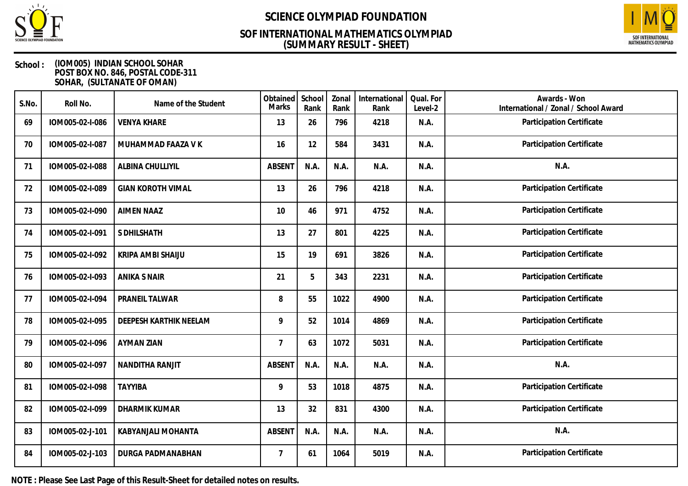

## **(SUMMARY RESULT - SHEET) SOF INTERNATIONAL MATHEMATICS OLYMPIAD**



### **School : (IOM005) INDIAN SCHOOL SOHAR POST BOX NO. 846, POSTAL CODE-311 SOHAR, (SULTANATE OF OMAN)**

| S.No. | Roll No.        | Name of the Student      | Obtained<br>Marks | School<br>Rank | Zonal<br>Rank | International<br>Rank | Qual. For<br>Level-2 | Awards - Won<br>International / Zonal / School Award |
|-------|-----------------|--------------------------|-------------------|----------------|---------------|-----------------------|----------------------|------------------------------------------------------|
| 69    | IOM005-02-I-086 | <b>VENYA KHARE</b>       | 13                | 26             | 796           | 4218                  | N.A.                 | Participation Certificate                            |
| 70    | IOM005-02-I-087 | MUHAMMAD FAAZA V K       | 16                | 12             | 584           | 3431                  | N.A.                 | Participation Certificate                            |
| 71    | IOM005-02-I-088 | ALBINA CHULLIYIL         | <b>ABSENT</b>     | N.A.           | N.A.          | N.A.                  | N.A.                 | N.A.                                                 |
| 72    | IOM005-02-I-089 | <b>GIAN KOROTH VIMAL</b> | 13                | 26             | 796           | 4218                  | N.A.                 | Participation Certificate                            |
| 73    | IOM005-02-I-090 | <b>AIMEN NAAZ</b>        | 10                | 46             | 971           | 4752                  | N.A.                 | Participation Certificate                            |
| 74    | IOM005-02-I-091 | S DHILSHATH              | 13                | 27             | 801           | 4225                  | N.A.                 | Participation Certificate                            |
| 75    | IOM005-02-I-092 | KRIPA AMBI SHAIJU        | 15                | 19             | 691           | 3826                  | N.A.                 | Participation Certificate                            |
| 76    | IOM005-02-I-093 | <b>ANIKA S NAIR</b>      | 21                | 5              | 343           | 2231                  | N.A.                 | Participation Certificate                            |
| 77    | IOM005-02-I-094 | PRANEIL TALWAR           | 8                 | 55             | 1022          | 4900                  | N.A.                 | Participation Certificate                            |
| 78    | IOM005-02-I-095 | DEEPESH KARTHIK NEELAM   | 9                 | 52             | 1014          | 4869                  | N.A.                 | Participation Certificate                            |
| 79    | IOM005-02-I-096 | AYMAN ZIAN               | $\overline{7}$    | 63             | 1072          | 5031                  | N.A.                 | Participation Certificate                            |
| 80    | IOM005-02-I-097 | NANDITHA RANJIT          | <b>ABSENT</b>     | N.A.           | N.A.          | N.A.                  | N.A.                 | N.A.                                                 |
| 81    | IOM005-02-I-098 | <b>TAYYIBA</b>           | 9                 | 53             | 1018          | 4875                  | N.A.                 | Participation Certificate                            |
| 82    | IOM005-02-I-099 | DHARMIK KUMAR            | 13                | 32             | 831           | 4300                  | N.A.                 | Participation Certificate                            |
| 83    | IOM005-02-J-101 | KABYANJALI MOHANTA       | <b>ABSENT</b>     | N.A.           | N.A.          | N.A.                  | N.A.                 | N.A.                                                 |
| 84    | IOM005-02-J-103 | DURGA PADMANABHAN        | $\overline{7}$    | 61             | 1064          | 5019                  | N.A.                 | Participation Certificate                            |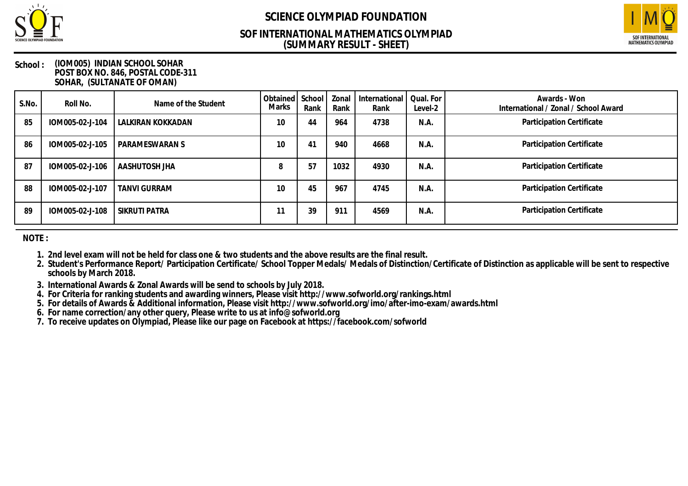

### **(SUMMARY RESULT - SHEET) SOF INTERNATIONAL MATHEMATICS OLYMPIAD**



#### **School : (IOM005) INDIAN SCHOOL SOHAR POST BOX NO. 846, POSTAL CODE-311 SOHAR, (SULTANATE OF OMAN)**

| S.No. | Roll No.        | Name of the Student | Obtained   School  <br><b>Marks</b> | Rank | Zonal<br>Rank | International  <br>Rank | Qual. For<br>Level-2 | Awards - Won<br>International / Zonal / School Award |
|-------|-----------------|---------------------|-------------------------------------|------|---------------|-------------------------|----------------------|------------------------------------------------------|
| 85    | IOM005-02-J-104 | LALKIRAN KOKKADAN   | 10                                  | 44   | 964           | 4738                    | N.A.                 | Participation Certificate                            |
| 86    | IOM005-02-J-105 | PARAMESWARAN S      | 10                                  | 41   | 940           | 4668                    | N.A.                 | Participation Certificate                            |
| 87    | IOM005-02-J-106 | AASHUTOSH JHA       | 8                                   | 57   | 1032          | 4930                    | N.A.                 | Participation Certificate                            |
| 88    | IOM005-02-J-107 | <b>TANVI GURRAM</b> | 10                                  | 45   | 967           | 4745                    | N.A.                 | Participation Certificate                            |
| 89    | IOM005-02-J-108 | SIKRUTI PATRA       | 11                                  | 39   | 911           | 4569                    | N.A.                 | Participation Certificate                            |

**NOTE :**

- **1. 2nd level exam will not be held for class one & two students and the above results are the final result.**
- **2. Student's Performance Report/ Participation Certificate/ School Topper Medals/ Medals of Distinction/Certificate of Distinction as applicable will be sent to respective schools by March 2018.**
- **3. International Awards & Zonal Awards will be send to schools by July 2018.**
- **4. For Criteria for ranking students and awarding winners, Please visit http://www.sofworld.org/rankings.html**
- **5. For details of Awards & Additional information, Please visit http://www.sofworld.org/imo/after-imo-exam/awards.html**
- **6. For name correction/any other query, Please write to us at info@sofworld.org**
- **7. To receive updates on Olympiad, Please like our page on Facebook at https://facebook.com/sofworld**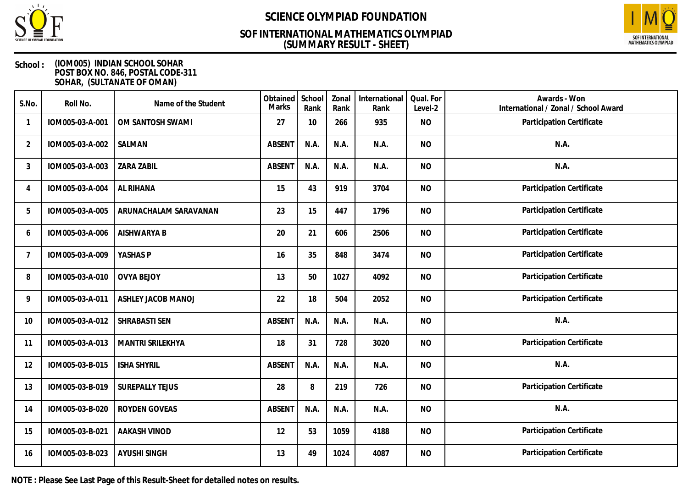

## **(SUMMARY RESULT - SHEET) SOF INTERNATIONAL MATHEMATICS OLYMPIAD**



### **School : (IOM005) INDIAN SCHOOL SOHAR POST BOX NO. 846, POSTAL CODE-311 SOHAR, (SULTANATE OF OMAN)**

| S.No.          | Roll No.        | Name of the Student    | Obtained<br>Marks | School<br>Rank | Zonal<br>Rank | International<br>Rank | Qual. For<br>Level-2 | Awards - Won<br>International / Zonal / School Award |
|----------------|-----------------|------------------------|-------------------|----------------|---------------|-----------------------|----------------------|------------------------------------------------------|
|                | IOM005-03-A-001 | OM SANTOSH SWAMI       | 27                | 10             | 266           | 935                   | <b>NO</b>            | Participation Certificate                            |
| $\overline{2}$ | IOM005-03-A-002 | SALMAN                 | <b>ABSENT</b>     | N.A.           | N.A.          | N.A.                  | <b>NO</b>            | N.A.                                                 |
| 3              | IOM005-03-A-003 | <b>ZARA ZABIL</b>      | <b>ABSENT</b>     | N.A.           | N.A.          | N.A.                  | <b>NO</b>            | N.A.                                                 |
| 4              | IOM005-03-A-004 | AL RIHANA              | 15                | 43             | 919           | 3704                  | <b>NO</b>            | Participation Certificate                            |
| 5              | IOM005-03-A-005 | ARUNACHALAM SARAVANAN  | 23                | 15             | 447           | 1796                  | <b>NO</b>            | Participation Certificate                            |
| 6              | IOM005-03-A-006 | AISHWARYA B            | 20                | 21             | 606           | 2506                  | <b>NO</b>            | Participation Certificate                            |
| $\overline{7}$ | IOM005-03-A-009 | YASHAS P               | 16                | 35             | 848           | 3474                  | <b>NO</b>            | Participation Certificate                            |
| 8              | IOM005-03-A-010 | <b>OVYA BEJOY</b>      | 13                | 50             | 1027          | 4092                  | <b>NO</b>            | Participation Certificate                            |
| 9              | IOM005-03-A-011 | ASHLEY JACOB MANOJ     | 22                | 18             | 504           | 2052                  | <b>NO</b>            | Participation Certificate                            |
| 10             | IOM005-03-A-012 | <b>SHRABASTI SEN</b>   | <b>ABSENT</b>     | N.A.           | N.A.          | N.A.                  | <b>NO</b>            | N.A.                                                 |
| 11             | IOM005-03-A-013 | MANTRI SRILEKHYA       | 18                | 31             | 728           | 3020                  | <b>NO</b>            | Participation Certificate                            |
| 12             | IOM005-03-B-015 | <b>ISHA SHYRIL</b>     | <b>ABSENT</b>     | N.A.           | N.A.          | N.A.                  | <b>NO</b>            | N.A.                                                 |
| 13             | IOM005-03-B-019 | <b>SUREPALLY TEJUS</b> | 28                | 8              | 219           | 726                   | <b>NO</b>            | Participation Certificate                            |
| 14             | IOM005-03-B-020 | ROYDEN GOVEAS          | <b>ABSENT</b>     | N.A.           | N.A.          | N.A.                  | <b>NO</b>            | N.A.                                                 |
| 15             | IOM005-03-B-021 | <b>AAKASH VINOD</b>    | 12                | 53             | 1059          | 4188                  | <b>NO</b>            | Participation Certificate                            |
| 16             | IOM005-03-B-023 | <b>AYUSHI SINGH</b>    | 13                | 49             | 1024          | 4087                  | <b>NO</b>            | Participation Certificate                            |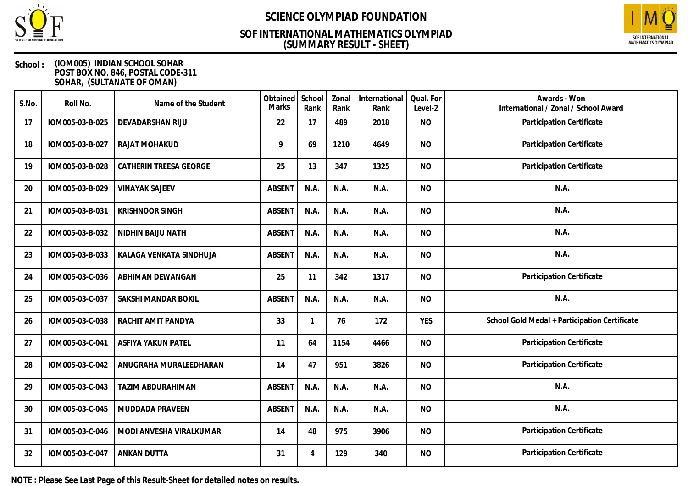

## **(SUMMARY RESULT - SHEET) SOF INTERNATIONAL MATHEMATICS OLYMPIAD**



### **School : (IOM005) INDIAN SCHOOL SOHAR POST BOX NO. 846, POSTAL CODE-311 SOHAR, (SULTANATE OF OMAN)**

| S.No. | Roll No.        | Name of the Student      | Obtained<br><b>Marks</b> | School<br>Rank | Zonal<br>Rank | International<br>Rank | Qual. For<br>Level-2 | Awards - Won<br>International / Zonal / School Award |
|-------|-----------------|--------------------------|--------------------------|----------------|---------------|-----------------------|----------------------|------------------------------------------------------|
| 17    | IOM005-03-B-025 | DEVADARSHAN RIJU         | 22                       | 17             | 489           | 2018                  | <b>NO</b>            | Participation Certificate                            |
| 18    | IOM005-03-B-027 | RAJAT MOHAKUD            | 9                        | 69             | 1210          | 4649                  | <b>NO</b>            | Participation Certificate                            |
| 19    | IOM005-03-B-028 | CATHERIN TREESA GEORGE   | 25                       | 13             | 347           | 1325                  | <b>NO</b>            | Participation Certificate                            |
| 20    | IOM005-03-B-029 | <b>VINAYAK SAJEEV</b>    | <b>ABSENT</b>            | N.A.           | N.A.          | N.A.                  | <b>NO</b>            | N.A.                                                 |
| 21    | IOM005-03-B-031 | <b>KRISHNOOR SINGH</b>   | <b>ABSENT</b>            | N.A.           | N.A.          | N.A.                  | <b>NO</b>            | N.A.                                                 |
| 22    | IOM005-03-B-032 | NIDHIN BAIJU NATH        | <b>ABSENT</b>            | N.A.           | N.A.          | N.A.                  | <b>NO</b>            | N.A.                                                 |
| 23    | IOM005-03-B-033 | KALAGA VENKATA SINDHUJA  | <b>ABSENT</b>            | N.A.           | N.A.          | N.A.                  | <b>NO</b>            | N.A.                                                 |
| 24    | IOM005-03-C-036 | ABHIMAN DEWANGAN         | 25                       | 11             | 342           | 1317                  | <b>NO</b>            | Participation Certificate                            |
| 25    | IOM005-03-C-037 | SAKSHI MANDAR BOKIL      | <b>ABSENT</b>            | N.A.           | N.A.          | N.A.                  | <b>NO</b>            | N.A.                                                 |
| 26    | IOM005-03-C-038 | RACHIT AMIT PANDYA       | 33                       | $\mathbf{1}$   | 76            | 172                   | <b>YES</b>           | School Gold Medal + Participation Certificate        |
| 27    | IOM005-03-C-041 | ASFIYA YAKUN PATEL       | 11                       | 64             | 1154          | 4466                  | <b>NO</b>            | Participation Certificate                            |
| 28    | IOM005-03-C-042 | ANUGRAHA MURALEEDHARAN   | 14                       | 47             | 951           | 3826                  | <b>NO</b>            | Participation Certificate                            |
| 29    | IOM005-03-C-043 | <b>TAZIM ABDURAHIMAN</b> | <b>ABSENT</b>            | N.A.           | N.A.          | N.A.                  | <b>NO</b>            | N.A.                                                 |
| 30    | IOM005-03-C-045 | MUDDADA PRAVEEN          | <b>ABSENT</b>            | N.A.           | N.A.          | N.A.                  | <b>NO</b>            | N.A.                                                 |
| 31    | IOM005-03-C-046 | MODI ANVESHA VIRALKUMAR  | 14                       | 48             | 975           | 3906                  | <b>NO</b>            | Participation Certificate                            |
| 32    | IOM005-03-C-047 | <b>ANKAN DUTTA</b>       | 31                       | 4              | 129           | 340                   | <b>NO</b>            | Participation Certificate                            |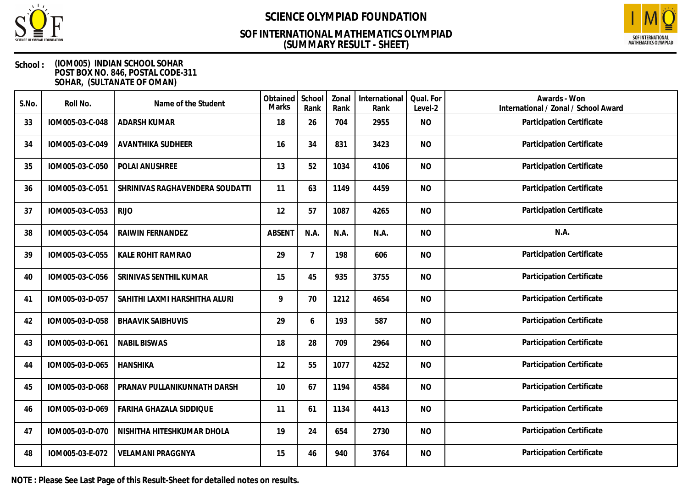

## **(SUMMARY RESULT - SHEET) SOF INTERNATIONAL MATHEMATICS OLYMPIAD**



### **School : (IOM005) INDIAN SCHOOL SOHAR POST BOX NO. 846, POSTAL CODE-311 SOHAR, (SULTANATE OF OMAN)**

| S.No. | Roll No.        | Name of the Student             | Obtained<br><b>Marks</b> | School<br>Rank | Zonal<br>Rank | International<br>Rank | Qual. For<br>Level-2 | Awards - Won<br>International / Zonal / School Award |
|-------|-----------------|---------------------------------|--------------------------|----------------|---------------|-----------------------|----------------------|------------------------------------------------------|
| 33    | IOM005-03-C-048 | <b>ADARSH KUMAR</b>             | 18                       | 26             | 704           | 2955                  | <b>NO</b>            | Participation Certificate                            |
| 34    | IOM005-03-C-049 | <b>AVANTHIKA SUDHEER</b>        | 16                       | 34             | 831           | 3423                  | <b>NO</b>            | Participation Certificate                            |
| 35    | IOM005-03-C-050 | POLAI ANUSHREE                  | 13                       | 52             | 1034          | 4106                  | <b>NO</b>            | Participation Certificate                            |
| 36    | IOM005-03-C-051 | SHRINIVAS RAGHAVENDERA SOUDATTI | 11                       | 63             | 1149          | 4459                  | <b>NO</b>            | Participation Certificate                            |
| 37    | IOM005-03-C-053 | <b>RIJO</b>                     | 12                       | 57             | 1087          | 4265                  | <b>NO</b>            | Participation Certificate                            |
| 38    | IOM005-03-C-054 | RAIWIN FERNANDEZ                | <b>ABSENT</b>            | N.A.           | N.A.          | N.A.                  | <b>NO</b>            | N.A.                                                 |
| 39    | IOM005-03-C-055 | KALE ROHIT RAMRAO               | 29                       | $\overline{7}$ | 198           | 606                   | <b>NO</b>            | Participation Certificate                            |
| 40    | IOM005-03-C-056 | SRINIVAS SENTHIL KUMAR          | 15                       | 45             | 935           | 3755                  | <b>NO</b>            | Participation Certificate                            |
| 41    | IOM005-03-D-057 | SAHITHI LAXMI HARSHITHA ALURI   | 9                        | 70             | 1212          | 4654                  | <b>NO</b>            | Participation Certificate                            |
| 42    | IOM005-03-D-058 | <b>BHAAVIK SAIBHUVIS</b>        | 29                       | 6              | 193           | 587                   | <b>NO</b>            | Participation Certificate                            |
| 43    | IOM005-03-D-061 | <b>NABIL BISWAS</b>             | 18                       | 28             | 709           | 2964                  | <b>NO</b>            | Participation Certificate                            |
| 44    | IOM005-03-D-065 | <b>HANSHIKA</b>                 | 12                       | 55             | 1077          | 4252                  | <b>NO</b>            | Participation Certificate                            |
| 45    | IOM005-03-D-068 | PRANAV PULLANIKUNNATH DARSH     | 10                       | 67             | 1194          | 4584                  | <b>NO</b>            | Participation Certificate                            |
| 46    | IOM005-03-D-069 | FARIHA GHAZALA SIDDIQUE         | 11                       | 61             | 1134          | 4413                  | <b>NO</b>            | Participation Certificate                            |
| 47    | IOM005-03-D-070 | NISHITHA HITESHKUMAR DHOLA      | 19                       | 24             | 654           | 2730                  | <b>NO</b>            | Participation Certificate                            |
| 48    | IOM005-03-E-072 | <b>VELAMANI PRAGGNYA</b>        | 15                       | 46             | 940           | 3764                  | <b>NO</b>            | Participation Certificate                            |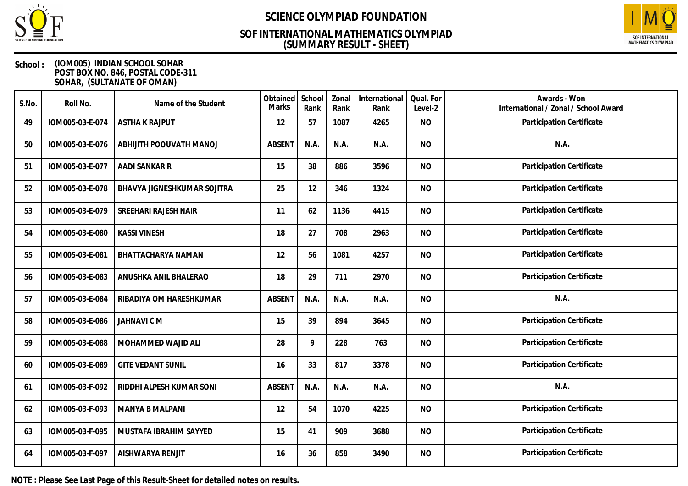

## **(SUMMARY RESULT - SHEET) SOF INTERNATIONAL MATHEMATICS OLYMPIAD**



### **School : (IOM005) INDIAN SCHOOL SOHAR POST BOX NO. 846, POSTAL CODE-311 SOHAR, (SULTANATE OF OMAN)**

| S.No. | Roll No.        | Name of the Student         | Obtained<br>Marks | School<br>Rank | Zonal<br>Rank | International<br>Rank | Qual. For<br>Level-2 | Awards - Won<br>International / Zonal / School Award |
|-------|-----------------|-----------------------------|-------------------|----------------|---------------|-----------------------|----------------------|------------------------------------------------------|
| 49    | IOM005-03-E-074 | <b>ASTHA K RAJPUT</b>       | 12                | 57             | 1087          | 4265                  | <b>NO</b>            | Participation Certificate                            |
| 50    | IOM005-03-E-076 | ABHIJITH POOUVATH MANOJ     | <b>ABSENT</b>     | N.A.           | N.A.          | N.A.                  | <b>NO</b>            | N.A.                                                 |
| 51    | IOM005-03-E-077 | AADI SANKAR R               | 15                | 38             | 886           | 3596                  | <b>NO</b>            | Participation Certificate                            |
| 52    | IOM005-03-E-078 | BHAVYA JIGNESHKUMAR SOJITRA | 25                | 12             | 346           | 1324                  | <b>NO</b>            | Participation Certificate                            |
| 53    | IOM005-03-E-079 | SREEHARI RAJESH NAIR        | 11                | 62             | 1136          | 4415                  | <b>NO</b>            | Participation Certificate                            |
| 54    | IOM005-03-E-080 | <b>KASSI VINESH</b>         | 18                | 27             | 708           | 2963                  | <b>NO</b>            | Participation Certificate                            |
| 55    | IOM005-03-E-081 | BHATTACHARYA NAMAN          | 12                | 56             | 1081          | 4257                  | <b>NO</b>            | Participation Certificate                            |
| 56    | IOM005-03-E-083 | ANUSHKA ANIL BHALERAO       | 18                | 29             | 711           | 2970                  | <b>NO</b>            | Participation Certificate                            |
| 57    | IOM005-03-E-084 | RIBADIYA OM HARESHKUMAR     | <b>ABSENT</b>     | N.A.           | N.A.          | N.A.                  | <b>NO</b>            | N.A.                                                 |
| 58    | IOM005-03-E-086 | <b>JAHNAVI CM</b>           | 15                | 39             | 894           | 3645                  | <b>NO</b>            | Participation Certificate                            |
| 59    | IOM005-03-E-088 | MOHAMMED WAJID ALI          | 28                | 9              | 228           | 763                   | <b>NO</b>            | Participation Certificate                            |
| 60    | IOM005-03-E-089 | <b>GITE VEDANT SUNIL</b>    | 16                | 33             | 817           | 3378                  | <b>NO</b>            | Participation Certificate                            |
| 61    | IOM005-03-F-092 | RIDDHI ALPESH KUMAR SONI    | <b>ABSENT</b>     | N.A.           | N.A.          | N.A.                  | <b>NO</b>            | N.A.                                                 |
| 62    | IOM005-03-F-093 | MANYA B MALPANI             | 12                | 54             | 1070          | 4225                  | <b>NO</b>            | Participation Certificate                            |
| 63    | IOM005-03-F-095 | MUSTAFA IBRAHIM SAYYED      | 15                | 41             | 909           | 3688                  | <b>NO</b>            | Participation Certificate                            |
| 64    | IOM005-03-F-097 | AISHWARYA RENJIT            | 16                | 36             | 858           | 3490                  | <b>NO</b>            | Participation Certificate                            |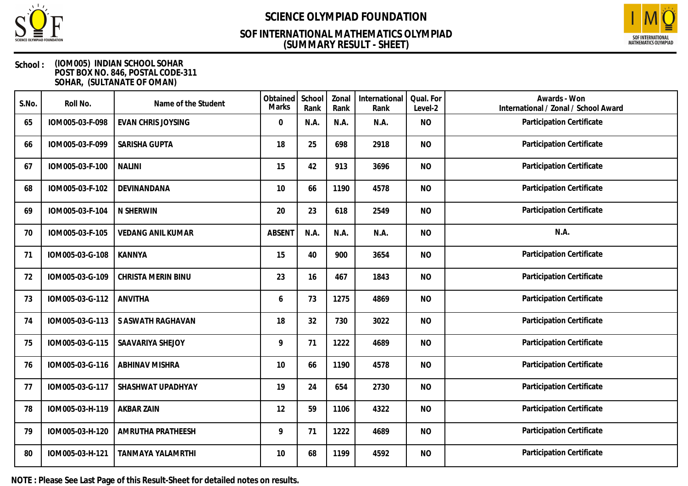

## **(SUMMARY RESULT - SHEET) SOF INTERNATIONAL MATHEMATICS OLYMPIAD**



### **School : (IOM005) INDIAN SCHOOL SOHAR POST BOX NO. 846, POSTAL CODE-311 SOHAR, (SULTANATE OF OMAN)**

| S.No. | Roll No.        | Name of the Student       | Obtained<br>Marks | School<br>Rank | Zonal<br>Rank | International<br>Rank | Qual. For<br>Level-2 | Awards - Won<br>International / Zonal / School Award |
|-------|-----------------|---------------------------|-------------------|----------------|---------------|-----------------------|----------------------|------------------------------------------------------|
| 65    | IOM005-03-F-098 | <b>EVAN CHRIS JOYSING</b> | 0                 | N.A.           | N.A.          | N.A.                  | <b>NO</b>            | Participation Certificate                            |
| 66    | IOM005-03-F-099 | SARISHA GUPTA             | 18                | 25             | 698           | 2918                  | <b>NO</b>            | Participation Certificate                            |
| 67    | IOM005-03-F-100 | <b>NALINI</b>             | 15                | 42             | 913           | 3696                  | <b>NO</b>            | Participation Certificate                            |
| 68    | IOM005-03-F-102 | DEVINANDANA               | 10                | 66             | 1190          | 4578                  | <b>NO</b>            | Participation Certificate                            |
| 69    | IOM005-03-F-104 | N SHERWIN                 | 20                | 23             | 618           | 2549                  | <b>NO</b>            | Participation Certificate                            |
| 70    | IOM005-03-F-105 | <b>VEDANG ANIL KUMAR</b>  | <b>ABSENT</b>     | N.A.           | N.A.          | N.A.                  | <b>NO</b>            | N.A.                                                 |
| 71    | IOM005-03-G-108 | <b>KANNYA</b>             | 15                | 40             | 900           | 3654                  | <b>NO</b>            | Participation Certificate                            |
| 72    | IOM005-03-G-109 | CHRISTA MERIN BINU        | 23                | 16             | 467           | 1843                  | <b>NO</b>            | Participation Certificate                            |
| 73    | IOM005-03-G-112 | <b>ANVITHA</b>            | 6                 | 73             | 1275          | 4869                  | <b>NO</b>            | Participation Certificate                            |
| 74    | IOM005-03-G-113 | S ASWATH RAGHAVAN         | 18                | 32             | 730           | 3022                  | <b>NO</b>            | Participation Certificate                            |
| 75    | IOM005-03-G-115 | SAAVARIYA SHEJOY          | 9                 | 71             | 1222          | 4689                  | <b>NO</b>            | Participation Certificate                            |
| 76    | IOM005-03-G-116 | <b>ABHINAV MISHRA</b>     | 10                | 66             | 1190          | 4578                  | <b>NO</b>            | Participation Certificate                            |
| 77    | IOM005-03-G-117 | SHASHWAT UPADHYAY         | 19                | 24             | 654           | 2730                  | <b>NO</b>            | Participation Certificate                            |
| 78    | IOM005-03-H-119 | <b>AKBAR ZAIN</b>         | 12                | 59             | 1106          | 4322                  | <b>NO</b>            | Participation Certificate                            |
| 79    | IOM005-03-H-120 | AMRUTHA PRATHEESH         | 9                 | 71             | 1222          | 4689                  | <b>NO</b>            | Participation Certificate                            |
| 80    | IOM005-03-H-121 | <b>TANMAYA YALAMRTHI</b>  | 10                | 68             | 1199          | 4592                  | <b>NO</b>            | Participation Certificate                            |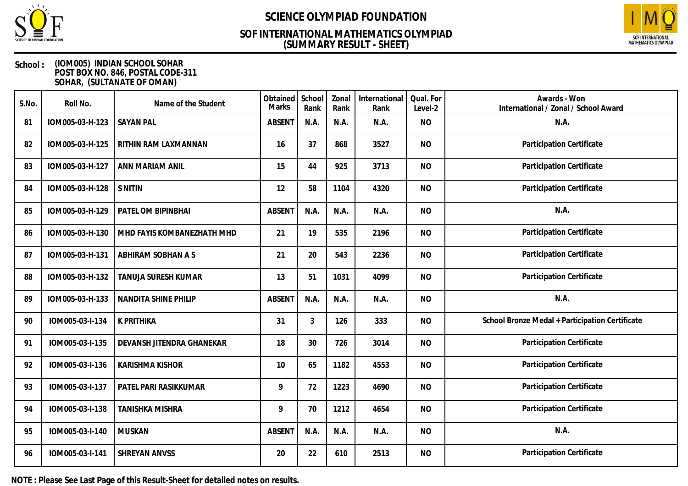

## **(SUMMARY RESULT - SHEET) SOF INTERNATIONAL MATHEMATICS OLYMPIAD**



### **School : (IOM005) INDIAN SCHOOL SOHAR POST BOX NO. 846, POSTAL CODE-311 SOHAR, (SULTANATE OF OMAN)**

| S.No. | Roll No.        | Name of the Student        | Obtained<br><b>Marks</b> | School<br>Rank | Zonal<br>Rank | International<br>Rank | Qual. For<br>Level-2 | Awards - Won<br>International / Zonal / School Award |
|-------|-----------------|----------------------------|--------------------------|----------------|---------------|-----------------------|----------------------|------------------------------------------------------|
| 81    | IOM005-03-H-123 | <b>SAYAN PAL</b>           | <b>ABSENT</b>            | N.A.           | N.A.          | N.A.                  | <b>NO</b>            | N.A.                                                 |
| 82    | IOM005-03-H-125 | RITHIN RAM LAXMANNAN       | 16                       | 37             | 868           | 3527                  | <b>NO</b>            | Participation Certificate                            |
| 83    | IOM005-03-H-127 | ANN MARIAM ANIL            | 15                       | 44             | 925           | 3713                  | <b>NO</b>            | Participation Certificate                            |
| 84    | IOM005-03-H-128 | <b>S NITIN</b>             | 12                       | 58             | 1104          | 4320                  | <b>NO</b>            | Participation Certificate                            |
| 85    | IOM005-03-H-129 | PATEL OM BIPINBHAI         | <b>ABSENT</b>            | N.A.           | N.A.          | N.A.                  | <b>NO</b>            | N.A.                                                 |
| 86    | IOM005-03-H-130 | MHD FAYIS KOMBANEZHATH MHD | 21                       | 19             | 535           | 2196                  | <b>NO</b>            | Participation Certificate                            |
| 87    | IOM005-03-H-131 | ABHIRAM SOBHAN A S         | 21                       | 20             | 543           | 2236                  | <b>NO</b>            | Participation Certificate                            |
| 88    | IOM005-03-H-132 | TANUJA SURESH KUMAR        | 13                       | 51             | 1031          | 4099                  | <b>NO</b>            | Participation Certificate                            |
| 89    | IOM005-03-H-133 | NANDITA SHINE PHILIP       | <b>ABSENT</b>            | N.A.           | N.A.          | N.A.                  | <b>NO</b>            | N.A.                                                 |
| 90    | IOM005-03-I-134 | <b>K PRITHIKA</b>          | 31                       | 3              | 126           | 333                   | <b>NO</b>            | School Bronze Medal + Participation Certificate      |
| 91    | IOM005-03-I-135 | DEVANSH JITENDRA GHANEKAR  | 18                       | 30             | 726           | 3014                  | <b>NO</b>            | Participation Certificate                            |
| 92    | IOM005-03-I-136 | <b>KARISHMA KISHOR</b>     | 10                       | 65             | 1182          | 4553                  | <b>NO</b>            | <b>Participation Certificate</b>                     |
| 93    | IOM005-03-I-137 | PATEL PARI RASIKKUMAR      | 9                        | 72             | 1223          | 4690                  | <b>NO</b>            | Participation Certificate                            |
| 94    | IOM005-03-I-138 | <b>TANISHKA MISHRA</b>     | 9                        | 70             | 1212          | 4654                  | <b>NO</b>            | Participation Certificate                            |
| 95    | IOM005-03-I-140 | <b>MUSKAN</b>              | <b>ABSENT</b>            | N.A.           | N.A.          | N.A.                  | <b>NO</b>            | N.A.                                                 |
| 96    | IOM005-03-I-141 | SHREYAN ANVSS              | 20                       | 22             | 610           | 2513                  | <b>NO</b>            | Participation Certificate                            |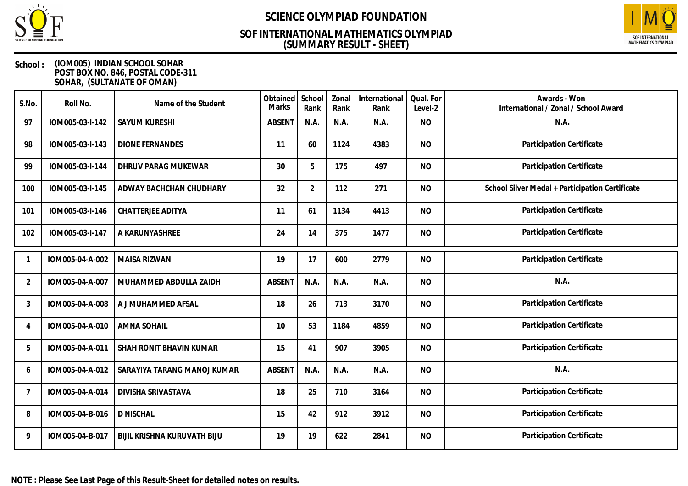

## **(SUMMARY RESULT - SHEET) SOF INTERNATIONAL MATHEMATICS OLYMPIAD**



| S.No.          | Roll No.        | Name of the Student         | Obtained<br>Marks | School<br>Rank | Zonal<br>Rank | International<br>Rank | Qual. For<br>Level-2 | Awards - Won<br>International / Zonal / School Award |
|----------------|-----------------|-----------------------------|-------------------|----------------|---------------|-----------------------|----------------------|------------------------------------------------------|
| 97             | IOM005-03-I-142 | <b>SAYUM KURESHI</b>        | <b>ABSENT</b>     | N.A.           | N.A.          | N.A.                  | <b>NO</b>            | N.A.                                                 |
| 98             | IOM005-03-I-143 | <b>DIONE FERNANDES</b>      | 11                | 60             | 1124          | 4383                  | <b>NO</b>            | Participation Certificate                            |
| 99             | IOM005-03-I-144 | DHRUV PARAG MUKEWAR         | 30                | 5              | 175           | 497                   | <b>NO</b>            | Participation Certificate                            |
| 100            | IOM005-03-I-145 | ADWAY BACHCHAN CHUDHARY     | 32                | $\overline{2}$ | 112           | 271                   | <b>NO</b>            | School Silver Medal + Participation Certificate      |
| 101            | IOM005-03-I-146 | <b>CHATTERJEE ADITYA</b>    | 11                | 61             | 1134          | 4413                  | <b>NO</b>            | Participation Certificate                            |
| 102            | IOM005-03-I-147 | A KARUNYASHREE              | 24                | 14             | 375           | 1477                  | <b>NO</b>            | Participation Certificate                            |
|                | IOM005-04-A-002 | MAISA RIZWAN                | 19                | 17             | 600           | 2779                  | <b>NO</b>            | Participation Certificate                            |
| $\overline{2}$ | IOM005-04-A-007 | MUHAMMED ABDULLA ZAIDH      | <b>ABSENT</b>     | N.A.           | N.A.          | N.A.                  | <b>NO</b>            | N.A.                                                 |
| 3              | IOM005-04-A-008 | A J MUHAMMED AFSAL          | 18                | 26             | 713           | 3170                  | <b>NO</b>            | Participation Certificate                            |
| $\overline{4}$ | IOM005-04-A-010 | <b>AMNA SOHAIL</b>          | 10                | 53             | 1184          | 4859                  | <b>NO</b>            | Participation Certificate                            |
| 5              | IOM005-04-A-011 | SHAH RONIT BHAVIN KUMAR     | 15                | 41             | 907           | 3905                  | <b>NO</b>            | Participation Certificate                            |
| 6              | IOM005-04-A-012 | SARAYIYA TARANG MANOJ KUMAR | <b>ABSENT</b>     | N.A.           | N.A.          | N.A.                  | <b>NO</b>            | N.A.                                                 |
| 7              | IOM005-04-A-014 | DIVISHA SRIVASTAVA          | 18                | 25             | 710           | 3164                  | <b>NO</b>            | Participation Certificate                            |
| 8              | IOM005-04-B-016 | <b>D NISCHAL</b>            | 15                | 42             | 912           | 3912                  | <b>NO</b>            | Participation Certificate                            |
| 9              | IOM005-04-B-017 | BIJIL KRISHNA KURUVATH BIJU | 19                | 19             | 622           | 2841                  | <b>NO</b>            | Participation Certificate                            |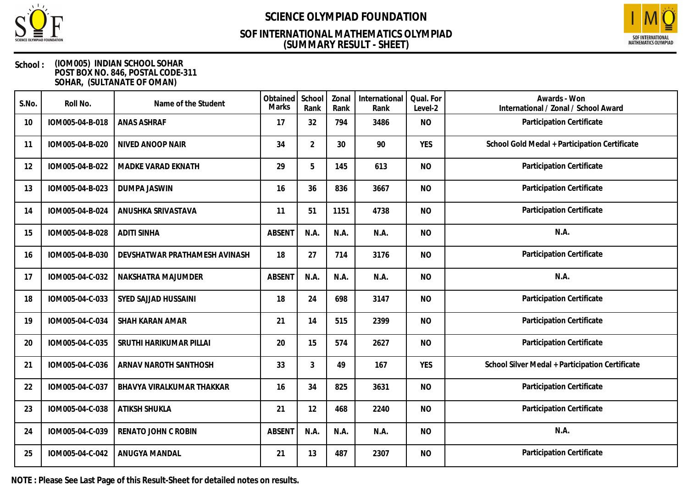

## **(SUMMARY RESULT - SHEET) SOF INTERNATIONAL MATHEMATICS OLYMPIAD**



### **School : (IOM005) INDIAN SCHOOL SOHAR POST BOX NO. 846, POSTAL CODE-311 SOHAR, (SULTANATE OF OMAN)**

| S.No. | Roll No.        | Name of the Student           | Obtained<br><b>Marks</b> | School<br>Rank | Zonal<br>Rank | International<br>Rank | Qual. For<br>Level-2 | Awards - Won<br>International / Zonal / School Award |
|-------|-----------------|-------------------------------|--------------------------|----------------|---------------|-----------------------|----------------------|------------------------------------------------------|
| 10    | IOM005-04-B-018 | <b>ANAS ASHRAF</b>            | 17                       | 32             | 794           | 3486                  | <b>NO</b>            | Participation Certificate                            |
| 11    | IOM005-04-B-020 | NIVED ANOOP NAIR              | 34                       | $\overline{2}$ | 30            | 90                    | <b>YES</b>           | School Gold Medal + Participation Certificate        |
| 12    | IOM005-04-B-022 | MADKE VARAD EKNATH            | 29                       | 5              | 145           | 613                   | <b>NO</b>            | Participation Certificate                            |
| 13    | IOM005-04-B-023 | <b>DUMPA JASWIN</b>           | 16                       | 36             | 836           | 3667                  | <b>NO</b>            | Participation Certificate                            |
| 14    | IOM005-04-B-024 | ANUSHKA SRIVASTAVA            | 11                       | 51             | 1151          | 4738                  | <b>NO</b>            | Participation Certificate                            |
| 15    | IOM005-04-B-028 | <b>ADITI SINHA</b>            | <b>ABSENT</b>            | N.A.           | N.A.          | N.A.                  | <b>NO</b>            | N.A.                                                 |
| 16    | IOM005-04-B-030 | DEVSHATWAR PRATHAMESH AVINASH | 18                       | 27             | 714           | 3176                  | <b>NO</b>            | Participation Certificate                            |
| 17    | IOM005-04-C-032 | NAKSHATRA MAJUMDER            | <b>ABSENT</b>            | N.A.           | N.A.          | N.A.                  | <b>NO</b>            | N.A.                                                 |
| 18    | IOM005-04-C-033 | SYED SAJJAD HUSSAINI          | 18                       | 24             | 698           | 3147                  | <b>NO</b>            | Participation Certificate                            |
| 19    | IOM005-04-C-034 | SHAH KARAN AMAR               | 21                       | 14             | 515           | 2399                  | <b>NO</b>            | Participation Certificate                            |
| 20    | IOM005-04-C-035 | SRUTHI HARIKUMAR PILLAI       | 20                       | 15             | 574           | 2627                  | <b>NO</b>            | Participation Certificate                            |
| 21    | IOM005-04-C-036 | ARNAV NAROTH SANTHOSH         | 33                       | 3              | 49            | 167                   | <b>YES</b>           | School Silver Medal + Participation Certificate      |
| 22    | IOM005-04-C-037 | BHAVYA VIRALKUMAR THAKKAR     | 16                       | 34             | 825           | 3631                  | <b>NO</b>            | Participation Certificate                            |
| 23    | IOM005-04-C-038 | <b>ATIKSH SHUKLA</b>          | 21                       | 12             | 468           | 2240                  | <b>NO</b>            | Participation Certificate                            |
| 24    | IOM005-04-C-039 | RENATO JOHN C ROBIN           | <b>ABSENT</b>            | N.A.           | N.A.          | N.A.                  | <b>NO</b>            | N.A.                                                 |
| 25    | IOM005-04-C-042 | ANUGYA MANDAL                 | 21                       | 13             | 487           | 2307                  | <b>NO</b>            | Participation Certificate                            |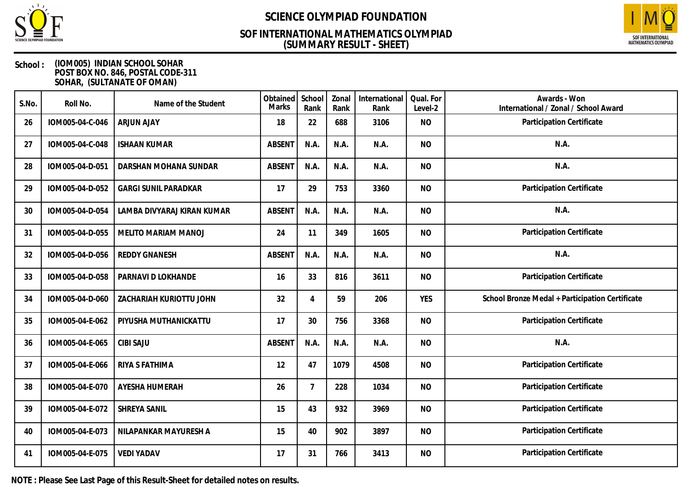

## **(SUMMARY RESULT - SHEET) SOF INTERNATIONAL MATHEMATICS OLYMPIAD**



### **School : (IOM005) INDIAN SCHOOL SOHAR POST BOX NO. 846, POSTAL CODE-311 SOHAR, (SULTANATE OF OMAN)**

| S.No. | Roll No.        | Name of the Student         | Obtained<br>Marks | School<br>Rank | Zonal<br>Rank | International<br>Rank | Qual. For<br>Level-2 | Awards - Won<br>International / Zonal / School Award |
|-------|-----------------|-----------------------------|-------------------|----------------|---------------|-----------------------|----------------------|------------------------------------------------------|
| 26    | IOM005-04-C-046 | <b>ARJUN AJAY</b>           | 18                | 22             | 688           | 3106                  | <b>NO</b>            | Participation Certificate                            |
| 27    | IOM005-04-C-048 | <b>ISHAAN KUMAR</b>         | <b>ABSENT</b>     | N.A.           | N.A.          | N.A.                  | <b>NO</b>            | N.A.                                                 |
| 28    | IOM005-04-D-051 | DARSHAN MOHANA SUNDAR       | <b>ABSENT</b>     | N.A.           | N.A.          | N.A.                  | <b>NO</b>            | N.A.                                                 |
| 29    | IOM005-04-D-052 | <b>GARGI SUNIL PARADKAR</b> | 17                | 29             | 753           | 3360                  | <b>NO</b>            | Participation Certificate                            |
| 30    | IOM005-04-D-054 | LAMBA DIVYARAJ KIRAN KUMAR  | <b>ABSENT</b>     | N.A.           | N.A.          | N.A.                  | <b>NO</b>            | N.A.                                                 |
| 31    | IOM005-04-D-055 | MELITO MARIAM MANOJ         | 24                | 11             | 349           | 1605                  | <b>NO</b>            | Participation Certificate                            |
| 32    | IOM005-04-D-056 | <b>REDDY GNANESH</b>        | <b>ABSENT</b>     | N.A.           | N.A.          | N.A.                  | <b>NO</b>            | N.A.                                                 |
| 33    | IOM005-04-D-058 | PARNAVI D LOKHANDE          | 16                | 33             | 816           | 3611                  | <b>NO</b>            | Participation Certificate                            |
| 34    | IOM005-04-D-060 | ZACHARIAH KURIOTTU JOHN     | 32                | $\overline{4}$ | 59            | 206                   | <b>YES</b>           | School Bronze Medal + Participation Certificate      |
| 35    | IOM005-04-E-062 | PIYUSHA MUTHANICKATTU       | 17                | 30             | 756           | 3368                  | <b>NO</b>            | Participation Certificate                            |
| 36    | IOM005-04-E-065 | <b>CIBI SAJU</b>            | <b>ABSENT</b>     | N.A.           | N.A.          | N.A.                  | <b>NO</b>            | N.A.                                                 |
| 37    | IOM005-04-E-066 | RIYA S FATHIMA              | 12                | 47             | 1079          | 4508                  | <b>NO</b>            | Participation Certificate                            |
| 38    | IOM005-04-E-070 | AYESHA HUMERAH              | 26                | $\overline{7}$ | 228           | 1034                  | <b>NO</b>            | Participation Certificate                            |
| 39    | IOM005-04-E-072 | SHREYA SANIL                | 15                | 43             | 932           | 3969                  | <b>NO</b>            | Participation Certificate                            |
| 40    | IOM005-04-E-073 | NILAPANKAR MAYURESH A       | 15                | 40             | 902           | 3897                  | <b>NO</b>            | Participation Certificate                            |
| 41    | IOM005-04-E-075 | <b>VEDI YADAV</b>           | 17                | 31             | 766           | 3413                  | <b>NO</b>            | Participation Certificate                            |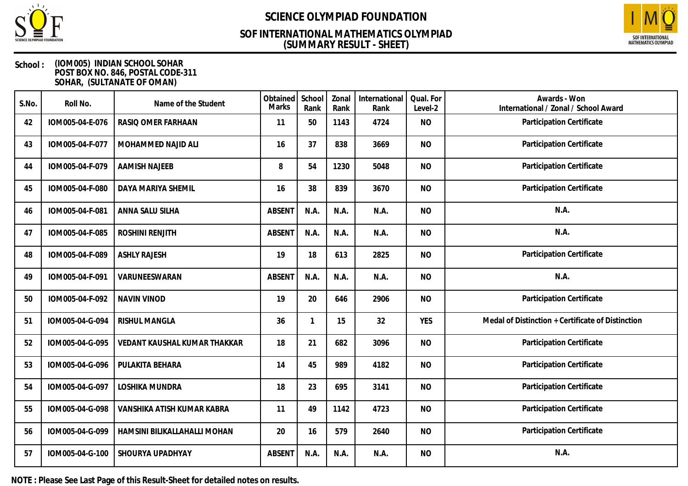

## **(SUMMARY RESULT - SHEET) SOF INTERNATIONAL MATHEMATICS OLYMPIAD**



### **School : (IOM005) INDIAN SCHOOL SOHAR POST BOX NO. 846, POSTAL CODE-311 SOHAR, (SULTANATE OF OMAN)**

| S.No. | Roll No.        | Name of the Student          | Obtained<br>Marks | School<br>Rank | Zonal<br>Rank | International<br>Rank | Qual. For<br>Level-2 | Awards - Won<br>International / Zonal / School Award |
|-------|-----------------|------------------------------|-------------------|----------------|---------------|-----------------------|----------------------|------------------------------------------------------|
| 42    | IOM005-04-E-076 | RASIQ OMER FARHAAN           | 11                | 50             | 1143          | 4724                  | <b>NO</b>            | Participation Certificate                            |
| 43    | IOM005-04-F-077 | MOHAMMED NAJID ALI           | 16                | 37             | 838           | 3669                  | <b>NO</b>            | Participation Certificate                            |
| 44    | IOM005-04-F-079 | <b>AAMISH NAJEEB</b>         | 8                 | 54             | 1230          | 5048                  | <b>NO</b>            | Participation Certificate                            |
| 45    | IOM005-04-F-080 | DAYA MARIYA SHEMIL           | 16                | 38             | 839           | 3670                  | <b>NO</b>            | Participation Certificate                            |
| 46    | IOM005-04-F-081 | ANNA SALU SILHA              | <b>ABSENT</b>     | N.A.           | N.A.          | N.A.                  | <b>NO</b>            | N.A.                                                 |
| 47    | IOM005-04-F-085 | ROSHINI RENJITH              | <b>ABSENT</b>     | N.A.           | N.A.          | N.A.                  | <b>NO</b>            | N.A.                                                 |
| 48    | IOM005-04-F-089 | <b>ASHLY RAJESH</b>          | 19                | 18             | 613           | 2825                  | <b>NO</b>            | Participation Certificate                            |
| 49    | IOM005-04-F-091 | VARUNEESWARAN                | <b>ABSENT</b>     | N.A.           | N.A.          | N.A.                  | <b>NO</b>            | N.A.                                                 |
| 50    | IOM005-04-F-092 | NAVIN VINOD                  | 19                | 20             | 646           | 2906                  | <b>NO</b>            | Participation Certificate                            |
| 51    | IOM005-04-G-094 | RISHUL MANGLA                | 36                | $\mathbf{1}$   | 15            | 32                    | <b>YES</b>           | Medal of Distinction + Certificate of Distinction    |
| 52    | IOM005-04-G-095 | VEDANT KAUSHAL KUMAR THAKKAR | 18                | 21             | 682           | 3096                  | <b>NO</b>            | Participation Certificate                            |
| 53    | IOM005-04-G-096 | PULAKITA BEHARA              | 14                | 45             | 989           | 4182                  | <b>NO</b>            | Participation Certificate                            |
| 54    | IOM005-04-G-097 | LOSHIKA MUNDRA               | 18                | 23             | 695           | 3141                  | <b>NO</b>            | Participation Certificate                            |
| 55    | IOM005-04-G-098 | VANSHIKA ATISH KUMAR KABRA   | 11                | 49             | 1142          | 4723                  | <b>NO</b>            | Participation Certificate                            |
| 56    | IOM005-04-G-099 | HAMSINI BILIKALLAHALLI MOHAN | 20                | 16             | 579           | 2640                  | <b>NO</b>            | Participation Certificate                            |
| 57    | IOM005-04-G-100 | SHOURYA UPADHYAY             | <b>ABSENT</b>     | N.A.           | N.A.          | N.A.                  | <b>NO</b>            | N.A.                                                 |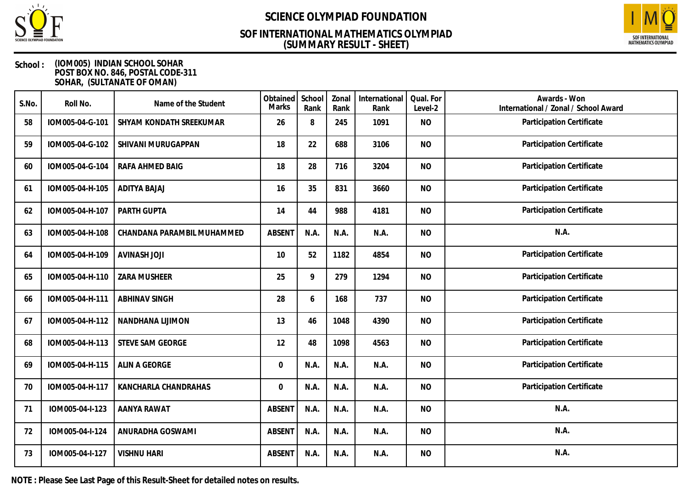

## **(SUMMARY RESULT - SHEET) SOF INTERNATIONAL MATHEMATICS OLYMPIAD**



### **School : (IOM005) INDIAN SCHOOL SOHAR POST BOX NO. 846, POSTAL CODE-311 SOHAR, (SULTANATE OF OMAN)**

| S.No. | Roll No.        | Name of the Student        | Obtained<br><b>Marks</b> | School<br>Rank | Zonal<br>Rank | International<br>Rank | Qual. For<br>Level-2 | Awards - Won<br>International / Zonal / School Award |
|-------|-----------------|----------------------------|--------------------------|----------------|---------------|-----------------------|----------------------|------------------------------------------------------|
| 58    | IOM005-04-G-101 | SHYAM KONDATH SREEKUMAR    | 26                       | 8              | 245           | 1091                  | <b>NO</b>            | Participation Certificate                            |
| 59    | IOM005-04-G-102 | SHIVANI MURUGAPPAN         | 18                       | 22             | 688           | 3106                  | <b>NO</b>            | Participation Certificate                            |
| 60    | IOM005-04-G-104 | RAFA AHMED BAIG            | 18                       | 28             | 716           | 3204                  | <b>NO</b>            | Participation Certificate                            |
| 61    | IOM005-04-H-105 | <b>ADITYA BAJAJ</b>        | 16                       | 35             | 831           | 3660                  | <b>NO</b>            | Participation Certificate                            |
| 62    | IOM005-04-H-107 | PARTH GUPTA                | 14                       | 44             | 988           | 4181                  | <b>NO</b>            | Participation Certificate                            |
| 63    | IOM005-04-H-108 | CHANDANA PARAMBIL MUHAMMED | <b>ABSENT</b>            | N.A.           | N.A.          | N.A.                  | <b>NO</b>            | N.A.                                                 |
| 64    | IOM005-04-H-109 | <b>AVINASH JOJI</b>        | 10 <sup>°</sup>          | 52             | 1182          | 4854                  | <b>NO</b>            | Participation Certificate                            |
| 65    | IOM005-04-H-110 | <b>ZARA MUSHEER</b>        | 25                       | 9              | 279           | 1294                  | <b>NO</b>            | Participation Certificate                            |
| 66    | IOM005-04-H-111 | <b>ABHINAV SINGH</b>       | 28                       | 6              | 168           | 737                   | <b>NO</b>            | Participation Certificate                            |
| 67    | IOM005-04-H-112 | NANDHANA LIJIMON           | 13                       | 46             | 1048          | 4390                  | <b>NO</b>            | Participation Certificate                            |
| 68    | IOM005-04-H-113 | STEVE SAM GEORGE           | 12                       | 48             | 1098          | 4563                  | <b>NO</b>            | Participation Certificate                            |
| 69    | IOM005-04-H-115 | ALIN A GEORGE              | 0                        | N.A.           | N.A.          | N.A.                  | <b>NO</b>            | Participation Certificate                            |
| 70    | IOM005-04-H-117 | KANCHARLA CHANDRAHAS       | 0                        | N.A.           | N.A.          | N.A.                  | <b>NO</b>            | Participation Certificate                            |
| 71    | IOM005-04-I-123 | AANYA RAWAT                | <b>ABSENT</b>            | N.A.           | N.A.          | N.A.                  | <b>NO</b>            | N.A.                                                 |
| 72    | IOM005-04-I-124 | ANURADHA GOSWAMI           | <b>ABSENT</b>            | N.A.           | N.A.          | N.A.                  | <b>NO</b>            | N.A.                                                 |
| 73    | IOM005-04-I-127 | <b>VISHNU HARI</b>         | <b>ABSENT</b>            | N.A.           | N.A.          | N.A.                  | <b>NO</b>            | N.A.                                                 |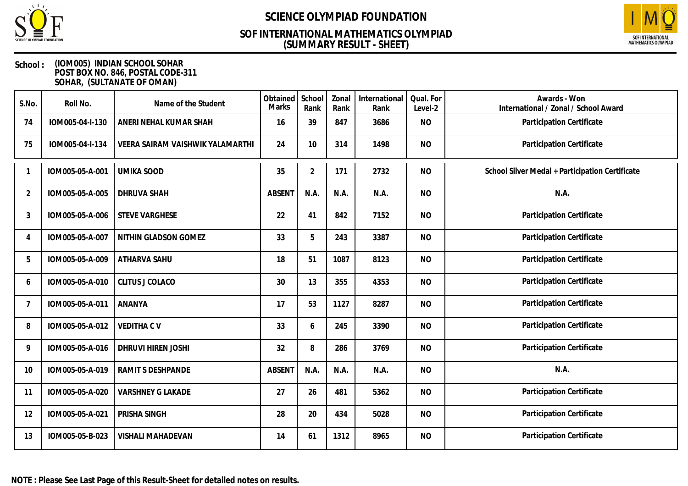

## **(SUMMARY RESULT - SHEET) SOF INTERNATIONAL MATHEMATICS OLYMPIAD**



| S.No. | Roll No.        | Name of the Student              | Obtained<br>Marks | School<br>Rank | Zonal<br>Rank | International<br>Rank | Qual. For<br>Level-2 | Awards - Won<br>International / Zonal / School Award |
|-------|-----------------|----------------------------------|-------------------|----------------|---------------|-----------------------|----------------------|------------------------------------------------------|
| 74    | IOM005-04-I-130 | ANERI NEHAL KUMAR SHAH           | 16                | 39             | 847           | 3686                  | <b>NO</b>            | Participation Certificate                            |
| 75    | IOM005-04-I-134 | VEERA SAIRAM VAISHWIK YALAMARTHI | 24                | 10             | 314           | 1498                  | <b>NO</b>            | Participation Certificate                            |
|       | IOM005-05-A-001 | <b>UMIKA SOOD</b>                | 35                | $\overline{2}$ | 171           | 2732                  | <b>NO</b>            | School Silver Medal + Participation Certificate      |
| 2     | IOM005-05-A-005 | <b>DHRUVA SHAH</b>               | <b>ABSENT</b>     | N.A.           | N.A.          | N.A.                  | <b>NO</b>            | N.A.                                                 |
| 3     | IOM005-05-A-006 | <b>STEVE VARGHESE</b>            | 22                | 41             | 842           | 7152                  | <b>NO</b>            | Participation Certificate                            |
| 4     | IOM005-05-A-007 | NITHIN GLADSON GOMEZ             | 33                | 5              | 243           | 3387                  | <b>NO</b>            | Participation Certificate                            |
| 5     | IOM005-05-A-009 | ATHARVA SAHU                     | 18                | 51             | 1087          | 8123                  | <b>NO</b>            | Participation Certificate                            |
| 6     | IOM005-05-A-010 | <b>CLITUS J COLACO</b>           | 30                | 13             | 355           | 4353                  | <b>NO</b>            | Participation Certificate                            |
| 7     | IOM005-05-A-011 | ANANYA                           | 17                | 53             | 1127          | 8287                  | <b>NO</b>            | Participation Certificate                            |
| 8     | IOM005-05-A-012 | <b>VEDITHA CV</b>                | 33                | 6              | 245           | 3390                  | <b>NO</b>            | Participation Certificate                            |
| 9     | IOM005-05-A-016 | DHRUVI HIREN JOSHI               | 32                | 8              | 286           | 3769                  | <b>NO</b>            | Participation Certificate                            |
| 10    | IOM005-05-A-019 | RAMIT S DESHPANDE                | <b>ABSENT</b>     | N.A.           | N.A.          | N.A.                  | <b>NO</b>            | N.A.                                                 |
| 11    | IOM005-05-A-020 | <b>VARSHNEY G LAKADE</b>         | 27                | 26             | 481           | 5362                  | <b>NO</b>            | Participation Certificate                            |
| 12    | IOM005-05-A-021 | PRISHA SINGH                     | 28                | 20             | 434           | 5028                  | <b>NO</b>            | Participation Certificate                            |
| 13    | IOM005-05-B-023 | <b>VISHALI MAHADEVAN</b>         | 14                | 61             | 1312          | 8965                  | <b>NO</b>            | Participation Certificate                            |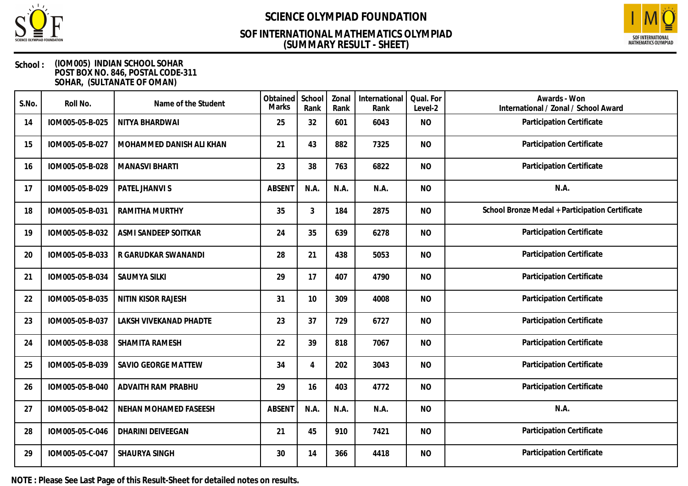

## **(SUMMARY RESULT - SHEET) SOF INTERNATIONAL MATHEMATICS OLYMPIAD**



### **School : (IOM005) INDIAN SCHOOL SOHAR POST BOX NO. 846, POSTAL CODE-311 SOHAR, (SULTANATE OF OMAN)**

| S.No. | Roll No.        | Name of the Student       | Obtained<br><b>Marks</b> | School<br>Rank | Zonal<br>Rank | International<br>Rank | Qual. For<br>Level-2 | Awards - Won<br>International / Zonal / School Award |
|-------|-----------------|---------------------------|--------------------------|----------------|---------------|-----------------------|----------------------|------------------------------------------------------|
| 14    | IOM005-05-B-025 | NITYA BHARDWAI            | 25                       | 32             | 601           | 6043                  | <b>NO</b>            | Participation Certificate                            |
| 15    | IOM005-05-B-027 | MOHAMMED DANISH ALI KHAN  | 21                       | 43             | 882           | 7325                  | <b>NO</b>            | Participation Certificate                            |
| 16    | IOM005-05-B-028 | <b>MANASVI BHARTI</b>     | 23                       | 38             | 763           | 6822                  | <b>NO</b>            | Participation Certificate                            |
| 17    | IOM005-05-B-029 | PATEL JHANVI S            | <b>ABSENT</b>            | N.A.           | N.A.          | N.A.                  | <b>NO</b>            | N.A.                                                 |
| 18    | IOM005-05-B-031 | <b>RAMITHA MURTHY</b>     | 35                       | 3              | 184           | 2875                  | <b>NO</b>            | School Bronze Medal + Participation Certificate      |
| 19    | IOM005-05-B-032 | ASMI SANDEEP SOITKAR      | 24                       | 35             | 639           | 6278                  | <b>NO</b>            | Participation Certificate                            |
| 20    | IOM005-05-B-033 | R GARUDKAR SWANANDI       | 28                       | 21             | 438           | 5053                  | <b>NO</b>            | Participation Certificate                            |
| 21    | IOM005-05-B-034 | <b>SAUMYA SILKI</b>       | 29                       | 17             | 407           | 4790                  | <b>NO</b>            | Participation Certificate                            |
| 22    | IOM005-05-B-035 | <b>NITIN KISOR RAJESH</b> | 31                       | 10             | 309           | 4008                  | <b>NO</b>            | Participation Certificate                            |
| 23    | IOM005-05-B-037 | LAKSH VIVEKANAD PHADTE    | 23                       | 37             | 729           | 6727                  | <b>NO</b>            | Participation Certificate                            |
| 24    | IOM005-05-B-038 | SHAMITA RAMESH            | 22                       | 39             | 818           | 7067                  | <b>NO</b>            | Participation Certificate                            |
| 25    | IOM005-05-B-039 | SAVIO GEORGE MATTEW       | 34                       | 4              | 202           | 3043                  | <b>NO</b>            | Participation Certificate                            |
| 26    | IOM005-05-B-040 | ADVAITH RAM PRABHU        | 29                       | 16             | 403           | 4772                  | <b>NO</b>            | Participation Certificate                            |
| 27    | IOM005-05-B-042 | NEHAN MOHAMED FASEESH     | <b>ABSENT</b>            | N.A.           | N.A.          | N.A.                  | <b>NO</b>            | N.A.                                                 |
| 28    | IOM005-05-C-046 | <b>DHARINI DEIVEEGAN</b>  | 21                       | 45             | 910           | 7421                  | <b>NO</b>            | Participation Certificate                            |
| 29    | IOM005-05-C-047 | SHAURYA SINGH             | 30                       | 14             | 366           | 4418                  | <b>NO</b>            | Participation Certificate                            |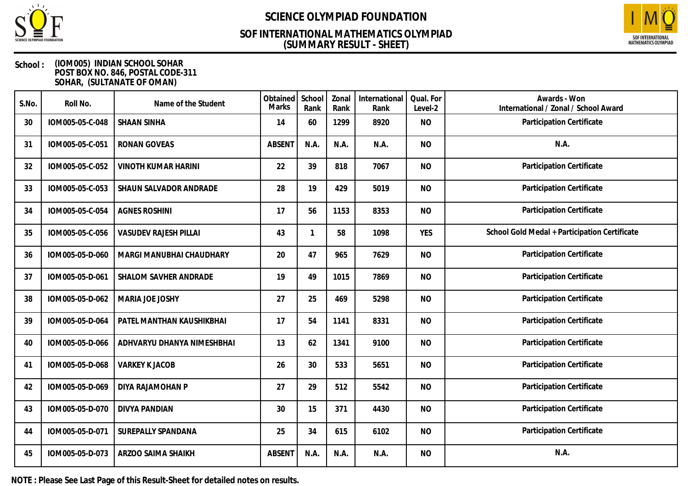

## **(SUMMARY RESULT - SHEET) SOF INTERNATIONAL MATHEMATICS OLYMPIAD**



### **School : (IOM005) INDIAN SCHOOL SOHAR POST BOX NO. 846, POSTAL CODE-311 SOHAR, (SULTANATE OF OMAN)**

| S.No. | Roll No.        | Name of the Student          | Obtained<br><b>Marks</b> | School<br>Rank | Zonal<br>Rank | International<br>Rank | Qual. For<br>Level-2 | Awards - Won<br>International / Zonal / School Award |
|-------|-----------------|------------------------------|--------------------------|----------------|---------------|-----------------------|----------------------|------------------------------------------------------|
| 30    | IOM005-05-C-048 | <b>SHAAN SINHA</b>           | 14                       | 60             | 1299          | 8920                  | <b>NO</b>            | Participation Certificate                            |
| 31    | IOM005-05-C-051 | <b>RONAN GOVEAS</b>          | <b>ABSENT</b>            | N.A.           | N.A.          | N.A.                  | <b>NO</b>            | N.A.                                                 |
| 32    | IOM005-05-C-052 | <b>VINOTH KUMAR HARINI</b>   | 22                       | 39             | 818           | 7067                  | <b>NO</b>            | Participation Certificate                            |
| 33    | IOM005-05-C-053 | SHAUN SALVADOR ANDRADE       | 28                       | 19             | 429           | 5019                  | <b>NO</b>            | Participation Certificate                            |
| 34    | IOM005-05-C-054 | <b>AGNES ROSHINI</b>         | 17                       | 56             | 1153          | 8353                  | <b>NO</b>            | Participation Certificate                            |
| 35    | IOM005-05-C-056 | <b>VASUDEV RAJESH PILLAI</b> | 43                       | 1              | 58            | 1098                  | <b>YES</b>           | School Gold Medal + Participation Certificate        |
| 36    | IOM005-05-D-060 | MARGI MANUBHAI CHAUDHARY     | 20                       | 47             | 965           | 7629                  | <b>NO</b>            | Participation Certificate                            |
| 37    | IOM005-05-D-061 | SHALOM SAVHER ANDRADE        | 19                       | 49             | 1015          | 7869                  | <b>NO</b>            | Participation Certificate                            |
| 38    | IOM005-05-D-062 | MARIA JOE JOSHY              | 27                       | 25             | 469           | 5298                  | <b>NO</b>            | Participation Certificate                            |
| 39    | IOM005-05-D-064 | PATEL MANTHAN KAUSHIKBHAI    | 17                       | 54             | 1141          | 8331                  | <b>NO</b>            | Participation Certificate                            |
| 40    | IOM005-05-D-066 | ADHVARYU DHANYA NIMESHBHAI   | 13                       | 62             | 1341          | 9100                  | <b>NO</b>            | Participation Certificate                            |
| 41    | IOM005-05-D-068 | <b>VARKEY K JACOB</b>        | 26                       | 30             | 533           | 5651                  | <b>NO</b>            | Participation Certificate                            |
| 42    | IOM005-05-D-069 | DIYA RAJAMOHAN P             | 27                       | 29             | 512           | 5542                  | <b>NO</b>            | Participation Certificate                            |
| 43    | IOM005-05-D-070 | <b>DIVYA PANDIAN</b>         | 30                       | 15             | 371           | 4430                  | <b>NO</b>            | Participation Certificate                            |
| 44    | IOM005-05-D-071 | <b>SUREPALLY SPANDANA</b>    | 25                       | 34             | 615           | 6102                  | <b>NO</b>            | Participation Certificate                            |
| 45    | IOM005-05-D-073 | ARZOO SAIMA SHAIKH           | <b>ABSENT</b>            | N.A.           | N.A.          | N.A.                  | <b>NO</b>            | N.A.                                                 |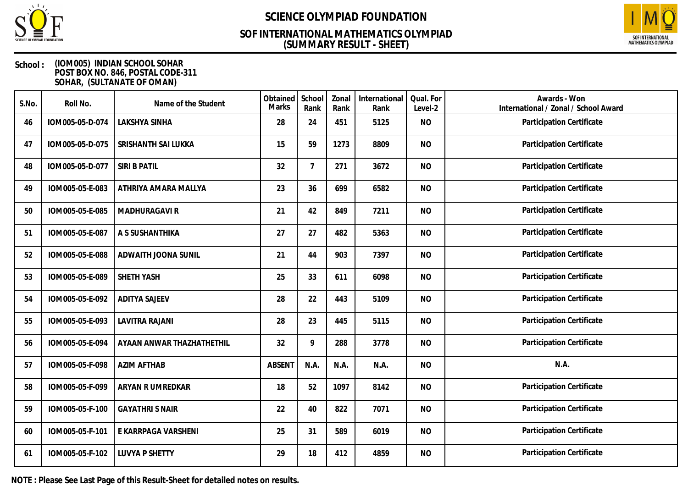

## **(SUMMARY RESULT - SHEET) SOF INTERNATIONAL MATHEMATICS OLYMPIAD**



### **School : (IOM005) INDIAN SCHOOL SOHAR POST BOX NO. 846, POSTAL CODE-311 SOHAR, (SULTANATE OF OMAN)**

| S.No. | Roll No.        | Name of the Student       | Obtained<br>Marks | School<br>Rank | Zonal<br>Rank | International<br>Rank | Qual. For<br>Level-2 | Awards - Won<br>International / Zonal / School Award |
|-------|-----------------|---------------------------|-------------------|----------------|---------------|-----------------------|----------------------|------------------------------------------------------|
| 46    | IOM005-05-D-074 | LAKSHYA SINHA             | 28                | 24             | 451           | 5125                  | <b>NO</b>            | Participation Certificate                            |
| 47    | IOM005-05-D-075 | SRISHANTH SAI LUKKA       | 15                | 59             | 1273          | 8809                  | <b>NO</b>            | Participation Certificate                            |
| 48    | IOM005-05-D-077 | <b>SIRI B PATIL</b>       | 32                | 7              | 271           | 3672                  | <b>NO</b>            | Participation Certificate                            |
| 49    | IOM005-05-E-083 | ATHRIYA AMARA MALLYA      | 23                | 36             | 699           | 6582                  | <b>NO</b>            | Participation Certificate                            |
| 50    | IOM005-05-E-085 | MADHURAGAVI R             | 21                | 42             | 849           | 7211                  | <b>NO</b>            | Participation Certificate                            |
| 51    | IOM005-05-E-087 | A S SUSHANTHIKA           | 27                | 27             | 482           | 5363                  | <b>NO</b>            | Participation Certificate                            |
| 52    | IOM005-05-E-088 | ADWAITH JOONA SUNIL       | 21                | 44             | 903           | 7397                  | <b>NO</b>            | Participation Certificate                            |
| 53    | IOM005-05-E-089 | SHETH YASH                | 25                | 33             | 611           | 6098                  | <b>NO</b>            | Participation Certificate                            |
| 54    | IOM005-05-E-092 | <b>ADITYA SAJEEV</b>      | 28                | 22             | 443           | 5109                  | <b>NO</b>            | Participation Certificate                            |
| 55    | IOM005-05-E-093 | <b>LAVITRA RAJANI</b>     | 28                | 23             | 445           | 5115                  | <b>NO</b>            | Participation Certificate                            |
| 56    | IOM005-05-E-094 | AYAAN ANWAR THAZHATHETHIL | 32                | 9              | 288           | 3778                  | <b>NO</b>            | Participation Certificate                            |
| 57    | IOM005-05-F-098 | <b>AZIM AFTHAB</b>        | <b>ABSENT</b>     | N.A.           | N.A.          | N.A.                  | <b>NO</b>            | N.A.                                                 |
| 58    | IOM005-05-F-099 | ARYAN R UMREDKAR          | 18                | 52             | 1097          | 8142                  | <b>NO</b>            | Participation Certificate                            |
| 59    | IOM005-05-F-100 | <b>GAYATHRI S NAIR</b>    | 22                | 40             | 822           | 7071                  | <b>NO</b>            | Participation Certificate                            |
| 60    | IOM005-05-F-101 | E KARRPAGA VARSHENI       | 25                | 31             | 589           | 6019                  | <b>NO</b>            | Participation Certificate                            |
| 61    | IOM005-05-F-102 | <b>LUVYA P SHETTY</b>     | 29                | 18             | 412           | 4859                  | <b>NO</b>            | Participation Certificate                            |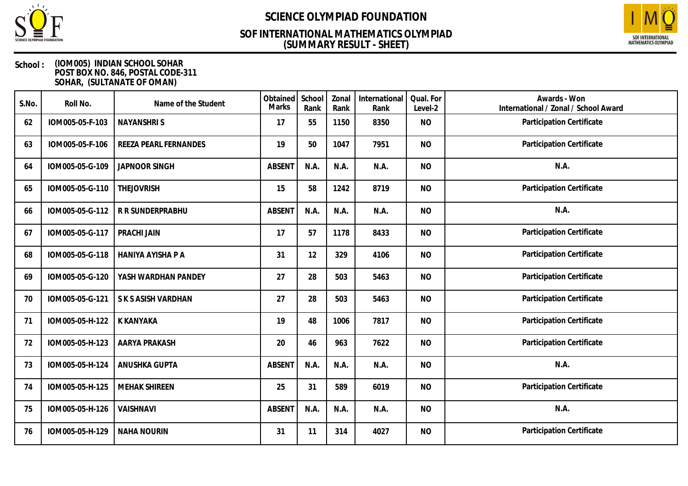

## **(SUMMARY RESULT - SHEET) SOF INTERNATIONAL MATHEMATICS OLYMPIAD**



| S.No. | Roll No.        | Name of the Student      | Obtained<br>Marks | School<br>Rank | Zonal<br>Rank | International<br>Rank | Qual. For<br>Level-2 | Awards - Won<br>International / Zonal / School Award |
|-------|-----------------|--------------------------|-------------------|----------------|---------------|-----------------------|----------------------|------------------------------------------------------|
| 62    | IOM005-05-F-103 | <b>NAYANSHRIS</b>        | 17                | 55             | 1150          | 8350                  | <b>NO</b>            | Participation Certificate                            |
| 63    | IOM005-05-F-106 | REEZA PEARL FERNANDES    | 19                | 50             | 1047          | 7951                  | <b>NO</b>            | Participation Certificate                            |
| 64    | IOM005-05-G-109 | <b>JAPNOOR SINGH</b>     | <b>ABSENT</b>     | N.A.           | N.A.          | N.A.                  | <b>NO</b>            | N.A.                                                 |
| 65    | IOM005-05-G-110 | <b>THEJOVRISH</b>        | 15                | 58             | 1242          | 8719                  | <b>NO</b>            | Participation Certificate                            |
| 66    | IOM005-05-G-112 | R R SUNDERPRABHU         | <b>ABSENT</b>     | N.A.           | N.A.          | N.A.                  | <b>NO</b>            | N.A.                                                 |
| 67    | IOM005-05-G-117 | PRACHI JAIN              | 17                | 57             | 1178          | 8433                  | <b>NO</b>            | Participation Certificate                            |
| 68    | IOM005-05-G-118 | <b>HANIYA AYISHA P A</b> | 31                | 12             | 329           | 4106                  | <b>NO</b>            | Participation Certificate                            |
| 69    | IOM005-05-G-120 | YASH WARDHAN PANDEY      | 27                | 28             | 503           | 5463                  | <b>NO</b>            | Participation Certificate                            |
| 70    | IOM005-05-G-121 | S K S ASISH VARDHAN      | 27                | 28             | 503           | 5463                  | <b>NO</b>            | Participation Certificate                            |
| 71    | IOM005-05-H-122 | <b>K KANYAKA</b>         | 19                | 48             | 1006          | 7817                  | <b>NO</b>            | Participation Certificate                            |
| 72    | IOM005-05-H-123 | <b>AARYA PRAKASH</b>     | 20                | 46             | 963           | 7622                  | <b>NO</b>            | Participation Certificate                            |
| 73    | IOM005-05-H-124 | ANUSHKA GUPTA            | <b>ABSENT</b>     | N.A.           | N.A.          | N.A.                  | <b>NO</b>            | N.A.                                                 |
| 74    | IOM005-05-H-125 | <b>MEHAK SHIREEN</b>     | 25                | 31             | 589           | 6019                  | <b>NO</b>            | Participation Certificate                            |
| 75    | IOM005-05-H-126 | VAISHNAVI                | <b>ABSENT</b>     | N.A.           | N.A.          | N.A.                  | <b>NO</b>            | N.A.                                                 |
| 76    | IOM005-05-H-129 | <b>NAHA NOURIN</b>       | 31                | 11             | 314           | 4027                  | <b>NO</b>            | Participation Certificate                            |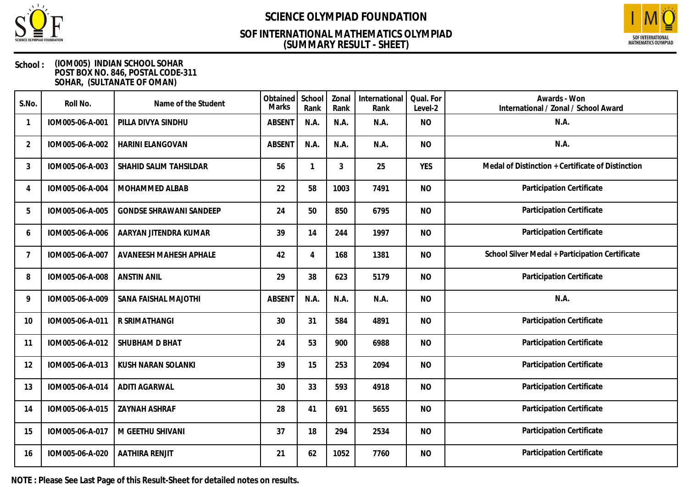

## **(SUMMARY RESULT - SHEET) SOF INTERNATIONAL MATHEMATICS OLYMPIAD**



### **School : (IOM005) INDIAN SCHOOL SOHAR POST BOX NO. 846, POSTAL CODE-311 SOHAR, (SULTANATE OF OMAN)**

| S.No.          | Roll No.        | Name of the Student            | Obtained<br>Marks | School<br>Rank | Zonal<br>Rank | International<br>Rank | Qual. For<br>Level-2 | Awards - Won<br>International / Zonal / School Award |
|----------------|-----------------|--------------------------------|-------------------|----------------|---------------|-----------------------|----------------------|------------------------------------------------------|
|                | IOM005-06-A-001 | PILLA DIVYA SINDHU             | <b>ABSENT</b>     | N.A.           | N.A.          | N.A.                  | <b>NO</b>            | N.A.                                                 |
| $\overline{2}$ | IOM005-06-A-002 | <b>HARINI ELANGOVAN</b>        | <b>ABSENT</b>     | N.A.           | N.A.          | N.A.                  | <b>NO</b>            | N.A.                                                 |
| 3              | IOM005-06-A-003 | SHAHID SALIM TAHSILDAR         | 56                | 1              | 3             | 25                    | <b>YES</b>           | Medal of Distinction + Certificate of Distinction    |
| 4              | IOM005-06-A-004 | MOHAMMED ALBAB                 | 22                | 58             | 1003          | 7491                  | <b>NO</b>            | Participation Certificate                            |
| 5              | IOM005-06-A-005 | <b>GONDSE SHRAWANI SANDEEP</b> | 24                | 50             | 850           | 6795                  | <b>NO</b>            | Participation Certificate                            |
| 6              | IOM005-06-A-006 | AARYAN JITENDRA KUMAR          | 39                | 14             | 244           | 1997                  | <b>NO</b>            | Participation Certificate                            |
| 7              | IOM005-06-A-007 | AVANEESH MAHESH APHALE         | 42                | 4              | 168           | 1381                  | <b>NO</b>            | School Silver Medal + Participation Certificate      |
| 8              | IOM005-06-A-008 | <b>ANSTIN ANIL</b>             | 29                | 38             | 623           | 5179                  | <b>NO</b>            | Participation Certificate                            |
| 9              | IOM005-06-A-009 | SANA FAISHAL MAJOTHI           | <b>ABSENT</b>     | N.A.           | N.A.          | N.A.                  | <b>NO</b>            | N.A.                                                 |
| 10             | IOM005-06-A-011 | R SRIMATHANGI                  | 30                | 31             | 584           | 4891                  | <b>NO</b>            | Participation Certificate                            |
| 11             | IOM005-06-A-012 | SHUBHAM D BHAT                 | 24                | 53             | 900           | 6988                  | <b>NO</b>            | Participation Certificate                            |
| 12             | IOM005-06-A-013 | <b>KUSH NARAN SOLANKI</b>      | 39                | 15             | 253           | 2094                  | <b>NO</b>            | Participation Certificate                            |
| 13             | IOM005-06-A-014 | <b>ADITI AGARWAL</b>           | 30                | 33             | 593           | 4918                  | <b>NO</b>            | Participation Certificate                            |
| 14             | IOM005-06-A-015 | <b>ZAYNAH ASHRAF</b>           | 28                | 41             | 691           | 5655                  | <b>NO</b>            | Participation Certificate                            |
| 15             | IOM005-06-A-017 | M GEETHU SHIVANI               | 37                | 18             | 294           | 2534                  | <b>NO</b>            | Participation Certificate                            |
| 16             | IOM005-06-A-020 | <b>AATHIRA RENJIT</b>          | 21                | 62             | 1052          | 7760                  | <b>NO</b>            | Participation Certificate                            |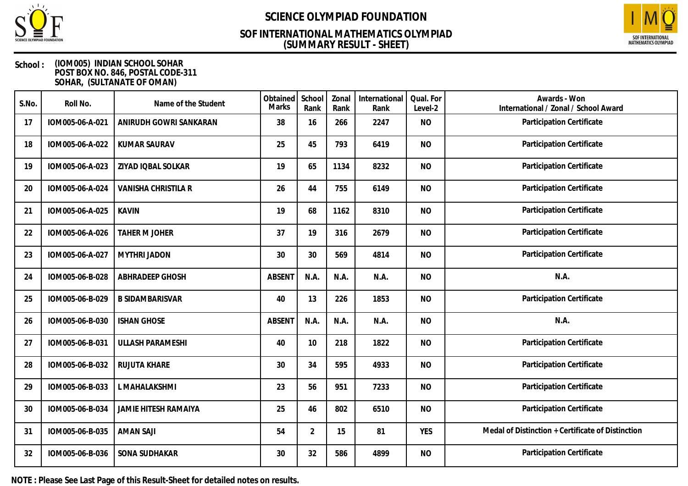

## **(SUMMARY RESULT - SHEET) SOF INTERNATIONAL MATHEMATICS OLYMPIAD**



### **School : (IOM005) INDIAN SCHOOL SOHAR POST BOX NO. 846, POSTAL CODE-311 SOHAR, (SULTANATE OF OMAN)**

| S.No. | Roll No.        | Name of the Student         | Obtained<br><b>Marks</b> | School<br>Rank | Zonal<br>Rank | International<br>Rank | Qual. For<br>Level-2 | Awards - Won<br>International / Zonal / School Award |
|-------|-----------------|-----------------------------|--------------------------|----------------|---------------|-----------------------|----------------------|------------------------------------------------------|
| 17    | IOM005-06-A-021 | ANIRUDH GOWRI SANKARAN      | 38                       | 16             | 266           | 2247                  | <b>NO</b>            | Participation Certificate                            |
| 18    | IOM005-06-A-022 | <b>KUMAR SAURAV</b>         | 25                       | 45             | 793           | 6419                  | <b>NO</b>            | Participation Certificate                            |
| 19    | IOM005-06-A-023 | ZIYAD IQBAL SOLKAR          | 19                       | 65             | 1134          | 8232                  | <b>NO</b>            | Participation Certificate                            |
| 20    | IOM005-06-A-024 | VANISHA CHRISTILA R         | 26                       | 44             | 755           | 6149                  | <b>NO</b>            | Participation Certificate                            |
| 21    | IOM005-06-A-025 | <b>KAVIN</b>                | 19                       | 68             | 1162          | 8310                  | <b>NO</b>            | Participation Certificate                            |
| 22    | IOM005-06-A-026 | <b>TAHER M JOHER</b>        | 37                       | 19             | 316           | 2679                  | <b>NO</b>            | Participation Certificate                            |
| 23    | IOM005-06-A-027 | <b>MYTHRI JADON</b>         | 30                       | 30             | 569           | 4814                  | <b>NO</b>            | Participation Certificate                            |
| 24    | IOM005-06-B-028 | ABHRADEEP GHOSH             | <b>ABSENT</b>            | N.A.           | N.A.          | N.A.                  | <b>NO</b>            | N.A.                                                 |
| 25    | IOM005-06-B-029 | <b>B SIDAMBARISVAR</b>      | 40                       | 13             | 226           | 1853                  | <b>NO</b>            | Participation Certificate                            |
| 26    | IOM005-06-B-030 | <b>ISHAN GHOSE</b>          | <b>ABSENT</b>            | N.A.           | N.A.          | N.A.                  | <b>NO</b>            | N.A.                                                 |
| 27    | IOM005-06-B-031 | <b>ULLASH PARAMESHI</b>     | 40                       | 10             | 218           | 1822                  | <b>NO</b>            | Participation Certificate                            |
| 28    | IOM005-06-B-032 | RUJUTA KHARE                | 30                       | 34             | 595           | 4933                  | <b>NO</b>            | Participation Certificate                            |
| 29    | IOM005-06-B-033 | L MAHALAKSHMI               | 23                       | 56             | 951           | 7233                  | <b>NO</b>            | Participation Certificate                            |
| 30    | IOM005-06-B-034 | <b>JAMIE HITESH RAMAIYA</b> | 25                       | 46             | 802           | 6510                  | <b>NO</b>            | Participation Certificate                            |
| 31    | IOM005-06-B-035 | <b>AMAN SAJI</b>            | 54                       | $\overline{2}$ | 15            | 81                    | <b>YES</b>           | Medal of Distinction + Certificate of Distinction    |
| 32    | IOM005-06-B-036 | SONA SUDHAKAR               | 30                       | 32             | 586           | 4899                  | <b>NO</b>            | Participation Certificate                            |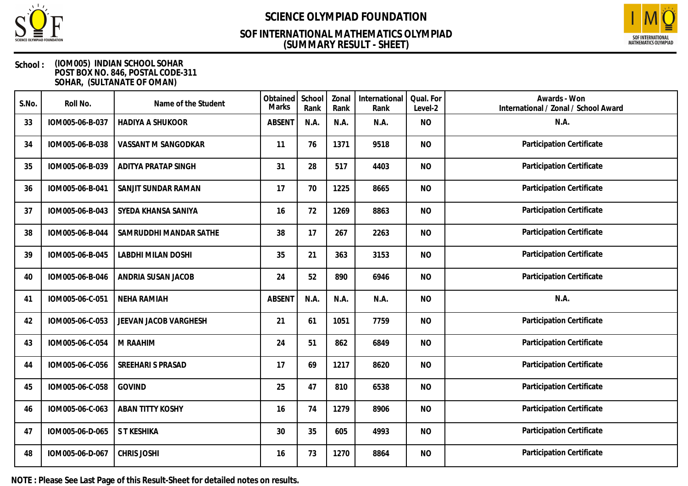

## **(SUMMARY RESULT - SHEET) SOF INTERNATIONAL MATHEMATICS OLYMPIAD**



### **School : (IOM005) INDIAN SCHOOL SOHAR POST BOX NO. 846, POSTAL CODE-311 SOHAR, (SULTANATE OF OMAN)**

| S.No. | Roll No.        | Name of the Student       | Obtained<br>Marks | School<br>Rank | Zonal<br>Rank | International<br>Rank | Qual. For<br>Level-2 | Awards - Won<br>International / Zonal / School Award |
|-------|-----------------|---------------------------|-------------------|----------------|---------------|-----------------------|----------------------|------------------------------------------------------|
| 33    | IOM005-06-B-037 | <b>HADIYA A SHUKOOR</b>   | <b>ABSENT</b>     | N.A.           | N.A.          | N.A.                  | <b>NO</b>            | N.A.                                                 |
| 34    | IOM005-06-B-038 | VASSANT M SANGODKAR       | 11                | 76             | 1371          | 9518                  | <b>NO</b>            | Participation Certificate                            |
| 35    | IOM005-06-B-039 | ADITYA PRATAP SINGH       | 31                | 28             | 517           | 4403                  | <b>NO</b>            | Participation Certificate                            |
| 36    | IOM005-06-B-041 | SANJIT SUNDAR RAMAN       | 17                | 70             | 1225          | 8665                  | <b>NO</b>            | Participation Certificate                            |
| 37    | IOM005-06-B-043 | SYEDA KHANSA SANIYA       | 16                | 72             | 1269          | 8863                  | <b>NO</b>            | Participation Certificate                            |
| 38    | IOM005-06-B-044 | SAMRUDDHI MANDAR SATHE    | 38                | 17             | 267           | 2263                  | <b>NO</b>            | Participation Certificate                            |
| 39    | IOM005-06-B-045 | <b>LABDHI MILAN DOSHI</b> | 35                | 21             | 363           | 3153                  | <b>NO</b>            | Participation Certificate                            |
| 40    | IOM005-06-B-046 | ANDRIA SUSAN JACOB        | 24                | 52             | 890           | 6946                  | <b>NO</b>            | Participation Certificate                            |
| 41    | IOM005-06-C-051 | <b>NEHA RAMIAH</b>        | <b>ABSENT</b>     | N.A.           | N.A.          | N.A.                  | <b>NO</b>            | N.A.                                                 |
| 42    | IOM005-06-C-053 | JEEVAN JACOB VARGHESH     | 21                | 61             | 1051          | 7759                  | <b>NO</b>            | Participation Certificate                            |
| 43    | IOM005-06-C-054 | M RAAHIM                  | 24                | 51             | 862           | 6849                  | <b>NO</b>            | Participation Certificate                            |
| 44    | IOM005-06-C-056 | SREEHARI S PRASAD         | 17                | 69             | 1217          | 8620                  | <b>NO</b>            | Participation Certificate                            |
| 45    | IOM005-06-C-058 | <b>GOVIND</b>             | 25                | 47             | 810           | 6538                  | <b>NO</b>            | Participation Certificate                            |
| 46    | IOM005-06-C-063 | <b>ABAN TITTY KOSHY</b>   | 16                | 74             | 1279          | 8906                  | <b>NO</b>            | Participation Certificate                            |
| 47    | IOM005-06-D-065 | S T KESHIKA               | 30                | 35             | 605           | 4993                  | <b>NO</b>            | Participation Certificate                            |
| 48    | IOM005-06-D-067 | <b>CHRIS JOSHI</b>        | 16                | 73             | 1270          | 8864                  | <b>NO</b>            | Participation Certificate                            |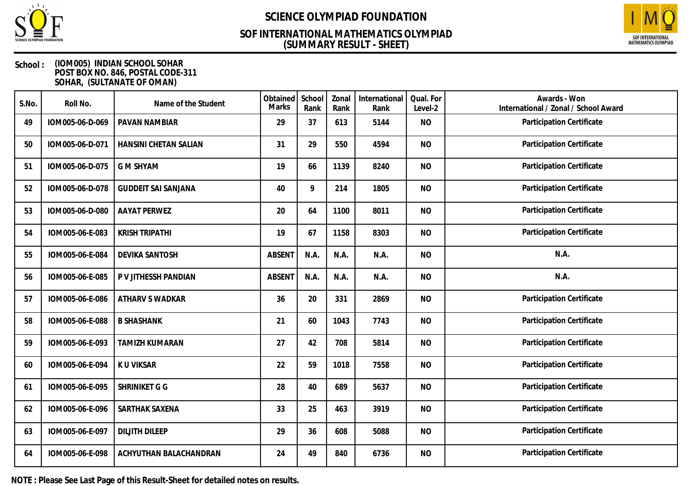

## **(SUMMARY RESULT - SHEET) SOF INTERNATIONAL MATHEMATICS OLYMPIAD**



### **School : (IOM005) INDIAN SCHOOL SOHAR POST BOX NO. 846, POSTAL CODE-311 SOHAR, (SULTANATE OF OMAN)**

| S.No. | Roll No.        | Name of the Student        | Obtained<br>Marks | School<br>Rank | Zonal<br>Rank | International<br>Rank | Qual. For<br>Level-2 | Awards - Won<br>International / Zonal / School Award |
|-------|-----------------|----------------------------|-------------------|----------------|---------------|-----------------------|----------------------|------------------------------------------------------|
| 49    | IOM005-06-D-069 | PAVAN NAMBIAR              | 29                | 37             | 613           | 5144                  | <b>NO</b>            | Participation Certificate                            |
| 50    | IOM005-06-D-071 | HANSINI CHETAN SALIAN      | 31                | 29             | 550           | 4594                  | <b>NO</b>            | Participation Certificate                            |
| 51    | IOM005-06-D-075 | <b>G M SHYAM</b>           | 19                | 66             | 1139          | 8240                  | <b>NO</b>            | Participation Certificate                            |
| 52    | IOM005-06-D-078 | <b>GUDDEIT SAI SANJANA</b> | 40                | 9              | 214           | 1805                  | <b>NO</b>            | Participation Certificate                            |
| 53    | IOM005-06-D-080 | <b>AAYAT PERWEZ</b>        | 20                | 64             | 1100          | 8011                  | <b>NO</b>            | Participation Certificate                            |
| 54    | IOM005-06-E-083 | <b>KRISH TRIPATHI</b>      | 19                | 67             | 1158          | 8303                  | <b>NO</b>            | Participation Certificate                            |
| 55    | IOM005-06-E-084 | <b>DEVIKA SANTOSH</b>      | <b>ABSENT</b>     | N.A.           | N.A.          | N.A.                  | <b>NO</b>            | N.A.                                                 |
| 56    | IOM005-06-E-085 | P V JITHESSH PANDIAN       | <b>ABSENT</b>     | N.A.           | N.A.          | N.A.                  | <b>NO</b>            | N.A.                                                 |
| 57    | IOM005-06-E-086 | ATHARV S WADKAR            | 36                | 20             | 331           | 2869                  | <b>NO</b>            | Participation Certificate                            |
| 58    | IOM005-06-E-088 | <b>B SHASHANK</b>          | 21                | 60             | 1043          | 7743                  | <b>NO</b>            | Participation Certificate                            |
| 59    | IOM005-06-E-093 | <b>TAMIZH KUMARAN</b>      | 27                | 42             | 708           | 5814                  | <b>NO</b>            | Participation Certificate                            |
| 60    | IOM005-06-E-094 | K U VIKSAR                 | 22                | 59             | 1018          | 7558                  | <b>NO</b>            | Participation Certificate                            |
| 61    | IOM005-06-E-095 | SHRINIKET G G              | 28                | 40             | 689           | 5637                  | <b>NO</b>            | Participation Certificate                            |
| 62    | IOM005-06-E-096 | SARTHAK SAXENA             | 33                | 25             | 463           | 3919                  | <b>NO</b>            | Participation Certificate                            |
| 63    | IOM005-06-E-097 | <b>DILJITH DILEEP</b>      | 29                | 36             | 608           | 5088                  | <b>NO</b>            | Participation Certificate                            |
| 64    | IOM005-06-E-098 | ACHYUTHAN BALACHANDRAN     | 24                | 49             | 840           | 6736                  | <b>NO</b>            | Participation Certificate                            |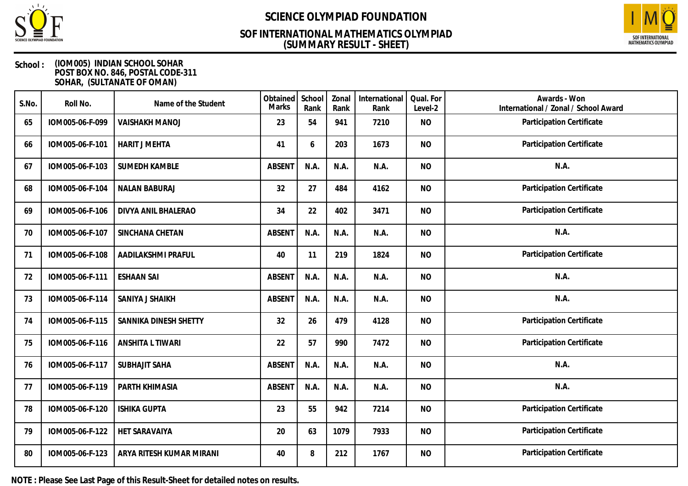

### **(SUMMARY RESULT - SHEET) SOF INTERNATIONAL MATHEMATICS OLYMPIAD**



### **School : (IOM005) INDIAN SCHOOL SOHAR POST BOX NO. 846, POSTAL CODE-311 SOHAR, (SULTANATE OF OMAN)**

| S.No. | Roll No.        | Name of the Student      | Obtained<br>Marks | School<br>Rank | Zonal<br>Rank | International<br>Rank | Qual. For<br>Level-2 | Awards - Won<br>International / Zonal / School Award |
|-------|-----------------|--------------------------|-------------------|----------------|---------------|-----------------------|----------------------|------------------------------------------------------|
| 65    | IOM005-06-F-099 | <b>VAISHAKH MANOJ</b>    | 23                | 54             | 941           | 7210                  | <b>NO</b>            | Participation Certificate                            |
| 66    | IOM005-06-F-101 | <b>HARIT J MEHTA</b>     | 41                | 6              | 203           | 1673                  | <b>NO</b>            | <b>Participation Certificate</b>                     |
| 67    | IOM005-06-F-103 | <b>SUMEDH KAMBLE</b>     | <b>ABSENT</b>     | N.A.           | N.A.          | N.A.                  | <b>NO</b>            | N.A.                                                 |
| 68    | IOM005-06-F-104 | <b>NALAN BABURAJ</b>     | 32                | 27             | 484           | 4162                  | <b>NO</b>            | Participation Certificate                            |
| 69    | IOM005-06-F-106 | DIVYA ANIL BHALERAO      | 34                | 22             | 402           | 3471                  | <b>NO</b>            | Participation Certificate                            |
| 70    | IOM005-06-F-107 | SINCHANA CHETAN          | <b>ABSENT</b>     | N.A.           | N.A.          | N.A.                  | <b>NO</b>            | N.A.                                                 |
| 71    | IOM005-06-F-108 | AADILAKSHMI PRAFUL       | 40                | 11             | 219           | 1824                  | <b>NO</b>            | Participation Certificate                            |
| 72    | IOM005-06-F-111 | <b>ESHAAN SAI</b>        | ABSENT            | N.A.           | N.A.          | N.A.                  | <b>NO</b>            | N.A.                                                 |
| 73    | IOM005-06-F-114 | SANIYA J SHAIKH          | <b>ABSENT</b>     | N.A.           | N.A.          | N.A.                  | <b>NO</b>            | N.A.                                                 |
| 74    | IOM005-06-F-115 | SANNIKA DINESH SHETTY    | 32                | 26             | 479           | 4128                  | <b>NO</b>            | Participation Certificate                            |
| 75    | IOM005-06-F-116 | ANSHITA L TIWARI         | 22                | 57             | 990           | 7472                  | <b>NO</b>            | Participation Certificate                            |
| 76    | IOM005-06-F-117 | <b>SUBHAJIT SAHA</b>     | <b>ABSENT</b>     | N.A.           | N.A.          | N.A.                  | <b>NO</b>            | N.A.                                                 |
| 77    | IOM005-06-F-119 | PARTH KHIMASIA           | <b>ABSENT</b>     | N.A.           | N.A.          | N.A.                  | <b>NO</b>            | N.A.                                                 |
| 78    | IOM005-06-F-120 | <b>ISHIKA GUPTA</b>      | 23                | 55             | 942           | 7214                  | <b>NO</b>            | Participation Certificate                            |
| 79    | IOM005-06-F-122 | <b>HET SARAVAIYA</b>     | 20                | 63             | 1079          | 7933                  | <b>NO</b>            | Participation Certificate                            |
| 80    | IOM005-06-F-123 | ARYA RITESH KUMAR MIRANI | 40                | 8              | 212           | 1767                  | <b>NO</b>            | Participation Certificate                            |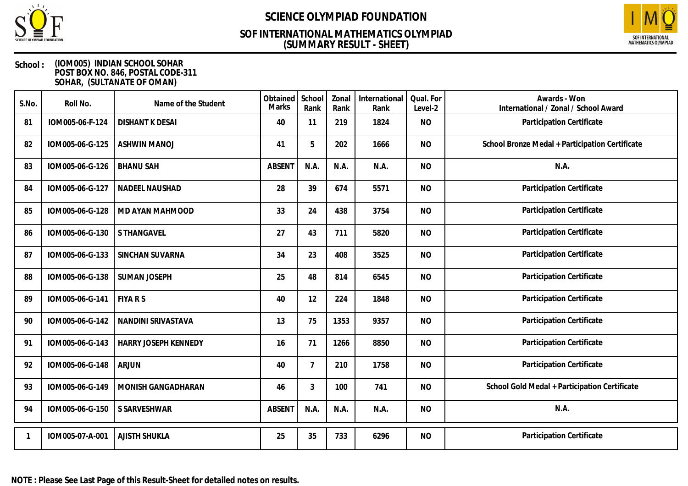

## **(SUMMARY RESULT - SHEET) SOF INTERNATIONAL MATHEMATICS OLYMPIAD**



| S.No. | Roll No.        | Name of the Student    | Obtained<br><b>Marks</b> | School<br>Rank | Zonal<br>Rank | International<br>Rank | Qual. For<br>Level-2 | Awards - Won<br>International / Zonal / School Award |
|-------|-----------------|------------------------|--------------------------|----------------|---------------|-----------------------|----------------------|------------------------------------------------------|
| 81    | IOM005-06-F-124 | <b>DISHANT K DESAI</b> | 40                       | 11             | 219           | 1824                  | <b>NO</b>            | Participation Certificate                            |
| 82    | IOM005-06-G-125 | <b>ASHWIN MANOJ</b>    | 41                       | 5              | 202           | 1666                  | <b>NO</b>            | School Bronze Medal + Participation Certificate      |
| 83    | IOM005-06-G-126 | <b>BHANU SAH</b>       | <b>ABSENT</b>            | N.A.           | N.A.          | N.A.                  | <b>NO</b>            | N.A.                                                 |
| 84    | IOM005-06-G-127 | NADEEL NAUSHAD         | 28                       | 39             | 674           | 5571                  | <b>NO</b>            | Participation Certificate                            |
| 85    | IOM005-06-G-128 | MD AYAN MAHMOOD        | 33                       | 24             | 438           | 3754                  | <b>NO</b>            | Participation Certificate                            |
| 86    | IOM005-06-G-130 | S THANGAVEL            | 27                       | 43             | 711           | 5820                  | <b>NO</b>            | Participation Certificate                            |
| 87    | IOM005-06-G-133 | SINCHAN SUVARNA        | 34                       | 23             | 408           | 3525                  | <b>NO</b>            | Participation Certificate                            |
| 88    | IOM005-06-G-138 | <b>SUMAN JOSEPH</b>    | 25                       | 48             | 814           | 6545                  | <b>NO</b>            | Participation Certificate                            |
| 89    | IOM005-06-G-141 | <b>FIYA R S</b>        | 40                       | 12             | 224           | 1848                  | <b>NO</b>            | Participation Certificate                            |
| 90    | IOM005-06-G-142 | NANDINI SRIVASTAVA     | 13                       | 75             | 1353          | 9357                  | <b>NO</b>            | Participation Certificate                            |
| 91    | IOM005-06-G-143 | HARRY JOSEPH KENNEDY   | 16                       | 71             | 1266          | 8850                  | <b>NO</b>            | Participation Certificate                            |
| 92    | IOM005-06-G-148 | <b>ARJUN</b>           | 40                       | $\overline{7}$ | 210           | 1758                  | <b>NO</b>            | Participation Certificate                            |
| 93    | IOM005-06-G-149 | MONISH GANGADHARAN     | 46                       | 3              | 100           | 741                   | <b>NO</b>            | School Gold Medal + Participation Certificate        |
| 94    | IOM005-06-G-150 | S SARVESHWAR           | <b>ABSENT</b>            | N.A.           | N.A.          | N.A.                  | <b>NO</b>            | N.A.                                                 |
|       | IOM005-07-A-001 | <b>AJISTH SHUKLA</b>   | 25                       | 35             | 733           | 6296                  | <b>NO</b>            | Participation Certificate                            |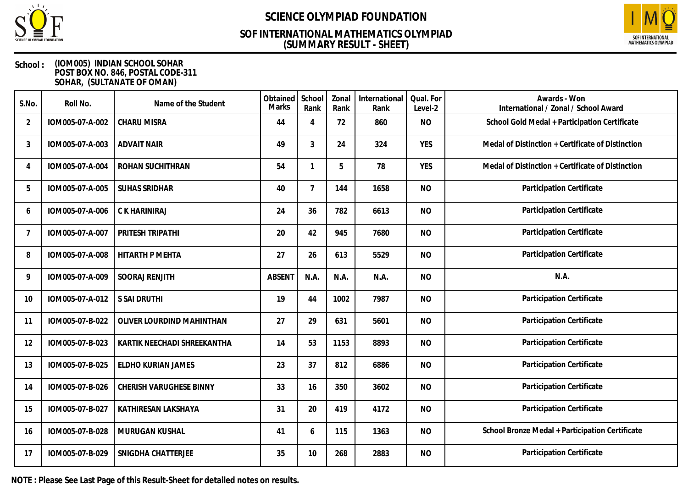

## **(SUMMARY RESULT - SHEET) SOF INTERNATIONAL MATHEMATICS OLYMPIAD**



### **School : (IOM005) INDIAN SCHOOL SOHAR POST BOX NO. 846, POSTAL CODE-311 SOHAR, (SULTANATE OF OMAN)**

| S.No. | Roll No.        | Name of the Student         | Obtained<br>Marks | School<br>Rank | Zonal<br>Rank | International<br>Rank | Qual. For<br>Level-2 | Awards - Won<br>International / Zonal / School Award |
|-------|-----------------|-----------------------------|-------------------|----------------|---------------|-----------------------|----------------------|------------------------------------------------------|
| 2     | IOM005-07-A-002 | <b>CHARU MISRA</b>          | 44                | 4              | 72            | 860                   | <b>NO</b>            | School Gold Medal + Participation Certificate        |
| 3     | IOM005-07-A-003 | <b>ADVAIT NAIR</b>          | 49                | 3              | 24            | 324                   | <b>YES</b>           | Medal of Distinction + Certificate of Distinction    |
| 4     | IOM005-07-A-004 | ROHAN SUCHITHRAN            | 54                | 1              | 5             | 78                    | <b>YES</b>           | Medal of Distinction + Certificate of Distinction    |
| 5     | IOM005-07-A-005 | <b>SUHAS SRIDHAR</b>        | 40                | $\overline{7}$ | 144           | 1658                  | <b>NO</b>            | Participation Certificate                            |
| 6     | IOM005-07-A-006 | C K HARINIRAJ               | 24                | 36             | 782           | 6613                  | <b>NO</b>            | Participation Certificate                            |
| 7     | IOM005-07-A-007 | PRITESH TRIPATHI            | 20                | 42             | 945           | 7680                  | <b>NO</b>            | Participation Certificate                            |
| 8     | IOM005-07-A-008 | HITARTH P MEHTA             | 27                | 26             | 613           | 5529                  | <b>NO</b>            | Participation Certificate                            |
| 9     | IOM005-07-A-009 | <b>SOORAJ RENJITH</b>       | <b>ABSENT</b>     | N.A.           | N.A.          | N.A.                  | <b>NO</b>            | N.A.                                                 |
| 10    | IOM005-07-A-012 | S SAI DRUTHI                | 19                | 44             | 1002          | 7987                  | <b>NO</b>            | Participation Certificate                            |
| 11    | IOM005-07-B-022 | OLIVER LOURDIND MAHINTHAN   | 27                | 29             | 631           | 5601                  | <b>NO</b>            | Participation Certificate                            |
| 12    | IOM005-07-B-023 | KARTIK NEECHADI SHREEKANTHA | 14                | 53             | 1153          | 8893                  | <b>NO</b>            | Participation Certificate                            |
| 13    | IOM005-07-B-025 | ELDHO KURIAN JAMES          | 23                | 37             | 812           | 6886                  | <b>NO</b>            | Participation Certificate                            |
| 14    | IOM005-07-B-026 | CHERISH VARUGHESE BINNY     | 33                | 16             | 350           | 3602                  | <b>NO</b>            | Participation Certificate                            |
| 15    | IOM005-07-B-027 | KATHIRESAN LAKSHAYA         | 31                | 20             | 419           | 4172                  | <b>NO</b>            | Participation Certificate                            |
| 16    | IOM005-07-B-028 | MURUGAN KUSHAL              | 41                | 6              | 115           | 1363                  | <b>NO</b>            | School Bronze Medal + Participation Certificate      |
| 17    | IOM005-07-B-029 | SNIGDHA CHATTERJEE          | 35                | 10             | 268           | 2883                  | <b>NO</b>            | Participation Certificate                            |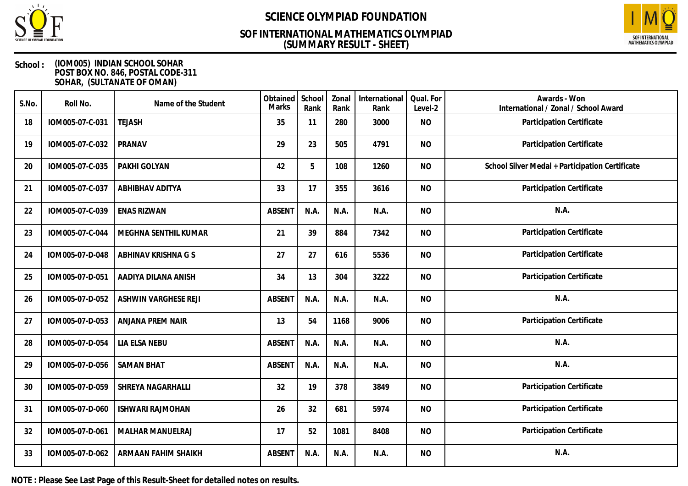

## **(SUMMARY RESULT - SHEET) SOF INTERNATIONAL MATHEMATICS OLYMPIAD**



### **School : (IOM005) INDIAN SCHOOL SOHAR POST BOX NO. 846, POSTAL CODE-311 SOHAR, (SULTANATE OF OMAN)**

| S.No. | Roll No.        | Name of the Student         | Obtained<br><b>Marks</b> | School<br>Rank | Zonal<br>Rank | International<br>Rank | Qual. For<br>Level-2 | Awards - Won<br>International / Zonal / School Award |
|-------|-----------------|-----------------------------|--------------------------|----------------|---------------|-----------------------|----------------------|------------------------------------------------------|
| 18    | IOM005-07-C-031 | <b>TEJASH</b>               | 35                       | 11             | 280           | 3000                  | <b>NO</b>            | Participation Certificate                            |
| 19    | IOM005-07-C-032 | PRANAV                      | 29                       | 23             | 505           | 4791                  | <b>NO</b>            | Participation Certificate                            |
| 20    | IOM005-07-C-035 | PAKHI GOLYAN                | 42                       | 5              | 108           | 1260                  | <b>NO</b>            | School Silver Medal + Participation Certificate      |
| 21    | IOM005-07-C-037 | <b>ABHIBHAV ADITYA</b>      | 33                       | 17             | 355           | 3616                  | <b>NO</b>            | Participation Certificate                            |
| 22    | IOM005-07-C-039 | <b>ENAS RIZWAN</b>          | <b>ABSENT</b>            | N.A.           | N.A.          | N.A.                  | <b>NO</b>            | N.A.                                                 |
| 23    | IOM005-07-C-044 | MEGHNA SENTHIL KUMAR        | 21                       | 39             | 884           | 7342                  | <b>NO</b>            | Participation Certificate                            |
| 24    | IOM005-07-D-048 | ABHINAV KRISHNA G S         | 27                       | 27             | 616           | 5536                  | <b>NO</b>            | Participation Certificate                            |
| 25    | IOM005-07-D-051 | AADIYA DILANA ANISH         | 34                       | 13             | 304           | 3222                  | <b>NO</b>            | Participation Certificate                            |
| 26    | IOM005-07-D-052 | <b>ASHWIN VARGHESE REJI</b> | <b>ABSENT</b>            | N.A.           | N.A.          | N.A.                  | <b>NO</b>            | N.A.                                                 |
| 27    | IOM005-07-D-053 | ANJANA PREM NAIR            | 13                       | 54             | 1168          | 9006                  | <b>NO</b>            | Participation Certificate                            |
| 28    | IOM005-07-D-054 | LIA ELSA NEBU               | <b>ABSENT</b>            | N.A.           | N.A.          | N.A.                  | <b>NO</b>            | N.A.                                                 |
| 29    | IOM005-07-D-056 | <b>SAMAN BHAT</b>           | <b>ABSENT</b>            | N.A.           | N.A.          | N.A.                  | <b>NO</b>            | N.A.                                                 |
| 30    | IOM005-07-D-059 | SHREYA NAGARHALLI           | 32                       | 19             | 378           | 3849                  | <b>NO</b>            | Participation Certificate                            |
| 31    | IOM005-07-D-060 | <b>ISHWARI RAJMOHAN</b>     | 26                       | 32             | 681           | 5974                  | <b>NO</b>            | Participation Certificate                            |
| 32    | IOM005-07-D-061 | <b>MALHAR MANUELRAJ</b>     | 17                       | 52             | 1081          | 8408                  | <b>NO</b>            | Participation Certificate                            |
| 33    | IOM005-07-D-062 | ARMAAN FAHIM SHAIKH         | <b>ABSENT</b>            | N.A.           | N.A.          | N.A.                  | <b>NO</b>            | N.A.                                                 |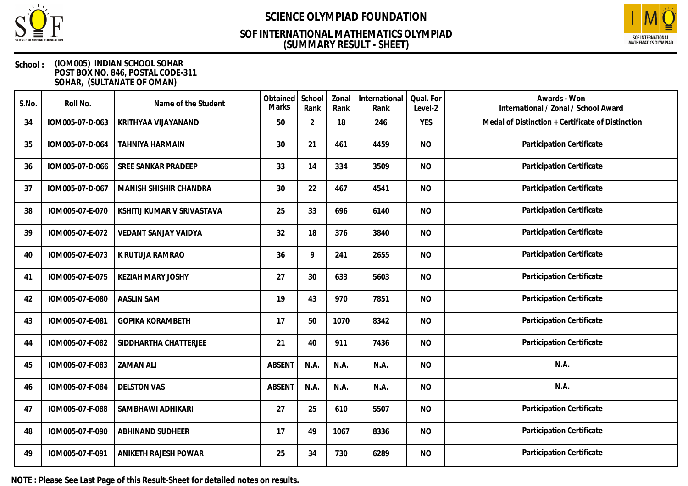

## **(SUMMARY RESULT - SHEET) SOF INTERNATIONAL MATHEMATICS OLYMPIAD**



### **School : (IOM005) INDIAN SCHOOL SOHAR POST BOX NO. 846, POSTAL CODE-311 SOHAR, (SULTANATE OF OMAN)**

| S.No. | Roll No.        | Name of the Student        | Obtained<br>Marks | School<br>Rank | Zonal<br>Rank | International<br>Rank | Qual. For<br>Level-2 | Awards - Won<br>International / Zonal / School Award |
|-------|-----------------|----------------------------|-------------------|----------------|---------------|-----------------------|----------------------|------------------------------------------------------|
| 34    | IOM005-07-D-063 | KRITHYAA VIJAYANAND        | 50                | $\overline{2}$ | 18            | 246                   | <b>YES</b>           | Medal of Distinction + Certificate of Distinction    |
| 35    | IOM005-07-D-064 | <b>TAHNIYA HARMAIN</b>     | 30                | 21             | 461           | 4459                  | <b>NO</b>            | Participation Certificate                            |
| 36    | IOM005-07-D-066 | SREE SANKAR PRADEEP        | 33                | 14             | 334           | 3509                  | <b>NO</b>            | Participation Certificate                            |
| 37    | IOM005-07-D-067 | MANISH SHISHIR CHANDRA     | 30                | 22             | 467           | 4541                  | <b>NO</b>            | Participation Certificate                            |
| 38    | IOM005-07-E-070 | KSHITIJ KUMAR V SRIVASTAVA | 25                | 33             | 696           | 6140                  | <b>NO</b>            | Participation Certificate                            |
| 39    | IOM005-07-E-072 | VEDANT SANJAY VAIDYA       | 32                | 18             | 376           | 3840                  | <b>NO</b>            | Participation Certificate                            |
| 40    | IOM005-07-E-073 | K RUTUJA RAMRAO            | 36                | 9              | 241           | 2655                  | <b>NO</b>            | Participation Certificate                            |
| 41    | IOM005-07-E-075 | <b>KEZIAH MARY JOSHY</b>   | 27                | 30             | 633           | 5603                  | <b>NO</b>            | Participation Certificate                            |
| 42    | IOM005-07-E-080 | <b>AASLIN SAM</b>          | 19                | 43             | 970           | 7851                  | <b>NO</b>            | Participation Certificate                            |
| 43    | IOM005-07-E-081 | <b>GOPIKA KORAMBETH</b>    | 17                | 50             | 1070          | 8342                  | <b>NO</b>            | Participation Certificate                            |
| 44    | IOM005-07-F-082 | SIDDHARTHA CHATTERJEE      | 21                | 40             | 911           | 7436                  | <b>NO</b>            | Participation Certificate                            |
| 45    | IOM005-07-F-083 | <b>ZAMAN ALI</b>           | <b>ABSENT</b>     | N.A.           | N.A.          | N.A.                  | <b>NO</b>            | N.A.                                                 |
| 46    | IOM005-07-F-084 | <b>DELSTON VAS</b>         | <b>ABSENT</b>     | N.A.           | N.A.          | N.A.                  | <b>NO</b>            | N.A.                                                 |
| 47    | IOM005-07-F-088 | SAMBHAWI ADHIKARI          | 27                | 25             | 610           | 5507                  | <b>NO</b>            | Participation Certificate                            |
| 48    | IOM005-07-F-090 | <b>ABHINAND SUDHEER</b>    | 17                | 49             | 1067          | 8336                  | <b>NO</b>            | Participation Certificate                            |
| 49    | IOM005-07-F-091 | ANIKETH RAJESH POWAR       | 25                | 34             | 730           | 6289                  | <b>NO</b>            | Participation Certificate                            |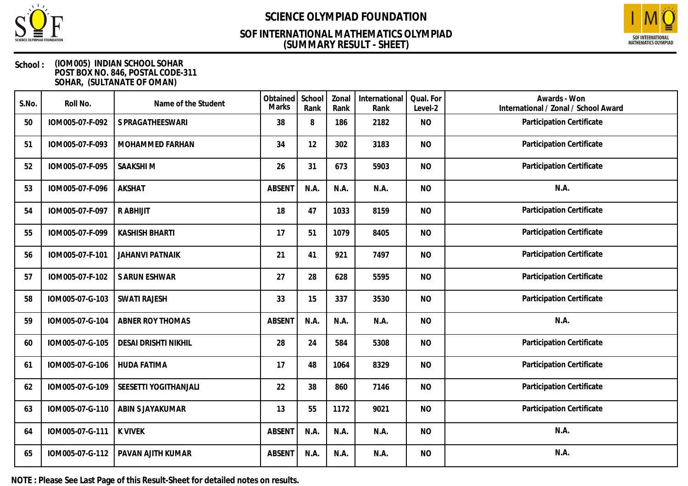

### **(SUMMARY RESULT - SHEET) SOF INTERNATIONAL MATHEMATICS OLYMPIAD**



### **School : (IOM005) INDIAN SCHOOL SOHAR POST BOX NO. 846, POSTAL CODE-311 SOHAR, (SULTANATE OF OMAN)**

| S.No. | Roll No.        | Name of the Student         | Obtained<br><b>Marks</b> | School<br>Rank | Zonal<br>Rank | International<br>Rank | Qual. For<br>Level-2 | Awards - Won<br>International / Zonal / School Award |
|-------|-----------------|-----------------------------|--------------------------|----------------|---------------|-----------------------|----------------------|------------------------------------------------------|
| 50    | IOM005-07-F-092 | S PRAGATHEESWARI            | 38                       | 8              | 186           | 2182                  | <b>NO</b>            | Participation Certificate                            |
| 51    | IOM005-07-F-093 | MOHAMMED FARHAN             | 34                       | 12             | 302           | 3183                  | <b>NO</b>            | Participation Certificate                            |
| 52    | IOM005-07-F-095 | SAAKSHI M                   | 26                       | 31             | 673           | 5903                  | <b>NO</b>            | Participation Certificate                            |
| 53    | IOM005-07-F-096 | AKSHAT                      | <b>ABSENT</b>            | N.A.           | N.A.          | N.A.                  | <b>NO</b>            | N.A.                                                 |
| 54    | IOM005-07-F-097 | R ABHIJIT                   | 18                       | 47             | 1033          | 8159                  | <b>NO</b>            | Participation Certificate                            |
| 55    | IOM005-07-F-099 | <b>KASHISH BHARTI</b>       | 17                       | 51             | 1079          | 8405                  | <b>NO</b>            | Participation Certificate                            |
| 56    | IOM005-07-F-101 | <b>JAHANVI PATNAIK</b>      | 21                       | 41             | 921           | 7497                  | <b>NO</b>            | Participation Certificate                            |
| 57    | IOM005-07-F-102 | S ARUN ESHWAR               | 27                       | 28             | 628           | 5595                  | <b>NO</b>            | Participation Certificate                            |
| 58    | IOM005-07-G-103 | <b>SWATI RAJESH</b>         | 33                       | 15             | 337           | 3530                  | <b>NO</b>            | Participation Certificate                            |
| 59    | IOM005-07-G-104 | <b>ABNER ROY THOMAS</b>     | <b>ABSENT</b>            | N.A.           | N.A.          | N.A.                  | <b>NO</b>            | N.A.                                                 |
| 60    | IOM005-07-G-105 | <b>DESAI DRISHTI NIKHIL</b> | 28                       | 24             | 584           | 5308                  | <b>NO</b>            | Participation Certificate                            |
| 61    | IOM005-07-G-106 | <b>HUDA FATIMA</b>          | 17                       | 48             | 1064          | 8329                  | <b>NO</b>            | Participation Certificate                            |
| 62    | IOM005-07-G-109 | SEESETTI YOGITHANJALI       | 22                       | 38             | 860           | 7146                  | <b>NO</b>            | Participation Certificate                            |
| 63    | IOM005-07-G-110 | ABIN S JAYAKUMAR            | 13                       | 55             | 1172          | 9021                  | <b>NO</b>            | Participation Certificate                            |
| 64    | IOM005-07-G-111 | <b>K VIVEK</b>              | <b>ABSENT</b>            | N.A.           | N.A.          | N.A.                  | <b>NO</b>            | N.A.                                                 |
| 65    | IOM005-07-G-112 | PAVAN AJITH KUMAR           | <b>ABSENT</b>            | N.A.           | N.A.          | N.A.                  | <b>NO</b>            | N.A.                                                 |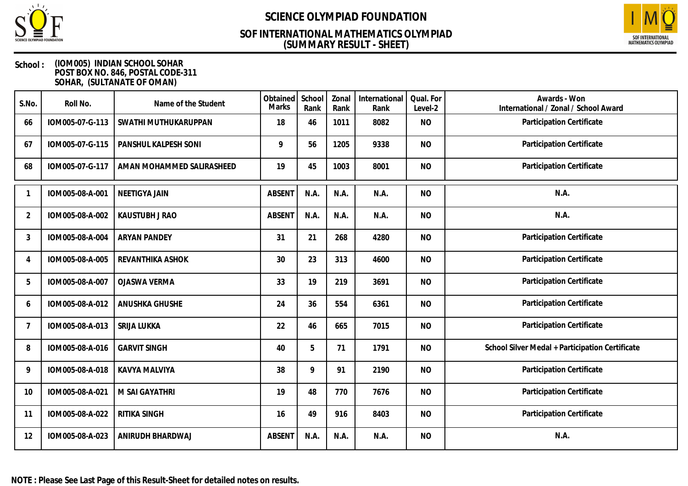

## **(SUMMARY RESULT - SHEET) SOF INTERNATIONAL MATHEMATICS OLYMPIAD**



| S.No.          | Roll No.        | Name of the Student       | Obtained<br>Marks | School<br>Rank | Zonal<br>Rank | International<br>Rank | Qual. For<br>Level-2 | Awards - Won<br>International / Zonal / School Award |
|----------------|-----------------|---------------------------|-------------------|----------------|---------------|-----------------------|----------------------|------------------------------------------------------|
| 66             | IOM005-07-G-113 | SWATHI MUTHUKARUPPAN      | 18                | 46             | 1011          | 8082                  | <b>NO</b>            | Participation Certificate                            |
| 67             | IOM005-07-G-115 | PANSHUL KALPESH SONI      | 9                 | 56             | 1205          | 9338                  | <b>NO</b>            | Participation Certificate                            |
| 68             | IOM005-07-G-117 | AMAN MOHAMMED SALIRASHEED | 19                | 45             | 1003          | 8001                  | <b>NO</b>            | Participation Certificate                            |
|                | IOM005-08-A-001 | <b>NEETIGYA JAIN</b>      | <b>ABSENT</b>     | N.A.           | N.A.          | N.A.                  | <b>NO</b>            | N.A.                                                 |
| $\overline{2}$ | IOM005-08-A-002 | KAUSTUBH J RAO            | <b>ABSENT</b>     | N.A.           | N.A.          | N.A.                  | <b>NO</b>            | N.A.                                                 |
| 3              | IOM005-08-A-004 | <b>ARYAN PANDEY</b>       | 31                | 21             | 268           | 4280                  | <b>NO</b>            | Participation Certificate                            |
| 4              | IOM005-08-A-005 | REVANTHIKA ASHOK          | 30                | 23             | 313           | 4600                  | <b>NO</b>            | Participation Certificate                            |
| 5              | IOM005-08-A-007 | <b>OJASWA VERMA</b>       | 33                | 19             | 219           | 3691                  | <b>NO</b>            | Participation Certificate                            |
| 6              | IOM005-08-A-012 | ANUSHKA GHUSHE            | 24                | 36             | 554           | 6361                  | <b>NO</b>            | Participation Certificate                            |
| 7              | IOM005-08-A-013 | SRIJA LUKKA               | 22                | 46             | 665           | 7015                  | <b>NO</b>            | Participation Certificate                            |
| 8              | IOM005-08-A-016 | <b>GARVIT SINGH</b>       | 40                | 5              | 71            | 1791                  | <b>NO</b>            | School Silver Medal + Participation Certificate      |
| 9              | IOM005-08-A-018 | KAVYA MALVIYA             | 38                | 9              | 91            | 2190                  | <b>NO</b>            | Participation Certificate                            |
| 10             | IOM005-08-A-021 | M SAI GAYATHRI            | 19                | 48             | 770           | 7676                  | <b>NO</b>            | Participation Certificate                            |
| 11             | IOM005-08-A-022 | RITIKA SINGH              | 16                | 49             | 916           | 8403                  | <b>NO</b>            | Participation Certificate                            |
| 12             | IOM005-08-A-023 | ANIRUDH BHARDWAJ          | <b>ABSENT</b>     | N.A.           | N.A.          | N.A.                  | <b>NO</b>            | N.A.                                                 |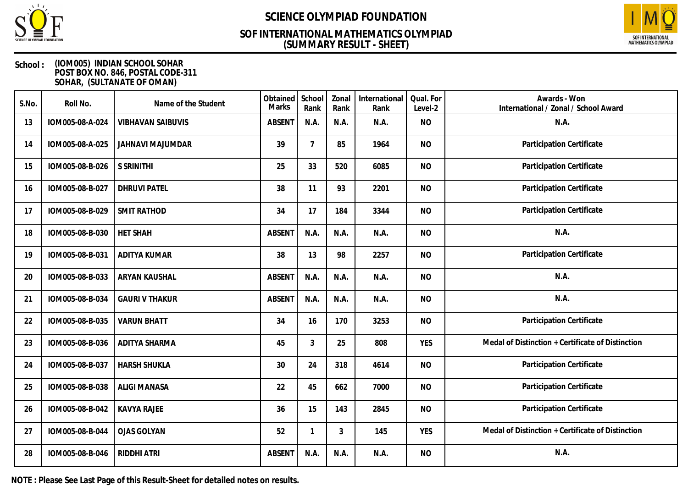

## **(SUMMARY RESULT - SHEET) SOF INTERNATIONAL MATHEMATICS OLYMPIAD**



### **School : (IOM005) INDIAN SCHOOL SOHAR POST BOX NO. 846, POSTAL CODE-311 SOHAR, (SULTANATE OF OMAN)**

| S.No. | Roll No.        | Name of the Student      | Obtained<br><b>Marks</b> | School<br>Rank | Zonal<br>Rank  | International<br>Rank | Qual. For<br>Level-2 | Awards - Won<br>International / Zonal / School Award |
|-------|-----------------|--------------------------|--------------------------|----------------|----------------|-----------------------|----------------------|------------------------------------------------------|
| 13    | IOM005-08-A-024 | <b>VIBHAVAN SAIBUVIS</b> | <b>ABSENT</b>            | N.A.           | N.A.           | N.A.                  | <b>NO</b>            | N.A.                                                 |
| 14    | IOM005-08-A-025 | <b>JAHNAVI MAJUMDAR</b>  | 39                       | $\overline{7}$ | 85             | 1964                  | <b>NO</b>            | Participation Certificate                            |
| 15    | IOM005-08-B-026 | <b>S SRINITHI</b>        | 25                       | 33             | 520            | 6085                  | <b>NO</b>            | Participation Certificate                            |
| 16    | IOM005-08-B-027 | <b>DHRUVI PATEL</b>      | 38                       | 11             | 93             | 2201                  | <b>NO</b>            | Participation Certificate                            |
| 17    | IOM005-08-B-029 | <b>SMIT RATHOD</b>       | 34                       | 17             | 184            | 3344                  | <b>NO</b>            | Participation Certificate                            |
| 18    | IOM005-08-B-030 | <b>HET SHAH</b>          | <b>ABSENT</b>            | N.A.           | N.A.           | N.A.                  | <b>NO</b>            | N.A.                                                 |
| 19    | IOM005-08-B-031 | ADITYA KUMAR             | 38                       | 13             | 98             | 2257                  | <b>NO</b>            | Participation Certificate                            |
| 20    | IOM005-08-B-033 | ARYAN KAUSHAL            | <b>ABSENT</b>            | N.A.           | N.A.           | N.A.                  | <b>NO</b>            | N.A.                                                 |
| 21    | IOM005-08-B-034 | <b>GAURI V THAKUR</b>    | <b>ABSENT</b>            | N.A.           | N.A.           | N.A.                  | <b>NO</b>            | N.A.                                                 |
| 22    | IOM005-08-B-035 | <b>VARUN BHATT</b>       | 34                       | 16             | 170            | 3253                  | <b>NO</b>            | Participation Certificate                            |
| 23    | IOM005-08-B-036 | <b>ADITYA SHARMA</b>     | 45                       | 3              | 25             | 808                   | <b>YES</b>           | Medal of Distinction + Certificate of Distinction    |
| 24    | IOM005-08-B-037 | <b>HARSH SHUKLA</b>      | 30                       | 24             | 318            | 4614                  | <b>NO</b>            | Participation Certificate                            |
| 25    | IOM005-08-B-038 | <b>ALIGI MANASA</b>      | 22                       | 45             | 662            | 7000                  | <b>NO</b>            | Participation Certificate                            |
| 26    | IOM005-08-B-042 | <b>KAVYA RAJEE</b>       | 36                       | 15             | 143            | 2845                  | <b>NO</b>            | Participation Certificate                            |
| 27    | IOM005-08-B-044 | <b>OJAS GOLYAN</b>       | 52                       | 1              | $\mathfrak{Z}$ | 145                   | <b>YES</b>           | Medal of Distinction + Certificate of Distinction    |
| 28    | IOM005-08-B-046 | RIDDHI ATRI              | <b>ABSENT</b>            | N.A.           | N.A.           | N.A.                  | <b>NO</b>            | N.A.                                                 |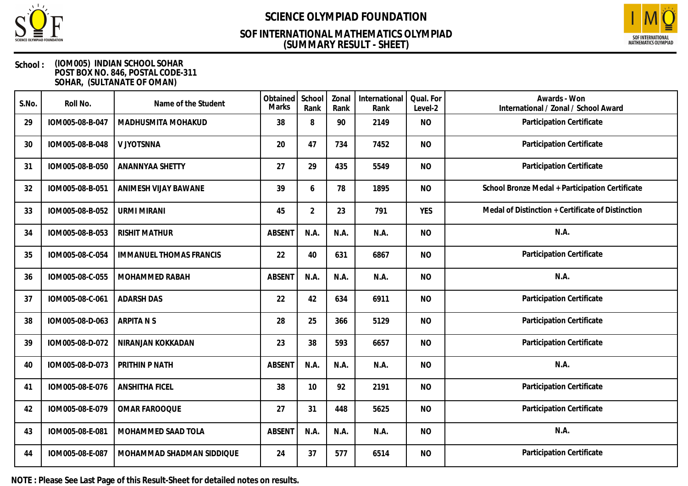

## **(SUMMARY RESULT - SHEET) SOF INTERNATIONAL MATHEMATICS OLYMPIAD**



### **School : (IOM005) INDIAN SCHOOL SOHAR POST BOX NO. 846, POSTAL CODE-311 SOHAR, (SULTANATE OF OMAN)**

| S.No. | Roll No.        | Name of the Student            | Obtained<br>Marks | School<br>Rank | Zonal<br>Rank | International<br>Rank | Qual. For<br>Level-2 | Awards - Won<br>International / Zonal / School Award |
|-------|-----------------|--------------------------------|-------------------|----------------|---------------|-----------------------|----------------------|------------------------------------------------------|
| 29    | IOM005-08-B-047 | MADHUSMITA MOHAKUD             | 38                | 8              | 90            | 2149                  | <b>NO</b>            | Participation Certificate                            |
| 30    | IOM005-08-B-048 | V JYOTSNNA                     | 20                | 47             | 734           | 7452                  | <b>NO</b>            | Participation Certificate                            |
| 31    | IOM005-08-B-050 | ANANNYAA SHETTY                | 27                | 29             | 435           | 5549                  | <b>NO</b>            | Participation Certificate                            |
| 32    | IOM005-08-B-051 | ANIMESH VIJAY BAWANE           | 39                | 6              | 78            | 1895                  | <b>NO</b>            | School Bronze Medal + Participation Certificate      |
| 33    | IOM005-08-B-052 | <b>URMI MIRANI</b>             | 45                | $\overline{2}$ | 23            | 791                   | <b>YES</b>           | Medal of Distinction + Certificate of Distinction    |
| 34    | IOM005-08-B-053 | <b>RISHIT MATHUR</b>           | <b>ABSENT</b>     | N.A.           | N.A.          | N.A.                  | <b>NO</b>            | N.A.                                                 |
| 35    | IOM005-08-C-054 | <b>IMMANUEL THOMAS FRANCIS</b> | 22                | 40             | 631           | 6867                  | <b>NO</b>            | Participation Certificate                            |
| 36    | IOM005-08-C-055 | MOHAMMED RABAH                 | <b>ABSENT</b>     | N.A.           | N.A.          | N.A.                  | <b>NO</b>            | N.A.                                                 |
| 37    | IOM005-08-C-061 | <b>ADARSH DAS</b>              | 22                | 42             | 634           | 6911                  | <b>NO</b>            | Participation Certificate                            |
| 38    | IOM005-08-D-063 | <b>ARPITANS</b>                | 28                | 25             | 366           | 5129                  | <b>NO</b>            | Participation Certificate                            |
| 39    | IOM005-08-D-072 | NIRANJAN KOKKADAN              | 23                | 38             | 593           | 6657                  | <b>NO</b>            | Participation Certificate                            |
| 40    | IOM005-08-D-073 | PRITHIN P NATH                 | <b>ABSENT</b>     | N.A.           | N.A.          | N.A.                  | <b>NO</b>            | N.A.                                                 |
| 41    | IOM005-08-E-076 | <b>ANSHITHA FICEL</b>          | 38                | 10             | 92            | 2191                  | <b>NO</b>            | Participation Certificate                            |
| 42    | IOM005-08-E-079 | OMAR FAROOQUE                  | 27                | 31             | 448           | 5625                  | <b>NO</b>            | Participation Certificate                            |
| 43    | IOM005-08-E-081 | MOHAMMED SAAD TOLA             | <b>ABSENT</b>     | N.A.           | N.A.          | N.A.                  | <b>NO</b>            | N.A.                                                 |
| 44    | IOM005-08-E-087 | MOHAMMAD SHADMAN SIDDIQUE      | 24                | 37             | 577           | 6514                  | <b>NO</b>            | Participation Certificate                            |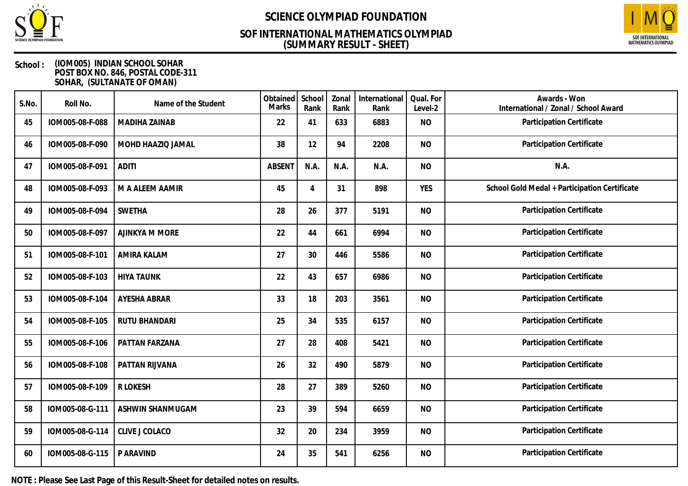

## **(SUMMARY RESULT - SHEET) SOF INTERNATIONAL MATHEMATICS OLYMPIAD**



### **School : (IOM005) INDIAN SCHOOL SOHAR POST BOX NO. 846, POSTAL CODE-311 SOHAR, (SULTANATE OF OMAN)**

| S.No. | Roll No.        | Name of the Student  | Obtained<br>Marks | School<br>Rank | Zonal<br>Rank | International<br>Rank | Qual. For<br>Level-2 | Awards - Won<br>International / Zonal / School Award |
|-------|-----------------|----------------------|-------------------|----------------|---------------|-----------------------|----------------------|------------------------------------------------------|
| 45    | IOM005-08-F-088 | <b>MADIHA ZAINAB</b> | 22                | 41             | 633           | 6883                  | <b>NO</b>            | Participation Certificate                            |
| 46    | IOM005-08-F-090 | MOHD HAAZIQ JAMAL    | 38                | 12             | 94            | 2208                  | <b>NO</b>            | Participation Certificate                            |
| 47    | IOM005-08-F-091 | <b>ADITI</b>         | <b>ABSENT</b>     | N.A.           | N.A.          | N.A.                  | <b>NO</b>            | N.A.                                                 |
| 48    | IOM005-08-F-093 | M A ALEEM AAMIR      | 45                | 4              | 31            | 898                   | <b>YES</b>           | School Gold Medal + Participation Certificate        |
| 49    | IOM005-08-F-094 | <b>SWETHA</b>        | 28                | 26             | 377           | 5191                  | <b>NO</b>            | Participation Certificate                            |
| 50    | IOM005-08-F-097 | AJINKYA M MORE       | 22                | 44             | 661           | 6994                  | <b>NO</b>            | Participation Certificate                            |
| 51    | IOM005-08-F-101 | <b>AMIRA KALAM</b>   | 27                | 30             | 446           | 5586                  | <b>NO</b>            | Participation Certificate                            |
| 52    | IOM005-08-F-103 | <b>HIYA TAUNK</b>    | 22                | 43             | 657           | 6986                  | <b>NO</b>            | Participation Certificate                            |
| 53    | IOM005-08-F-104 | AYESHA ABRAR         | 33                | 18             | 203           | 3561                  | <b>NO</b>            | Participation Certificate                            |
| 54    | IOM005-08-F-105 | RUTU BHANDARI        | 25                | 34             | 535           | 6157                  | <b>NO</b>            | Participation Certificate                            |
| 55    | IOM005-08-F-106 | PATTAN FARZANA       | 27                | 28             | 408           | 5421                  | <b>NO</b>            | Participation Certificate                            |
| 56    | IOM005-08-F-108 | PATTAN RIJVANA       | 26                | 32             | 490           | 5879                  | <b>NO</b>            | Participation Certificate                            |
| 57    | IOM005-08-F-109 | R LOKESH             | 28                | 27             | 389           | 5260                  | <b>NO</b>            | Participation Certificate                            |
| 58    | IOM005-08-G-111 | ASHWIN SHANMUGAM     | 23                | 39             | 594           | 6659                  | <b>NO</b>            | Participation Certificate                            |
| 59    | IOM005-08-G-114 | CLIVE J COLACO       | 32                | 20             | 234           | 3959                  | <b>NO</b>            | Participation Certificate                            |
| 60    | IOM005-08-G-115 | P ARAVIND            | 24                | 35             | 541           | 6256                  | <b>NO</b>            | Participation Certificate                            |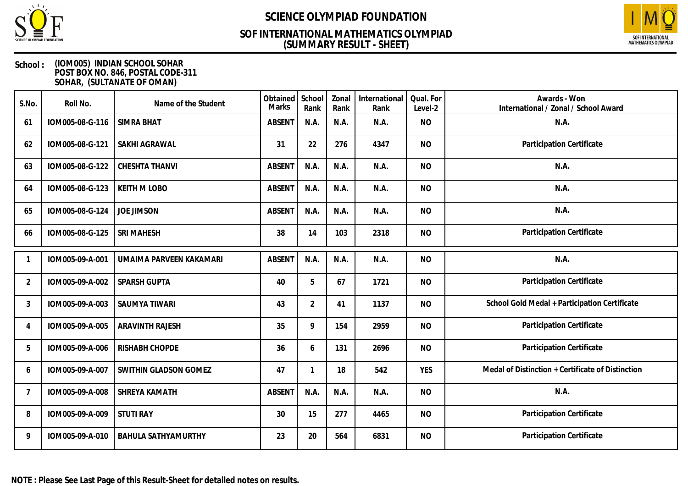

## **(SUMMARY RESULT - SHEET) SOF INTERNATIONAL MATHEMATICS OLYMPIAD**



| S.No.          | Roll No.        | Name of the Student        | Obtained<br>Marks | School<br>Rank | Zonal<br>Rank | International<br>Rank | Qual. For<br>Level-2 | Awards - Won<br>International / Zonal / School Award |
|----------------|-----------------|----------------------------|-------------------|----------------|---------------|-----------------------|----------------------|------------------------------------------------------|
| 61             | IOM005-08-G-116 | <b>SIMRA BHAT</b>          | <b>ABSENT</b>     | N.A.           | N.A.          | N.A.                  | <b>NO</b>            | N.A.                                                 |
| 62             | IOM005-08-G-121 | SAKHI AGRAWAL              | 31                | 22             | 276           | 4347                  | <b>NO</b>            | Participation Certificate                            |
| 63             | IOM005-08-G-122 | <b>CHESHTA THANVI</b>      | <b>ABSENT</b>     | N.A.           | N.A.          | N.A.                  | <b>NO</b>            | N.A.                                                 |
| 64             | IOM005-08-G-123 | <b>KEITH M LOBO</b>        | <b>ABSENT</b>     | N.A.           | N.A.          | N.A.                  | <b>NO</b>            | N.A.                                                 |
| 65             | IOM005-08-G-124 | <b>JOE JIMSON</b>          | <b>ABSENT</b>     | N.A.           | N.A.          | N.A.                  | <b>NO</b>            | N.A.                                                 |
| 66             | IOM005-08-G-125 | <b>SRI MAHESH</b>          | 38                | 14             | 103           | 2318                  | <b>NO</b>            | Participation Certificate                            |
|                | IOM005-09-A-001 | UMAIMA PARVEEN KAKAMARI    | <b>ABSENT</b>     | N.A.           | N.A.          | N.A.                  | <b>NO</b>            | N.A.                                                 |
| $\overline{2}$ | IOM005-09-A-002 | SPARSH GUPTA               | 40                | 5              | 67            | 1721                  | <b>NO</b>            | Participation Certificate                            |
| 3              | IOM005-09-A-003 | SAUMYA TIWARI              | 43                | $\overline{2}$ | 41            | 1137                  | <b>NO</b>            | School Gold Medal + Participation Certificate        |
| 4              | IOM005-09-A-005 | <b>ARAVINTH RAJESH</b>     | 35                | 9              | 154           | 2959                  | <b>NO</b>            | Participation Certificate                            |
| 5              | IOM005-09-A-006 | RISHABH CHOPDE             | 36                | 6              | 131           | 2696                  | <b>NO</b>            | Participation Certificate                            |
| 6              | IOM005-09-A-007 | SWITHIN GLADSON GOMEZ      | 47                | 1              | 18            | 542                   | <b>YES</b>           | Medal of Distinction + Certificate of Distinction    |
| $\overline{7}$ | IOM005-09-A-008 | SHREYA KAMATH              | <b>ABSENT</b>     | N.A.           | N.A.          | N.A.                  | <b>NO</b>            | N.A.                                                 |
| 8              | IOM005-09-A-009 | <b>STUTI RAY</b>           | 30                | 15             | 277           | 4465                  | <b>NO</b>            | Participation Certificate                            |
| 9              | IOM005-09-A-010 | <b>BAHULA SATHYAMURTHY</b> | 23                | 20             | 564           | 6831                  | <b>NO</b>            | Participation Certificate                            |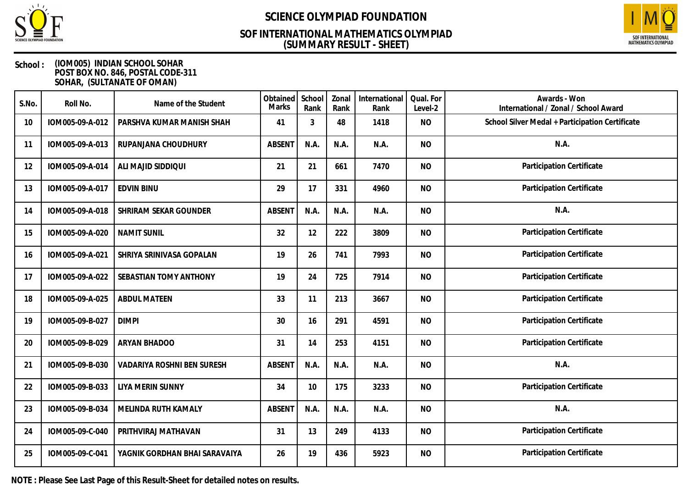

## **(SUMMARY RESULT - SHEET) SOF INTERNATIONAL MATHEMATICS OLYMPIAD**



### **School : (IOM005) INDIAN SCHOOL SOHAR POST BOX NO. 846, POSTAL CODE-311 SOHAR, (SULTANATE OF OMAN)**

| S.No. | Roll No.        | Name of the Student               | Obtained<br>Marks | School<br>Rank | Zonal<br>Rank | International<br>Rank | Qual. For<br>Level-2 | Awards - Won<br>International / Zonal / School Award |
|-------|-----------------|-----------------------------------|-------------------|----------------|---------------|-----------------------|----------------------|------------------------------------------------------|
| 10    | IOM005-09-A-012 | PARSHVA KUMAR MANISH SHAH         | 41                | 3              | 48            | 1418                  | <b>NO</b>            | School Silver Medal + Participation Certificate      |
| 11    | IOM005-09-A-013 | RUPANJANA CHOUDHURY               | <b>ABSENT</b>     | N.A.           | N.A.          | N.A.                  | <b>NO</b>            | N.A.                                                 |
| 12    | IOM005-09-A-014 | ALI MAJID SIDDIQUI                | 21                | 21             | 661           | 7470                  | <b>NO</b>            | Participation Certificate                            |
| 13    | IOM005-09-A-017 | <b>EDVIN BINU</b>                 | 29                | 17             | 331           | 4960                  | <b>NO</b>            | Participation Certificate                            |
| 14    | IOM005-09-A-018 | SHRIRAM SEKAR GOUNDER             | <b>ABSENT</b>     | N.A.           | N.A.          | N.A.                  | <b>NO</b>            | N.A.                                                 |
| 15    | IOM005-09-A-020 | <b>NAMIT SUNIL</b>                | 32                | 12             | 222           | 3809                  | <b>NO</b>            | Participation Certificate                            |
| 16    | IOM005-09-A-021 | SHRIYA SRINIVASA GOPALAN          | 19                | 26             | 741           | 7993                  | <b>NO</b>            | Participation Certificate                            |
| 17    | IOM005-09-A-022 | SEBASTIAN TOMY ANTHONY            | 19                | 24             | 725           | 7914                  | <b>NO</b>            | Participation Certificate                            |
| 18    | IOM005-09-A-025 | <b>ABDUL MATEEN</b>               | 33                | 11             | 213           | 3667                  | <b>NO</b>            | Participation Certificate                            |
| 19    | IOM005-09-B-027 | <b>DIMPI</b>                      | 30                | 16             | 291           | 4591                  | <b>NO</b>            | Participation Certificate                            |
| 20    | IOM005-09-B-029 | <b>ARYAN BHADOO</b>               | 31                | 14             | 253           | 4151                  | <b>NO</b>            | Participation Certificate                            |
| 21    | IOM005-09-B-030 | <b>VADARIYA ROSHNI BEN SURESH</b> | <b>ABSENT</b>     | N.A.           | N.A.          | N.A.                  | <b>NO</b>            | N.A.                                                 |
| 22    | IOM005-09-B-033 | LIYA MERIN SUNNY                  | 34                | 10             | 175           | 3233                  | <b>NO</b>            | Participation Certificate                            |
| 23    | IOM005-09-B-034 | MELINDA RUTH KAMALY               | <b>ABSENT</b>     | N.A.           | N.A.          | N.A.                  | <b>NO</b>            | N.A.                                                 |
| 24    | IOM005-09-C-040 | PRITHVIRAJ MATHAVAN               | 31                | 13             | 249           | 4133                  | <b>NO</b>            | Participation Certificate                            |
| 25    | IOM005-09-C-041 | YAGNIK GORDHAN BHAI SARAVAIYA     | 26                | 19             | 436           | 5923                  | <b>NO</b>            | Participation Certificate                            |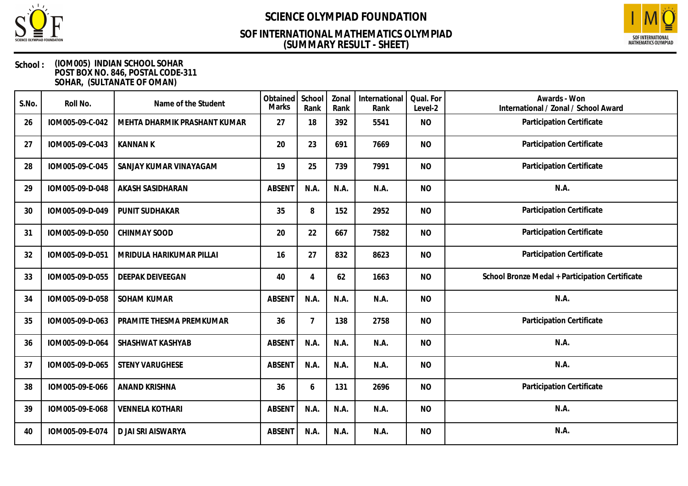

## **(SUMMARY RESULT - SHEET) SOF INTERNATIONAL MATHEMATICS OLYMPIAD**



| S.No. | Roll No.        | Name of the Student          | Obtained<br>Marks | School<br>Rank | Zonal<br>Rank | International<br>Rank | Qual. For<br>Level-2 | Awards - Won<br>International / Zonal / School Award |
|-------|-----------------|------------------------------|-------------------|----------------|---------------|-----------------------|----------------------|------------------------------------------------------|
| 26    | IOM005-09-C-042 | MEHTA DHARMIK PRASHANT KUMAR | 27                | 18             | 392           | 5541                  | <b>NO</b>            | Participation Certificate                            |
| 27    | IOM005-09-C-043 | <b>KANNAN K</b>              | 20                | 23             | 691           | 7669                  | <b>NO</b>            | Participation Certificate                            |
| 28    | IOM005-09-C-045 | SANJAY KUMAR VINAYAGAM       | 19                | 25             | 739           | 7991                  | N <sub>O</sub>       | Participation Certificate                            |
| 29    | IOM005-09-D-048 | AKASH SASIDHARAN             | <b>ABSENT</b>     | N.A.           | N.A.          | N.A.                  | <b>NO</b>            | N.A.                                                 |
| 30    | IOM005-09-D-049 | PUNIT SUDHAKAR               | 35                | 8              | 152           | 2952                  | <b>NO</b>            | Participation Certificate                            |
| 31    | IOM005-09-D-050 | <b>CHINMAY SOOD</b>          | 20                | 22             | 667           | 7582                  | <b>NO</b>            | Participation Certificate                            |
| 32    | IOM005-09-D-051 | MRIDULA HARIKUMAR PILLAI     | 16                | 27             | 832           | 8623                  | <b>NO</b>            | Participation Certificate                            |
| 33    | IOM005-09-D-055 | <b>DEEPAK DEIVEEGAN</b>      | 40                | 4              | 62            | 1663                  | <b>NO</b>            | School Bronze Medal + Participation Certificate      |
| 34    | IOM005-09-D-058 | <b>SOHAM KUMAR</b>           | <b>ABSENT</b>     | N.A.           | N.A.          | N.A.                  | <b>NO</b>            | N.A.                                                 |
| 35    | IOM005-09-D-063 | PRAMITE THESMA PREMKUMAR     | 36                | $\overline{7}$ | 138           | 2758                  | <b>NO</b>            | Participation Certificate                            |
| 36    | IOM005-09-D-064 | SHASHWAT KASHYAB             | <b>ABSENT</b>     | N.A.           | N.A.          | N.A.                  | <b>NO</b>            | N.A.                                                 |
| 37    | IOM005-09-D-065 | <b>STENY VARUGHESE</b>       | <b>ABSENT</b>     | N.A.           | N.A.          | N.A.                  | <b>NO</b>            | N.A.                                                 |
| 38    | IOM005-09-E-066 | ANAND KRISHNA                | 36                | 6              | 131           | 2696                  | <b>NO</b>            | Participation Certificate                            |
| 39    | IOM005-09-E-068 | <b>VENNELA KOTHARI</b>       | <b>ABSENT</b>     | N.A.           | N.A.          | N.A.                  | <b>NO</b>            | N.A.                                                 |
| 40    | IOM005-09-E-074 | D JAI SRI AISWARYA           | <b>ABSENT</b>     | N.A.           | N.A.          | N.A.                  | <b>NO</b>            | N.A.                                                 |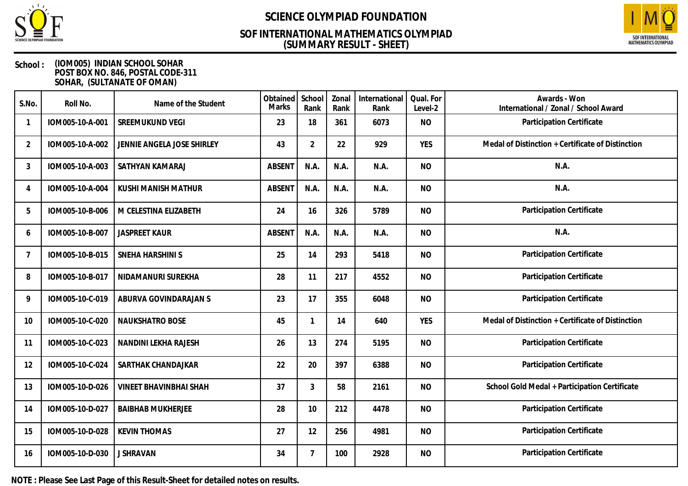

## **(SUMMARY RESULT - SHEET) SOF INTERNATIONAL MATHEMATICS OLYMPIAD**



### **School : (IOM005) INDIAN SCHOOL SOHAR POST BOX NO. 846, POSTAL CODE-311 SOHAR, (SULTANATE OF OMAN)**

| S.No.          | Roll No.        | Name of the Student           | Obtained<br><b>Marks</b> | School<br>Rank | Zonal<br>Rank | International<br>Rank | Qual. For<br>Level-2 | Awards - Won<br>International / Zonal / School Award |
|----------------|-----------------|-------------------------------|--------------------------|----------------|---------------|-----------------------|----------------------|------------------------------------------------------|
|                | IOM005-10-A-001 | SREEMUKUND VEGI               | 23                       | 18             | 361           | 6073                  | <b>NO</b>            | Participation Certificate                            |
| $\overline{2}$ | IOM005-10-A-002 | JENNIE ANGELA JOSE SHIRLEY    | 43                       | $\overline{2}$ | 22            | 929                   | <b>YES</b>           | Medal of Distinction + Certificate of Distinction    |
| 3              | IOM005-10-A-003 | SATHYAN KAMARAJ               | <b>ABSENT</b>            | N.A.           | N.A.          | N.A.                  | <b>NO</b>            | N.A.                                                 |
| 4              | IOM005-10-A-004 | KUSHI MANISH MATHUR           | <b>ABSENT</b>            | N.A.           | N.A.          | N.A.                  | <b>NO</b>            | N.A.                                                 |
| 5              | IOM005-10-B-006 | M CELESTINA ELIZABETH         | 24                       | 16             | 326           | 5789                  | <b>NO</b>            | Participation Certificate                            |
| 6              | IOM005-10-B-007 | <b>JASPREET KAUR</b>          | <b>ABSENT</b>            | N.A.           | N.A.          | N.A.                  | <b>NO</b>            | N.A.                                                 |
| 7              | IOM005-10-B-015 | SNEHA HARSHINI S              | 25                       | 14             | 293           | 5418                  | <b>NO</b>            | Participation Certificate                            |
| 8              | IOM005-10-B-017 | NIDAMANURI SUREKHA            | 28                       | 11             | 217           | 4552                  | <b>NO</b>            | Participation Certificate                            |
| 9              | IOM005-10-C-019 | ABURVA GOVINDARAJAN S         | 23                       | 17             | 355           | 6048                  | <b>NO</b>            | Participation Certificate                            |
| 10             | IOM005-10-C-020 | <b>NAUKSHATRO BOSE</b>        | 45                       | 1              | 14            | 640                   | <b>YES</b>           | Medal of Distinction + Certificate of Distinction    |
| 11             | IOM005-10-C-023 | NANDINI LEKHA RAJESH          | 26                       | 13             | 274           | 5195                  | <b>NO</b>            | Participation Certificate                            |
| 12             | IOM005-10-C-024 | SARTHAK CHANDAJKAR            | 22                       | 20             | 397           | 6388                  | <b>NO</b>            | Participation Certificate                            |
| 13             | IOM005-10-D-026 | <b>VINEET BHAVINBHAI SHAH</b> | 37                       | 3              | 58            | 2161                  | <b>NO</b>            | School Gold Medal + Participation Certificate        |
| 14             | IOM005-10-D-027 | <b>BAIBHAB MUKHERJEE</b>      | 28                       | 10             | 212           | 4478                  | <b>NO</b>            | Participation Certificate                            |
| 15             | IOM005-10-D-028 | <b>KEVIN THOMAS</b>           | 27                       | 12             | 256           | 4981                  | <b>NO</b>            | Participation Certificate                            |
| 16             | IOM005-10-D-030 | <b>J SHRAVAN</b>              | 34                       | $\overline{7}$ | 100           | 2928                  | <b>NO</b>            | Participation Certificate                            |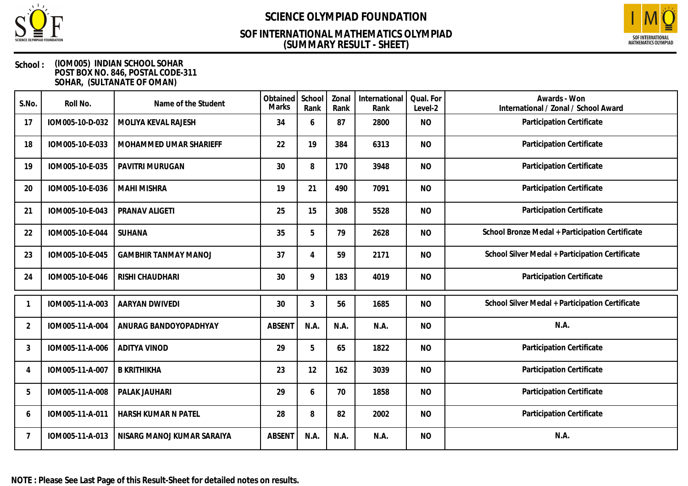

## **(SUMMARY RESULT - SHEET) SOF INTERNATIONAL MATHEMATICS OLYMPIAD**



| S.No.          | Roll No.        | Name of the Student         | Obtained<br><b>Marks</b> | School<br>Rank | Zonal<br>Rank | International<br>Rank | Qual. For<br>Level-2 | Awards - Won<br>International / Zonal / School Award |
|----------------|-----------------|-----------------------------|--------------------------|----------------|---------------|-----------------------|----------------------|------------------------------------------------------|
| 17             | IOM005-10-D-032 | MOLIYA KEVAL RAJESH         | 34                       | 6              | 87            | 2800                  | <b>NO</b>            | Participation Certificate                            |
| 18             | IOM005-10-E-033 | MOHAMMED UMAR SHARIEFF      | 22                       | 19             | 384           | 6313                  | <b>NO</b>            | Participation Certificate                            |
| 19             | IOM005-10-E-035 | PAVITRI MURUGAN             | 30                       | 8              | 170           | 3948                  | <b>NO</b>            | Participation Certificate                            |
| 20             | IOM005-10-E-036 | <b>MAHI MISHRA</b>          | 19                       | 21             | 490           | 7091                  | <b>NO</b>            | Participation Certificate                            |
| 21             | IOM005-10-E-043 | PRANAV ALIGETI              | 25                       | 15             | 308           | 5528                  | <b>NO</b>            | Participation Certificate                            |
| 22             | IOM005-10-E-044 | SUHANA                      | 35                       | 5              | 79            | 2628                  | <b>NO</b>            | School Bronze Medal + Participation Certificate      |
| 23             | IOM005-10-E-045 | <b>GAMBHIR TANMAY MANOJ</b> | 37                       | 4              | 59            | 2171                  | <b>NO</b>            | School Silver Medal + Participation Certificate      |
| 24             | IOM005-10-E-046 | RISHI CHAUDHARI             | 30                       | 9              | 183           | 4019                  | <b>NO</b>            | Participation Certificate                            |
|                | IOM005-11-A-003 | AARYAN DWIVEDI              | 30                       | 3              | 56            | 1685                  | <b>NO</b>            | School Silver Medal + Participation Certificate      |
| $\overline{2}$ | IOM005-11-A-004 | ANURAG BANDOYOPADHYAY       | <b>ABSENT</b>            | N.A.           | N.A.          | N.A.                  | <b>NO</b>            | N.A.                                                 |
| 3              | IOM005-11-A-006 | <b>ADITYA VINOD</b>         | 29                       | 5              | 65            | 1822                  | <b>NO</b>            | Participation Certificate                            |
| $\overline{4}$ | IOM005-11-A-007 | <b>B KRITHIKHA</b>          | 23                       | 12             | 162           | 3039                  | <b>NO</b>            | Participation Certificate                            |
| 5              | IOM005-11-A-008 | PALAK JAUHARI               | 29                       | 6              | 70            | 1858                  | <b>NO</b>            | Participation Certificate                            |
| 6              | IOM005-11-A-011 | HARSH KUMAR N PATEL         | 28                       | 8              | 82            | 2002                  | <b>NO</b>            | Participation Certificate                            |
| 7              | IOM005-11-A-013 | NISARG MANOJ KUMAR SARAIYA  | <b>ABSENT</b>            | N.A.           | N.A.          | N.A.                  | <b>NO</b>            | N.A.                                                 |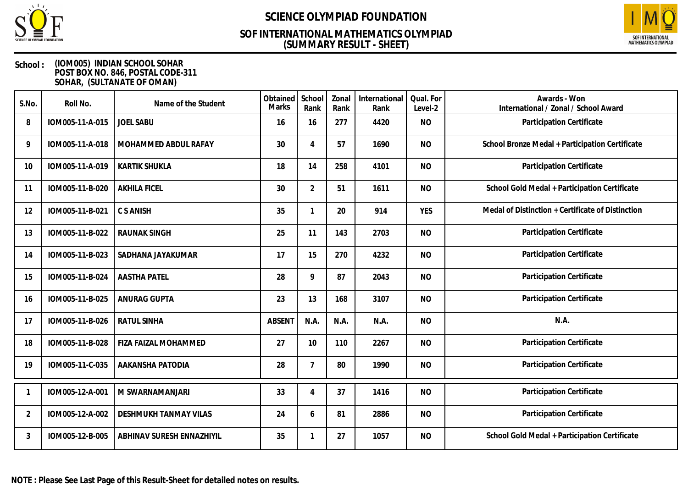

## **(SUMMARY RESULT - SHEET) SOF INTERNATIONAL MATHEMATICS OLYMPIAD**



| S.No.          | Roll No.        | Name of the Student       | Obtained<br>Marks | School<br>Rank | Zonal<br>Rank | International<br>Rank | Qual. For<br>Level-2 | Awards - Won<br>International / Zonal / School Award |
|----------------|-----------------|---------------------------|-------------------|----------------|---------------|-----------------------|----------------------|------------------------------------------------------|
| 8              | IOM005-11-A-015 | <b>JOEL SABU</b>          | 16                | 16             | 277           | 4420                  | <b>NO</b>            | Participation Certificate                            |
| 9              | IOM005-11-A-018 | MOHAMMED ABDUL RAFAY      | 30                | 4              | 57            | 1690                  | <b>NO</b>            | School Bronze Medal + Participation Certificate      |
| 10             | IOM005-11-A-019 | <b>KARTIK SHUKLA</b>      | 18                | 14             | 258           | 4101                  | <b>NO</b>            | Participation Certificate                            |
| 11             | IOM005-11-B-020 | <b>AKHILA FICEL</b>       | 30                | $\overline{2}$ | 51            | 1611                  | <b>NO</b>            | School Gold Medal + Participation Certificate        |
| 12             | IOM005-11-B-021 | C S ANISH                 | 35                | 1              | 20            | 914                   | <b>YES</b>           | Medal of Distinction + Certificate of Distinction    |
| 13             | IOM005-11-B-022 | <b>RAUNAK SINGH</b>       | 25                | 11             | 143           | 2703                  | <b>NO</b>            | Participation Certificate                            |
| 14             | IOM005-11-B-023 | SADHANA JAYAKUMAR         | 17                | 15             | 270           | 4232                  | <b>NO</b>            | Participation Certificate                            |
| 15             | IOM005-11-B-024 | <b>AASTHA PATEL</b>       | 28                | 9              | 87            | 2043                  | <b>NO</b>            | Participation Certificate                            |
| 16             | IOM005-11-B-025 | ANURAG GUPTA              | 23                | 13             | 168           | 3107                  | <b>NO</b>            | Participation Certificate                            |
| 17             | IOM005-11-B-026 | <b>RATUL SINHA</b>        | <b>ABSENT</b>     | N.A.           | N.A.          | N.A.                  | <b>NO</b>            | N.A.                                                 |
| 18             | IOM005-11-B-028 | FIZA FAIZAL MOHAMMED      | 27                | 10             | 110           | 2267                  | <b>NO</b>            | Participation Certificate                            |
| 19             | IOM005-11-C-035 | AAKANSHA PATODIA          | 28                | $\overline{7}$ | 80            | 1990                  | <b>NO</b>            | Participation Certificate                            |
|                | IOM005-12-A-001 | M SWARNAMANJARI           | 33                | 4              | 37            | 1416                  | <b>NO</b>            | Participation Certificate                            |
| $\overline{2}$ | IOM005-12-A-002 | DESHMUKH TANMAY VILAS     | 24                | 6              | 81            | 2886                  | <b>NO</b>            | Participation Certificate                            |
| 3              | IOM005-12-B-005 | ABHINAV SURESH ENNAZHIYIL | 35                | $\mathbf 1$    | 27            | 1057                  | <b>NO</b>            | School Gold Medal + Participation Certificate        |